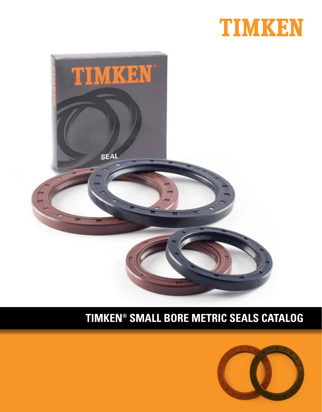



# **CYLINDRICAL ROLLER BEARING CATALOG TIMKEN® SMALL BORE METRIC SEALS CATALOG**

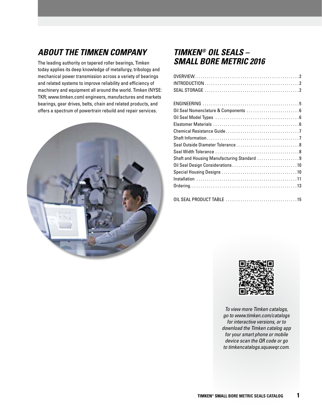### **ABOUT THE TIMKEN COMPANY**

The leading authority on tapered roller bearings, Timken today applies its deep knowledge of metallurgy, tribology and mechanical power transmission across a variety of bearings and related systems to improve reliability and efficiency of machinery and equipment all around the world. Timken (NYSE: TKR; www.timken.com) engineers, manufactures and markets bearings, gear drives, belts, chain and related products, and offers a spectrum of powertrain rebuild and repair services.



#### **TIMKEN® OIL SEALS – SMALL BORE METRIC 2016**

| Shaft and Housing Manufacturing Standard 9 |
|--------------------------------------------|
|                                            |
|                                            |
|                                            |
|                                            |
|                                            |
|                                            |
|                                            |



*To view more Timken catalogs, go to www.timken.com/catalogs for interactive versions, or to download the Timken catalog app for your smart phone or mobile device scan the QR code or go to timkencatalogs.squawqr.com.*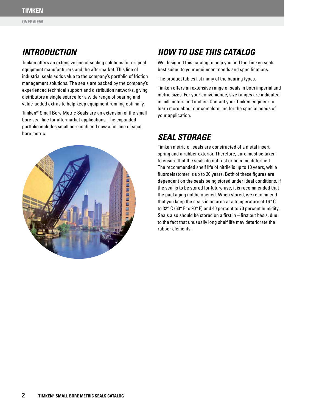### **INTRODUCTION**

Timken offers an extensive line of sealing solutions for original equipment manufacturers and the aftermarket. This line of industrial seals adds value to the company's portfolio of friction management solutions. The seals are backed by the company's experienced technical support and distribution networks, giving distributors a single source for a wide range of bearing and value-added extras to help keep equipment running optimally.

Timken**®** Small Bore Metric Seals are an extension of the small bore seal line for aftermarket applications. The expanded portfolio includes small bore inch and now a full line of small bore metric. **SEAL STORAGE** 



## **HOW TO USE THIS CATALOG**

We designed this catalog to help you find the Timken seals best suited to your equipment needs and specifications.

The product tables list many of the bearing types.

Timken offers an extensive range of seals in both imperial and metric sizes. For your convenience, size ranges are indicated in millimeters and inches. Contact your Timken engineer to learn more about our complete line for the special needs of your application.

Timken metric oil seals are constructed of a metal insert, spring and a rubber exterior. Therefore, care must be taken to ensure that the seals do not rust or become deformed. The recommended shelf life of nitrile is up to 10 years, while fluoroelastomer is up to 20 years. Both of these figures are dependent on the seals being stored under ideal conditions. If the seal is to be stored for future use, it is recommended that the packaging not be opened. When stored, we recommend that you keep the seals in an area at a temperature of 16° C to 32° C (60° F to 90° F) and 40 percent to 70 percent humidity. Seals also should be stored on a first in – first out basis, due to the fact that unusually long shelf life may deteriorate the rubber elements.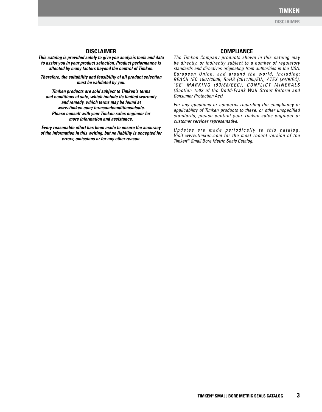#### **DISCLAIMER**

#### **DISCLAIMER**

**This catalog is provided solely to give you analysis tools and data to assist you in your product selection. Product performance is affected by many factors beyond the control of Timken.**

**Therefore, the suitability and feasibility of all product selection must be validated by you.**

**Timken products are sold subject to Timken's terms and conditions of sale, which include its limited warranty and remedy, which terms may be found at www.timken.com/ termsandconditionsofsale. Please consult with your Timken sales engineer for more information and assistance.**

**Every reasonable effort has been made to ensure the accuracy of the information in this writing, but no liability is accepted for errors, omissions or for any other reason.**

#### **COMPLIANCE**

*The Timken Company products shown in this catalog may be directly, or indirectly subject to a number of regulatory standards and directives originating from authorities in the USA,*  European Union, and around the world, including: *REACH (EC 1907/2006, RoHS (2011/65/EU), ATEX (94/9/EC), 'CE' MARKING (93/68/EEC), CONFLICT MINERALS (Section 1502 of the Dodd-Frank Wall Street Reform and Consumer Protection Act).*

*For any questions or concerns regarding the compliancy or applicability of Timken products to these, or other unspecified standards, please contact your Timken sales engineer or customer services representative.*

Updates are made periodically to this catalog. *Visit www.timken.com for the most recent version of the Timken***®** *Small Bore Metric Seals Catalog.*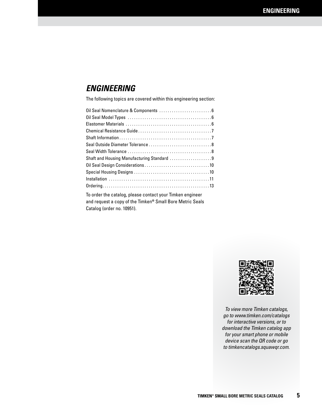#### **ENGINEERING**

The following topics are covered within this engineering section:

| Shaft and Housing Manufacturing Standard 9                                                                                                                                                             |
|--------------------------------------------------------------------------------------------------------------------------------------------------------------------------------------------------------|
|                                                                                                                                                                                                        |
|                                                                                                                                                                                                        |
|                                                                                                                                                                                                        |
|                                                                                                                                                                                                        |
| To order the catalog, please contact your Timken engineer<br>$\mathbf{u}$ , and $\mathbf{u}$ , and $\mathbf{u}$ are $\mathbf{u}$ . The $\mathbf{u}$ and $\mathbf{u}$ are $\mathbf{u}$ and $\mathbf{u}$ |

and request a copy of the Timken**®** Small Bore Metric Seals Catalog (order no. 10951).



*To view more Timken catalogs, go to www.timken.com/catalogs for interactive versions, or to download the Timken catalog app for your smart phone or mobile device scan the QR code or go to timkencatalogs.squawqr.com.*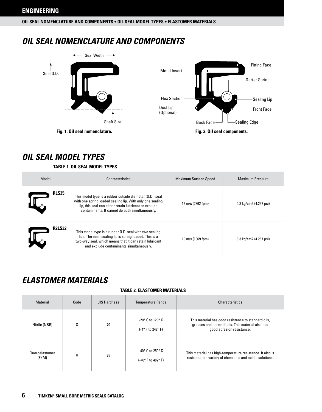**OIL SEAL NOMENCLATURE AND COMPONENTS • OIL SEAL MODEL TYPES • ELASTOMER MATERIALS**

#### **OIL SEAL NOMENCLATURE AND COMPONENTS**



#### **OIL SEAL MODEL TYPES**

#### **TABLE 1. OIL SEAL MODEL TYPES**

| Model         | Characteristics                                                                                                                                                                                                                   | <b>Maximum Surface Speed</b> | <b>Maximum Pressure</b> |
|---------------|-----------------------------------------------------------------------------------------------------------------------------------------------------------------------------------------------------------------------------------|------------------------------|-------------------------|
| <b>RLS35</b>  | This model type is a rubber outside diameter (O.D.) seal<br>with one spring loaded sealing lip. With only one sealing<br>lip, this seal can either retain lubricant or exclude<br>contaminants. It cannot do both simultaneously. | 12 m/s (2362 fpm)            | 0.3 kg/cm2 (4.267 psi)  |
| <b>R2LS32</b> | This model type is a rubber 0.D. seal with two sealing<br>lips. The main sealing lip is spring loaded. This is a<br>two-way seal, which means that it can retain lubricant<br>and exclude contaminants simultaneously.            | 10 m/s (1969 fpm)            | 0.3 kg/cm2 (4.267 psi)  |

### **ELASTOMER MATERIALS**

#### **TABLE 2. ELASTOMER MATERIALS**

| Material                 | Code         | <b>JIS Hardness</b> | <b>Temperature Range</b>                                             | Characteristics                                                                                                                      |
|--------------------------|--------------|---------------------|----------------------------------------------------------------------|--------------------------------------------------------------------------------------------------------------------------------------|
| Nitrile (NBR)            | S            | 70                  | $-20^\circ$ C to 120 $^\circ$ C<br>$(-4^\circ)$ F to 248 $^\circ$ F) | This material has good resistance to standard oils,<br>greases and normal fuels. This material also has<br>good abrasion resistance. |
| Fluoroelastomer<br>(FKM) | $\mathsf{V}$ | 75                  | -40° C to 250° C<br>(-40° F to 482° F)                               | This material has high-temperature resistance. It also is<br>resistant to a variety of chemicals and acidic solutions.               |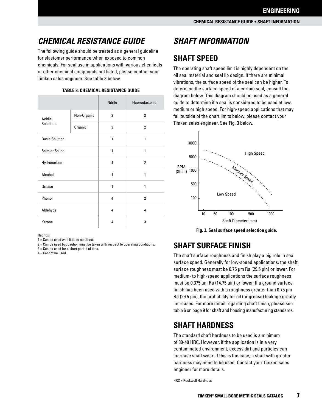## **CHEMICAL RESISTANCE GUIDE**

The following guide should be treated as a general guideline for elastomer performance when exposed to common chemicals. For seal use in applications with various chemicals or other chemical compounds not listed, please contact your Timken sales engineer. See table 3 below.

|                        |             | <b>Nitrile</b> | Fluoroelastomer |
|------------------------|-------------|----------------|-----------------|
| Acidic                 | Non-Organic | $\overline{2}$ | $\overline{2}$  |
| <b>Solutions</b>       | Organic     | 3              | $\overline{2}$  |
| <b>Basic Solution</b>  | 1           |                | 1               |
| <b>Salts or Saline</b> |             | 1              | 1               |
| Hydrocarbon            |             | 4              | $\overline{2}$  |
| Alcohol                |             | 1              | 1               |
| Grease                 |             | 1              | 1               |
| Phenol                 |             |                | $\overline{2}$  |
| Aldehyde               | 4           |                | 4               |
| Ketone                 |             | 4              | 3               |

#### **TABLE 3. CHEMICAL RESISTANCE GUIDE**

Ratings:

 $1 =$  Can be used with little to no effect.

2 = Can be used but caution must be taken with respect to operating conditions.

3 = Can be used for a short period of time.

 $4 =$  Cannot be used.

## **SHAFT INFORMATION**

### **SHAFT SPEED**

The operating shaft speed limit is highly dependent on the oil seal material and seal lip design. If there are minimal vibrations, the surface speed of the seal can be higher. To determine the surface speed of a certain seal, consult the diagram below. This diagram should be used as a general guide to determine if a seal is considered to be used at low, medium or high speed. For high-speed applications that may fall outside of the chart limits below, please contact your Timken sales engineer. See Fig. 3 below.



**Fig. 3. Seal surface speed selection guide.**

#### **SHAFT SURFACE FINISH**

The shaft surface roughness and finish play a big role in seal surface speed. Generally for low-speed applications, the shaft surface roughness must be 0.75 µm Ra (29.5 µin) or lower. For medium- to high-speed applications the surface roughness must be 0.375 µm Ra (14.75 µin) or lower. If a ground surface finish has been used with a roughness greater than 0.75 µm Ra (29.5 µin), the probability for oil (or grease) leakage greatly increases. For more detail regarding shaft finish, please see table 6 on page 9 for shaft and housing manufacturing standards.

#### **SHAFT HARDNESS**

The standard shaft hardness to be used is a minimum of 30-40 HRC. However, if the application is in a very contaminated environment, excess dirt and particles can increase shaft wear. If this is the case, a shaft with greater hardness may need to be used. Contact your Timken sales engineer for more details.

HRC = Rockwell Hardness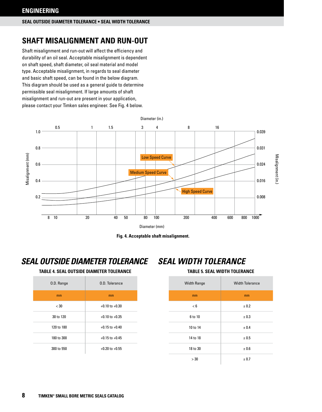#### **SEAL OUTSIDE DIAMETER TOLERANCE • SEAL WIDTH TOLERANCE**

### **SHAFT MISALIGNMENT AND RUN-OUT**

Shaft misalignment and run-out will affect the efficiency and durability of an oil seal. Acceptable misalignment is dependent on shaft speed, shaft diameter, oil seal material and model type. Acceptable misalignment, in regards to seal diameter and basic shaft speed, can be found in the below diagram. This diagram should be used as a general guide to determine permissible seal misalignment. If large amounts of shaft misalignment and run-out are present in your application, please contact your Timken sales engineer. See Fig. 4 below.





#### **SEAL OUTSIDE DIAMETER TOLERANCE SEAL WIDTH TOLERANCE**

#### **TABLE 4. SEAL OUTSIDE DIAMETER TOLERANCE TABLE 5. SEAL WIDTH TOLERANCE**



| <b>Width Range</b> | <b>Width Tolerance</b> |
|--------------------|------------------------|
| mm                 | mm                     |
| < 6                | ± 0.2                  |
| 6 to 10            | ± 0.3                  |
| 10 to 14           | ± 0.4                  |
| 14 to 18           | ± 0.5                  |
| 18 to 30           | ± 0.6                  |
| >30                | ± 0.7                  |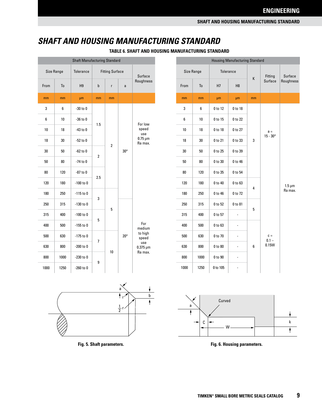#### **SHAFT AND HOUSING MANUFACTURING STANDARD**

**TABLE 6. SHAFT AND HOUSING MANUFACTURING STANDARD**

| <b>Shaft Manufacturing Standard</b> |      |                  |                        |                |              |                         |  |  |
|-------------------------------------|------|------------------|------------------------|----------------|--------------|-------------------------|--|--|
| <b>Size Range</b>                   |      | <b>Tolerance</b> | <b>Fitting Surface</b> |                |              | <b>Surface</b>          |  |  |
| From                                | To   | H <sub>9</sub>   | $\mathbf b$            | r              | a            | Roughness               |  |  |
| mm                                  | mm   | μm               | mm                     | mm             |              |                         |  |  |
| 3                                   | 6    | -30 to 0         |                        |                |              |                         |  |  |
| 6                                   | 10   | -36 to 0         |                        |                |              | For low                 |  |  |
| 10                                  | 18   | $-43$ to $0$     | 1.5                    |                |              | speed<br>use            |  |  |
| 18                                  | 30   | $-52$ to $0$     |                        | $\overline{2}$ |              | $0.75 \mu m$<br>Ra max. |  |  |
| 30                                  | 50   | $-62$ to $0$     |                        | $30^\circ$     |              |                         |  |  |
| 50                                  | 80   | -74 to 0         | $\overline{2}$         |                |              |                         |  |  |
| 80                                  | 120  | -87 to 0         | 2.5                    |                |              |                         |  |  |
| 120                                 | 180  | -100 to 0        |                        |                |              |                         |  |  |
| 180                                 | 250  | -115 to 0        |                        |                |              |                         |  |  |
| 250                                 | 315  | $-130$ to $0$    | 3                      | 5              |              |                         |  |  |
| 315                                 | 400  | -100 to 0        |                        |                |              |                         |  |  |
| 400                                 | 500  | $-155$ to $0$    | 5                      |                |              | For<br>medium           |  |  |
| 500                                 | 630  | $-175$ to $0$    |                        |                | $20^{\circ}$ | to high<br>speed        |  |  |
| 630                                 | 800  | -200 to 0        | 7                      |                |              | use<br>$0.375 \,\mu m$  |  |  |
| 800                                 | 1000 | -230 to 0        |                        | 10             |              | Ra max.                 |  |  |
| 1000                                | 1250 | $-260$ to $0$    | 9                      |                |              |                         |  |  |

| <b>Housing Manufacturing Standard</b> |                   |                                                                                           |                |        |                   |                |  |  |  |
|---------------------------------------|-------------------|-------------------------------------------------------------------------------------------|----------------|--------|-------------------|----------------|--|--|--|
|                                       | <b>Size Range</b> |                                                                                           | Tolerance<br>K |        | Fitting           | <b>Surface</b> |  |  |  |
| From                                  | To                | H7                                                                                        | H <sub>8</sub> |        | <b>Surface</b>    | Roughness      |  |  |  |
| mm                                    | mm                | μm                                                                                        | μm             | mm     |                   |                |  |  |  |
| 3                                     | 6                 | 0 to 12                                                                                   | 0 to 18        |        |                   |                |  |  |  |
| 6                                     | 10                | 0 to 15                                                                                   | 0 to 22        |        |                   |                |  |  |  |
| 10                                    | 18                | 0 to 18<br>0 to 27<br>0 to 21<br>0 to 33<br>3<br>0 to 25<br>0 to 39<br>0 to 30<br>0 to 46 | $a =$          |        |                   |                |  |  |  |
| 18                                    | 30                |                                                                                           |                |        | $15 - 30^{\circ}$ |                |  |  |  |
| 30                                    | 50                |                                                                                           |                |        |                   |                |  |  |  |
| 50                                    | 80                |                                                                                           |                |        |                   |                |  |  |  |
| 80                                    | 120               | 0 to 35                                                                                   | 0 to 54        |        |                   |                |  |  |  |
| 120                                   | 180               | 0 to 40                                                                                   | 0 to 63        |        |                   | $1.5 \mu m$    |  |  |  |
| 180                                   | 250               | 0 to 46                                                                                   | 0 to 72        |        |                   | Ra max.        |  |  |  |
| 250                                   | 315               | 0 to 52                                                                                   | 0 to 81        |        |                   |                |  |  |  |
| 315                                   | 400               | 0 to 57                                                                                   | $\overline{a}$ | 4<br>5 |                   |                |  |  |  |
| 400                                   | 500               | 0 to 63                                                                                   |                |        |                   |                |  |  |  |
| 500                                   | 630               | 0 to 70                                                                                   |                |        | $c =$             |                |  |  |  |
| 630                                   | 800               | 0 to 80                                                                                   |                | 6      | $0.1 -$<br>0.15W  |                |  |  |  |
| 800                                   | 1000              | 0 to 90                                                                                   |                |        |                   |                |  |  |  |
| 1000                                  | 1250              | 0 to 105                                                                                  |                |        |                   |                |  |  |  |





**Fig. 5. Shaft parameters. Fig. 6. Housing parameters.**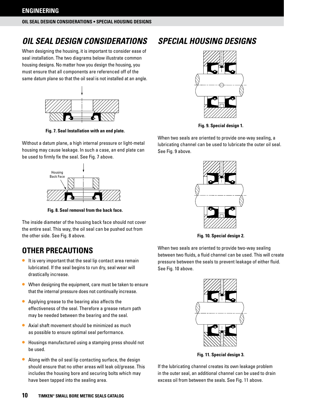## **OIL SEAL DESIGN CONSIDERATIONS**

When designing the housing, it is important to consider ease of seal installation. The two diagrams below illustrate common housing designs. No matter how you design the housing, you must ensure that all components are referenced off of the same datum plane so that the oil seal is not installed at an angle.



**Fig. 7. Seal Installation with an end plate.**

Without a datum plane, a high internal pressure or light-metal housing may cause leakage. In such a case, an end plate can be used to firmly fix the seal. See Fig. 7 above.



**Fig. 8. Seal removal from the back face.**

The inside diameter of the housing back face should not cover the entire seal. This way, the oil seal can be pushed out from the other side. See Fig. 8 above.

## **OTHER PRECAUTIONS**

- It is very important that the seal lip contact area remain lubricated. If the seal begins to run dry, seal wear will drastically increase.
- When designing the equipment, care must be taken to ensure that the internal pressure does not continually increase.
- Applying grease to the bearing also affects the effectiveness of the seal. Therefore a grease return path may be needed between the bearing and the seal.
- Axial shaft movement should be minimized as much as possible to ensure optimal seal performance.
- Housings manufactured using a stamping press should not be used.
- Along with the oil seal lip contacting surface, the design should ensure that no other areas will leak oil/grease. This includes the housing bore and securing bolts which may have been tapped into the sealing area.

## **SPECIAL HOUSING DESIGNS**



**Fig. 9. Special design 1.**

When two seals are oriented to provide one-way sealing, a lubricating channel can be used to lubricate the outer oil seal. See Fig. 9 above.



**Fig. 10. Special design 2.**

When two seals are oriented to provide two-way sealing between two fluids, a fluid channel can be used. This will create pressure between the seals to prevent leakage of either fluid. See Fig. 10 above.



**Fig. 11. Special design 3.**

If the lubricating channel creates its own leakage problem in the outer seal, an additional channel can be used to drain excess oil from between the seals. See Fig. 11 above.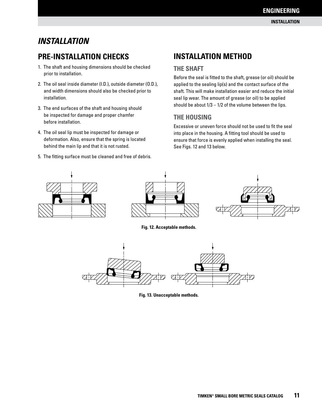### **INSTALLATION**

#### **PRE-INSTALLATION CHECKS**

- 1. The shaft and housing dimensions should be checked prior to installation.
- 2. The oil seal inside diameter (I.D.), outside diameter (O.D.), and width dimensions should also be checked prior to installation.
- 3. The end surfaces of the shaft and housing should be inspected for damage and proper chamfer before installation.
- 4. The oil seal lip must be inspected for damage or deformation. Also, ensure that the spring is located behind the main lip and that it is not rusted.
- 5. The fitting surface must be cleaned and free of debris.

#### **INSTALLATION METHOD**

#### **THE SHAFT**

Before the seal is fitted to the shaft, grease (or oil) should be applied to the sealing lip(s) and the contact surface of the shaft. This will make installation easier and reduce the initial seal lip wear. The amount of grease (or oil) to be applied should be about  $1/3 - 1/2$  of the volume between the lips.

#### **THE HOUSING**

Excessive or uneven force should not be used to fit the seal into place in the housing. A fitting tool should be used to ensure that force is evenly applied when installing the seal. See Figs. 12 and 13 below.







**Fig. 12. Acceptable methods.**



**Fig. 13. Unacceptable methods.**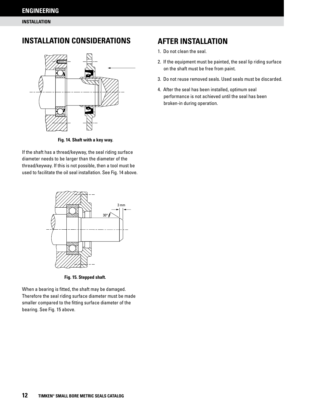**INSTALLATION**

#### **INSTALLATION CONSIDERATIONS**



**Fig. 14. Shaft with a key way.**

If the shaft has a thread/keyway, the seal riding surface diameter needs to be larger than the diameter of the thread/keyway. If this is not possible, then a tool must be used to facilitate the oil seal installation. See Fig. 14 above.



**Fig. 15. Stepped shaft.**

When a bearing is fitted, the shaft may be damaged. Therefore the seal riding surface diameter must be made smaller compared to the fitting surface diameter of the bearing. See Fig. 15 above.

#### **AFTER INSTALLATION**

- 1. Do not clean the seal.
- 2. If the equipment must be painted, the seal lip riding surface on the shaft must be free from paint.
- 3. Do not reuse removed seals. Used seals must be discarded.
- 4. After the seal has been installed, optimum seal performance is not achieved until the seal has been broken-in during operation.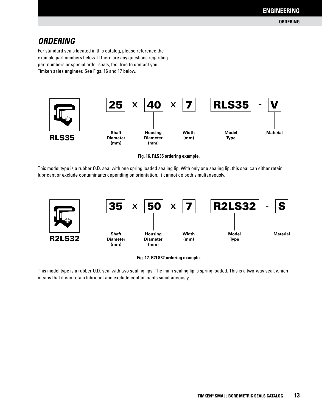### **ORDERING**

For standard seals located in this catalog, please reference the example part numbers below. If there are any questions regarding part numbers or special order seals, feel free to contact your Timken sales engineer. See Figs. 16 and 17 below.



**Fig. 16. RLS35 ordering example.**

This model type is a rubber O.D. seal with one spring loaded sealing lip. With only one sealing lip, this seal can either retain lubricant or exclude contaminants depending on orientation. It cannot do both simultaneously.





This model type is a rubber O.D. seal with two sealing lips. The main sealing lip is spring loaded. This is a two-way seal, which means that it can retain lubricant and exclude contaminants simultaneously.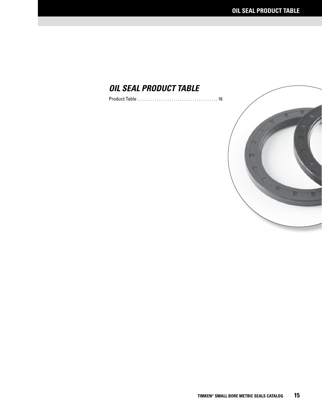### **OIL SEAL PRODUCT TABLE**

Product Table ...................................... 16

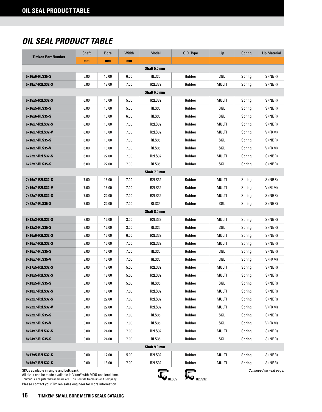### **OIL SEAL PRODUCT TABLE**

| <b>Timken Part Number</b>                                                                                                                                                                                           | Shaft | <b>Bore</b> | Width | Model         | 0.D. Type | Lip          | Spring | <b>Lip Material</b> |  |  |
|---------------------------------------------------------------------------------------------------------------------------------------------------------------------------------------------------------------------|-------|-------------|-------|---------------|-----------|--------------|--------|---------------------|--|--|
|                                                                                                                                                                                                                     | mm    | mm          | mm    |               |           |              |        |                     |  |  |
| Shaft 5.0 mm                                                                                                                                                                                                        |       |             |       |               |           |              |        |                     |  |  |
| 5x16x6-RLS35-S                                                                                                                                                                                                      | 5.00  | 16.00       | 6.00  | <b>RLS35</b>  | Rubber    | SGL          | Spring | S (NBR)             |  |  |
| 5x18x7-R2LS32-S                                                                                                                                                                                                     | 5.00  | 18.00       | 7.00  | <b>R2LS32</b> | Rubber    | <b>MULTI</b> | Spring | S (NBR)             |  |  |
|                                                                                                                                                                                                                     |       |             |       | Shaft 6.0 mm  |           |              |        |                     |  |  |
| 6x15x5-R2LS32-S                                                                                                                                                                                                     | 6.00  | 15.00       | 5.00  | <b>R2LS32</b> | Rubber    | MULTI        | Spring | S (NBR)             |  |  |
| 6x16x5-RLS35-S                                                                                                                                                                                                      | 6.00  | 16.00       | 5.00  | <b>RLS35</b>  | Rubber    | SGL          | Spring | S (NBR)             |  |  |
| 6x16x6-RLS35-S                                                                                                                                                                                                      | 6.00  | 16.00       | 6.00  | <b>RLS35</b>  | Rubber    | SGL          | Spring | S (NBR)             |  |  |
| 6x16x7-R2LS32-S                                                                                                                                                                                                     | 6.00  | 16.00       | 7.00  | <b>R2LS32</b> | Rubber    | MULTI        | Spring | S (NBR)             |  |  |
| 6x16x7-R2LS32-V                                                                                                                                                                                                     | 6.00  | 16.00       | 7.00  | <b>R2LS32</b> | Rubber    | MULTI        | Spring | V (FKM)             |  |  |
| 6x16x7-RLS35-S                                                                                                                                                                                                      | 6.00  | 16.00       | 7.00  | <b>RLS35</b>  | Rubber    | SGL          | Spring | S (NBR)             |  |  |
| 6x16x7-RLS35-V                                                                                                                                                                                                      | 6.00  | 16.00       | 7.00  | RLS35         | Rubber    | SGL          | Spring | V (FKM)             |  |  |
| 6x22x7-R2LS32-S                                                                                                                                                                                                     | 6.00  | 22.00       | 7.00  | <b>R2LS32</b> | Rubber    | MULTI        | Spring | S (NBR)             |  |  |
| 6x22x7-RLS35-S                                                                                                                                                                                                      | 6.00  | 22.00       | 7.00  | <b>RLS35</b>  | Rubber    | SGL          | Spring | S (NBR)             |  |  |
|                                                                                                                                                                                                                     |       |             |       | Shaft 7.0 mm  |           |              |        |                     |  |  |
| 7x16x7-R2LS32-S                                                                                                                                                                                                     | 7.00  | 16.00       | 7.00  | <b>R2LS32</b> | Rubber    | MULTI        | Spring | S (NBR)             |  |  |
| 7x16x7-R2LS32-V                                                                                                                                                                                                     | 7.00  | 16.00       | 7.00  | <b>R2LS32</b> | Rubber    | MULTI        | Spring | V (FKM)             |  |  |
| 7x22x7-R2LS32-S                                                                                                                                                                                                     | 7.00  | 22.00       | 7.00  | <b>R2LS32</b> | Rubber    | MULTI        | Spring | S (NBR)             |  |  |
| 7x22x7-RLS35-S                                                                                                                                                                                                      | 7.00  | 22.00       | 7.00  | <b>RLS35</b>  | Rubber    | SGL          | Spring | S (NBR)             |  |  |
|                                                                                                                                                                                                                     |       |             |       | Shaft 8.0 mm  |           |              |        |                     |  |  |
| 8x12x3-R2LS32-S                                                                                                                                                                                                     | 8.00  | 12.00       | 3.00  | <b>R2LS32</b> | Rubber    | MULTI        | Spring | S (NBR)             |  |  |
| 8x12x3-RLS35-S                                                                                                                                                                                                      | 8.00  | 12.00       | 3.00  | RLS35         | Rubber    | SGL          | Spring | S (NBR)             |  |  |
| 8x16x6-R2LS32-S                                                                                                                                                                                                     | 8.00  | 16.00       | 6.00  | <b>R2LS32</b> | Rubber    | MULTI        | Spring | S (NBR)             |  |  |
| 8x16x7-R2LS32-S                                                                                                                                                                                                     | 8.00  | 16.00       | 7.00  | <b>R2LS32</b> | Rubber    | MULTI        | Spring | S (NBR)             |  |  |
| 8x16x7-RLS35-S                                                                                                                                                                                                      | 8.00  | 16.00       | 7.00  | <b>RLS35</b>  | Rubber    | SGL          | Spring | S (NBR)             |  |  |
| 8x16x7-RLS35-V                                                                                                                                                                                                      | 8.00  | 16.00       | 7.00  | <b>RLS35</b>  | Rubber    | SGL          | Spring | V (FKM)             |  |  |
| 8x17x5-R2LS32-S                                                                                                                                                                                                     | 8.00  | 17.00       | 5.00  | <b>R2LS32</b> | Rubber    | MULTI        | Spring | S (NBR)             |  |  |
| 8x18x5-R2LS32-S                                                                                                                                                                                                     | 8.00  | 18.00       | 5.00  | <b>R2LS32</b> | Rubber    | MULTI        | Spring | S (NBR)             |  |  |
| 8x18x5-RLS35-S                                                                                                                                                                                                      | 8.00  | 18.00       | 5.00  | <b>RLS35</b>  | Rubber    | SGL          | Spring | S (NBR)             |  |  |
| 8x18x7-R2LS32-S                                                                                                                                                                                                     | 8.00  | 18.00       | 7.00  | <b>R2LS32</b> | Rubber    | <b>MULTI</b> | Spring | S (NBR)             |  |  |
| 8x22x7-R2LS32-S                                                                                                                                                                                                     | 8.00  | 22.00       | 7.00  | R2LS32        | Rubber    | MULTI        | Spring | S (NBR)             |  |  |
| 8x22x7-R2LS32-V                                                                                                                                                                                                     | 8.00  | 22.00       | 7.00  | <b>R2LS32</b> | Rubber    | MULTI        | Spring | V (FKM)             |  |  |
| 8x22x7-RLS35-S                                                                                                                                                                                                      | 8.00  | 22.00       | 7.00  | <b>RLS35</b>  | Rubber    | SGL          | Spring | S (NBR)             |  |  |
| 8x22x7-RLS35-V                                                                                                                                                                                                      | 8.00  | 22.00       | 7.00  | <b>RLS35</b>  | Rubber    | SGL          | Spring | V (FKM)             |  |  |
| 8x24x7-R2LS32-S                                                                                                                                                                                                     | 8.00  | 24.00       | 7.00  | <b>R2LS32</b> | Rubber    | MULTI        | Spring | S (NBR)             |  |  |
| 8x24x7-RLS35-S                                                                                                                                                                                                      | 8.00  | 24.00       | 7.00  | <b>RLS35</b>  | Rubber    | SGL          | Spring | S (NBR)             |  |  |
|                                                                                                                                                                                                                     |       |             |       | Shaft 9.0 mm  |           |              |        |                     |  |  |
| 9x17x5-R2LS32-S                                                                                                                                                                                                     | 9.00  | 17.00       | 5.00  | <b>R2LS32</b> | Rubber    | MULTI        | Spring | S (NBR)             |  |  |
| 9x18x7-R2LS32-S                                                                                                                                                                                                     | 9.00  | 18.00       | 7.00  | <b>R2LS32</b> | Rubber    | MULTI        | Spring | S (NBR)             |  |  |
| SKUs available in single and bulk pack.<br>Continued on next page.<br>All sizes can be made available in Viton® with MOQ and lead time.<br>Viton® is a registered trademark of E.I. du Pont de Nemours and Company. |       |             |       |               |           |              |        |                     |  |  |

All sizes can be made available in Viton® with MOQ and lead time. Viton® is a registered trademark of E.I. du Pont de Nemours and Company.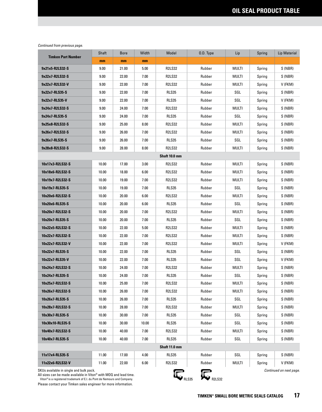|                                         | Shaft | <b>Bore</b> | Width | Model         | O.D. Type | Lip          | Spring | Lip Material            |
|-----------------------------------------|-------|-------------|-------|---------------|-----------|--------------|--------|-------------------------|
| <b>Timken Part Number</b>               | mm    | mm          | mm    |               |           |              |        |                         |
| 9x21x5-R2LS32-S                         | 9.00  | 21.00       | 5.00  | <b>R2LS32</b> | Rubber    | MULTI        | Spring | S (NBR)                 |
| 9x22x7-R2LS32-S                         | 9.00  | 22.00       | 7.00  | <b>R2LS32</b> | Rubber    | MULTI        | Spring | S (NBR)                 |
| 9x22x7-R2LS32-V                         | 9.00  | 22.00       | 7.00  | <b>R2LS32</b> | Rubber    | MULTI        | Spring | V (FKM)                 |
| 9x22x7-RLS35-S                          | 9.00  | 22.00       | 7.00  | <b>RLS35</b>  | Rubber    | SGL          | Spring | S (NBR)                 |
| 9x22x7-RLS35-V                          | 9.00  | 22.00       | 7.00  | <b>RLS35</b>  | Rubber    | SGL          | Spring | V (FKM)                 |
| 9x24x7-R2LS32-S                         | 9.00  | 24.00       | 7.00  | <b>R2LS32</b> | Rubber    | MULTI        | Spring | S (NBR)                 |
| 9x24x7-RLS35-S                          | 9.00  | 24.00       | 7.00  | <b>RLS35</b>  | Rubber    | SGL          | Spring | S (NBR)                 |
| 9x25x8-R2LS32-S                         | 9.00  | 25.00       | 8.00  | <b>R2LS32</b> | Rubber    | MULTI        | Spring | S (NBR)                 |
| 9x26x7-R2LS32-S                         | 9.00  | 26.00       | 7.00  | <b>R2LS32</b> | Rubber    | MULTI        | Spring | S (NBR)                 |
| 9x26x7-RLS35-S                          | 9.00  | 26.00       | 7.00  | <b>RLS35</b>  | Rubber    | SGL          | Spring | S (NBR)                 |
| 9x28x8-R2LS32-S                         | 9.00  | 28.00       | 8.00  | <b>R2LS32</b> | Rubber    | MULTI        | Spring | S (NBR)                 |
|                                         |       |             |       | Shaft 10.0 mm |           |              |        |                         |
| 10x17x3-R2LS32-S                        | 10.00 | 17.00       | 3.00  | <b>R2LS32</b> | Rubber    | MULTI        | Spring | S (NBR)                 |
| 10x18x6-R2LS32-S                        | 10.00 | 18.00       | 6.00  | <b>R2LS32</b> | Rubber    | MULTI        | Spring | S (NBR)                 |
| 10x19x7-R2LS32-S                        | 10.00 | 19.00       | 7.00  | <b>R2LS32</b> | Rubber    | MULTI        | Spring | S (NBR)                 |
| 10x19x7-RLS35-S                         | 10.00 | 19.00       | 7.00  | <b>RLS35</b>  | Rubber    | SGL          | Spring | S (NBR)                 |
| 10x20x6-R2LS32-S                        | 10.00 | 20.00       | 6.00  | <b>R2LS32</b> | Rubber    | MULTI        | Spring | S (NBR)                 |
| 10x20x6-RLS35-S                         | 10.00 | 20.00       | 6.00  | <b>RLS35</b>  | Rubber    | SGL          | Spring | S (NBR)                 |
| 10x20x7-R2LS32-S                        | 10.00 | 20.00       | 7.00  | R2LS32        | Rubber    | MULTI        | Spring | S (NBR)                 |
| 10x20x7-RLS35-S                         | 10.00 | 20.00       | 7.00  | RLS35         | Rubber    | SGL          | Spring | S (NBR)                 |
| 10x22x5-R2LS32-S                        | 10.00 | 22.00       | 5.00  | <b>R2LS32</b> | Rubber    | MULTI        | Spring | S (NBR)                 |
| 10x22x7-R2LS32-S                        | 10.00 | 22.00       | 7.00  | <b>R2LS32</b> | Rubber    | MULTI        | Spring | S (NBR)                 |
| 10x22x7-R2LS32-V                        | 10.00 | 22.00       | 7.00  | <b>R2LS32</b> | Rubber    | MULTI        | Spring | V (FKM)                 |
| 10x22x7-RLS35-S                         | 10.00 | 22.00       | 7.00  | <b>RLS35</b>  | Rubber    | SGL          | Spring | S (NBR)                 |
| 10x22x7-RLS35-V                         | 10.00 | 22.00       | 7.00  | <b>RLS35</b>  | Rubber    | SGL          | Spring | V (FKM)                 |
| 10x24x7-R2LS32-S                        | 10.00 | 24.00       | 7.00  | R2LS32        | Rubber    | MULTI        | Spring | S (NBR)                 |
| 10x24x7-RLS35-S                         | 10.00 | 24.00       | 7.00  | <b>RLS35</b>  | Rubber    | SGL          | Spring | S (NBR)                 |
| 10x25x7-R2LS32-S                        | 10.00 | 25.00       | 7.00  | <b>R2LS32</b> | Rubber    | <b>MULTI</b> | Spring | S (NBR)                 |
| 10x26x7-R2LS32-S                        | 10.00 | 26.00       | 7.00  | <b>R2LS32</b> | Rubber    | MULTI        | Spring | S (NBR)                 |
| 10x26x7-RLS35-S                         | 10.00 | 26.00       | 7.00  | <b>RLS35</b>  | Rubber    | SGL          | Spring | S (NBR)                 |
| 10x28x7-R2LS32-S                        | 10.00 | 28.00       | 7.00  | R2LS32        | Rubber    | MULTI        | Spring | S (NBR)                 |
| 10x30x7-RLS35-S                         | 10.00 | 30.00       | 7.00  | RLS35         | Rubber    | SGL          | Spring | S (NBR)                 |
| 10x30x10-RLS35-S                        | 10.00 | 30.00       | 10.00 | RLS35         | Rubber    | SGL          | Spring | S (NBR)                 |
| 10x40x7-R2LS32-S                        | 10.00 | 40.00       | 7.00  | <b>R2LS32</b> | Rubber    | MULTI        | Spring | S (NBR)                 |
| 10x40x7-RLS35-S                         | 10.00 | 40.00       | 7.00  | <b>RLS35</b>  | Rubber    | SGL          | Spring | S (NBR)                 |
|                                         |       |             |       | Shaft 11.0 mm |           |              |        |                         |
| 11x17x4-RLS35-S                         | 11.00 | 17.00       | 4.00  | RLS35         | Rubber    | SGL          | Spring | S (NBR)                 |
| 11x22x6-R2LS32-V                        | 11.00 | 22.00       | 6.00  | <b>R2LS32</b> | Rubber    | MULTI        | Spring | V (FKM)                 |
| SKUs available in single and bulk pack. |       |             |       | œ             | c         |              |        | Continued on next page. |

All sizes can be made available in Viton® with MOQ and lead time.

 Viton® is a registered trademark of E.I. du Pont de Nemours and Company. Please contact your Timken sales engineer for more information.

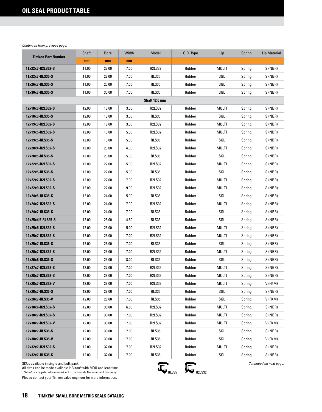|                           | Shaft | <b>Bore</b> | Width | Model         | 0.D. Type | Lip          | Spring | Lip Material |
|---------------------------|-------|-------------|-------|---------------|-----------|--------------|--------|--------------|
| <b>Timken Part Number</b> | mm    | mm          | mm    |               |           |              |        |              |
| 11x22x7-R2LS32-S          | 11.00 | 22.00       | 7.00  | <b>R2LS32</b> | Rubber    | MULTI        | Spring | S (NBR)      |
| 11x22x7-RLS35-S           | 11.00 | 22.00       | 7.00  | RLS35         | Rubber    | SGL          | Spring | S (NBR)      |
| 11x26x7-RLS35-S           | 11.00 | 26.00       | 7.00  | RLS35         | Rubber    | SGL          | Spring | S (NBR)      |
| 11x30x7-RLS35-S           | 11.00 | 30.00       | 7.00  | RLS35         | Rubber    | SGL          | Spring | S (NBR)      |
|                           |       |             |       | Shaft 12.0 mm |           |              |        |              |
| 12x18x3-R2LS32-S          | 12.00 | 18.00       | 3.00  | <b>R2LS32</b> | Rubber    | MULTI        | Spring | S (NBR)      |
| 12x18x3-RLS35-S           | 12.00 | 18.00       | 3.00  | RLS35         | Rubber    | SGL          | Spring | S (NBR)      |
| 12x19x3-R2LS32-S          | 12.00 | 19.00       | 3.00  | <b>R2LS32</b> | Rubber    | MULTI        | Spring | S (NBR)      |
| 12x19x5-R2LS32-S          | 12.00 | 19.00       | 5.00  | <b>R2LS32</b> | Rubber    | MULTI        | Spring | S (NBR)      |
| 12x19x5-RLS35-S           | 12.00 | 19.00       | 5.00  | <b>RLS35</b>  | Rubber    | SGL          | Spring | S (NBR)      |
| 12x20x4-R2LS32-S          | 12.00 | 20.00       | 4.00  | <b>R2LS32</b> | Rubber    | MULTI        | Spring | S (NBR)      |
| 12x20x5-RLS35-S           | 12.00 | 20.00       | 5.00  | RLS35         | Rubber    | SGL          | Spring | S (NBR)      |
| 12x22x5-R2LS32-S          | 12.00 | 22.00       | 5.00  | <b>R2LS32</b> | Rubber    | MULTI        | Spring | S (NBR)      |
| 12x22x5-RLS35-S           | 12.00 | 22.00       | 5.00  | <b>RLS35</b>  | Rubber    | SGL          | Spring | S (NBR)      |
| 12x22x7-R2LS32-S          | 12.00 | 22.00       | 7.00  | <b>R2LS32</b> | Rubber    | <b>MULTI</b> | Spring | S (NBR)      |
| 12x22x9-R2LS32-S          | 12.00 | 22.00       | 9.00  | <b>R2LS32</b> | Rubber    | MULTI        | Spring | S (NBR)      |
| 12x24x5-RLS35-S           | 12.00 | 24.00       | 5.00  | RLS35         | Rubber    | SGL          | Spring | S (NBR)      |
| 12x24x7-R2LS32-S          | 12.00 | 24.00       | 7.00  | <b>R2LS32</b> | Rubber    | MULTI        | Spring | S (NBR)      |
| 12x24x7-RLS35-S           | 12.00 | 24.00       | 7.00  | <b>RLS35</b>  | Rubber    | SGL          | Spring | S (NBR)      |
| 12x25x4.5-RLS35-S         | 12.00 | 25.00       | 4.50  | <b>RLS35</b>  | Rubber    | SGL          | Spring | S (NBR)      |
| 12x25x5-R2LS32-S          | 12.00 | 25.00       | 5.00  | <b>R2LS32</b> | Rubber    | MULTI        | Spring | S (NBR)      |
| 12x25x7-R2LS32-S          | 12.00 | 25.00       | 7.00  | <b>R2LS32</b> | Rubber    | MULTI        | Spring | S (NBR)      |
| 12x25x7-RLS35-S           | 12.00 | 25.00       | 7.00  | RLS35         | Rubber    | SGL          | Spring | S (NBR)      |
| 12x26x7-R2LS32-S          | 12.00 | 26.00       | 7.00  | <b>R2LS32</b> | Rubber    | MULTI        | Spring | S (NBR)      |
| 12x26x8-RLS35-S           | 12.00 | 26.00       | 8.00  | RLS35         | Rubber    | SGL          | Spring | S (NBR)      |
| 12x27x7-R2LS32-S          | 12.00 | 27.00       | 7.00  | <b>R2LS32</b> | Rubber    | MULTI        | Spring | S (NBR)      |
| 12x28x7-R2LS32-S          | 12.00 | 28.00       | 7.00  | <b>R2LS32</b> | Rubber    | MULTI        | Spring | S (NBR)      |
| 12x28x7-R2LS32-V          | 12.00 | 28.00       | 7.00  | <b>R2LS32</b> | Rubber    | MULTI        | Spring | V (FKM)      |
| 12x28x7-RLS35-S           | 12.00 | 28.00       | 7.00  | RLS35         | Rubber    | SGL          | Spring | S (NBR)      |
| 12x28x7-RLS35-V           | 12.00 | 28.00       | 7.00  | RLS35         | Rubber    | SGL          | Spring | V (FKM)      |
| 12x30x6-R2LS32-S          | 12.00 | 30.00       | 6.00  | <b>R2LS32</b> | Rubber    | MULTI        | Spring | S (NBR)      |
| 12x30x7-R2LS32-S          | 12.00 | 30.00       | 7.00  | <b>R2LS32</b> | Rubber    | MULTI        | Spring | S (NBR)      |
| 12x30x7-R2LS32-V          | 12.00 | 30.00       | 7.00  | <b>R2LS32</b> | Rubber    | MULTI        | Spring | V (FKM)      |
| 12x30x7-RLS35-S           | 12.00 | 30.00       | 7.00  | RLS35         | Rubber    | SGL          | Spring | S (NBR)      |
| 12x30x7-RLS35-V           | 12.00 | 30.00       | 7.00  | RLS35         | Rubber    | SGL          | Spring | V (FKM)      |
| 12x32x7-R2LS32-S          | 12.00 | 32.00       | 7.00  | <b>R2LS32</b> | Rubber    | MULTI        | Spring | S (NBR)      |
| 12x32x7-RLS35-S           | 12.00 | 32.00       | 7.00  | RLS35         | Rubber    | SGL          | Spring | S (NBR)      |

SKUs available in single and bulk pack.

All sizes can be made available in Viton® with MOQ and lead time.<br>Viton®is a registered trademark of E.I. du Pont de Nemours and Company.

Please contact your Timken sales engineer for more information.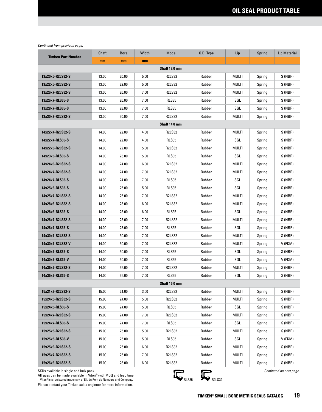|                           | Shaft | <b>Bore</b> | Width | Model         | 0.D. Type | Lip          | Spring | Lip Material |  |  |
|---------------------------|-------|-------------|-------|---------------|-----------|--------------|--------|--------------|--|--|
| <b>Timken Part Number</b> | mm    | mm          | mm    |               |           |              |        |              |  |  |
| Shaft 13.0 mm             |       |             |       |               |           |              |        |              |  |  |
| 13x20x5-R2LS32-S          | 13.00 | 20.00       | 5.00  | <b>R2LS32</b> | Rubber    | <b>MULTI</b> | Spring | S (NBR)      |  |  |
| 13x22x5-R2LS32-S          | 13.00 | 22.00       | 5.00  | <b>R2LS32</b> | Rubber    | MULTI        | Spring | S (NBR)      |  |  |
| 13x26x7-R2LS32-S          | 13.00 | 26.00       | 7.00  | <b>R2LS32</b> | Rubber    | MULTI        | Spring | S (NBR)      |  |  |
| 13x26x7-RLS35-S           | 13.00 | 26.00       | 7.00  | <b>RLS35</b>  | Rubber    | SGL          | Spring | S (NBR)      |  |  |
| 13x28x7-RLS35-S           | 13.00 | 28.00       | 7.00  | <b>RLS35</b>  | Rubber    | SGL          | Spring | S (NBR)      |  |  |
| 13x30x7-R2LS32-S          | 13.00 | 30.00       | 7.00  | <b>R2LS32</b> | Rubber    | <b>MULTI</b> | Spring | S (NBR)      |  |  |
|                           |       |             |       | Shaft 14.0 mm |           |              |        |              |  |  |
| 14x22x4-R2LS32-S          | 14.00 | 22.00       | 4.00  | <b>R2LS32</b> | Rubber    | <b>MULTI</b> | Spring | S (NBR)      |  |  |
| 14x22x4-RLS35-S           | 14.00 | 22.00       | 4.00  | <b>RLS35</b>  | Rubber    | SGL          | Spring | S (NBR)      |  |  |
| 14x22x5-R2LS32-S          | 14.00 | 22.00       | 5.00  | <b>R2LS32</b> | Rubber    | MULTI        | Spring | S (NBR)      |  |  |
| 14x23x5-RLS35-S           | 14.00 | 23.00       | 5.00  | RLS35         | Rubber    | SGL          | Spring | S (NBR)      |  |  |
| 14x24x6-R2LS32-S          | 14.00 | 24.00       | 6.00  | <b>R2LS32</b> | Rubber    | MULTI        | Spring | S (NBR)      |  |  |
| 14x24x7-R2LS32-S          | 14.00 | 24.00       | 7.00  | <b>R2LS32</b> | Rubber    | MULTI        | Spring | S (NBR)      |  |  |
| 14x24x7-RLS35-S           | 14.00 | 24.00       | 7.00  | <b>RLS35</b>  | Rubber    | SGL          | Spring | S (NBR)      |  |  |
| 14x25x5-RLS35-S           | 14.00 | 25.00       | 5.00  | <b>RLS35</b>  | Rubber    | SGL          | Spring | S (NBR)      |  |  |
| 14x25x7-R2LS32-S          | 14.00 | 25.00       | 7.00  | <b>R2LS32</b> | Rubber    | <b>MULTI</b> | Spring | S (NBR)      |  |  |
| 14x28x6-R2LS32-S          | 14.00 | 28.00       | 6.00  | <b>R2LS32</b> | Rubber    | MULTI        | Spring | S (NBR)      |  |  |
| 14x28x6-RLS35-S           | 14.00 | 28.00       | 6.00  | <b>RLS35</b>  | Rubber    | SGL          | Spring | S (NBR)      |  |  |
| 14x28x7-R2LS32-S          | 14.00 | 28.00       | 7.00  | <b>R2LS32</b> | Rubber    | MULTI        | Spring | S (NBR)      |  |  |
| 14x28x7-RLS35-S           | 14.00 | 28.00       | 7.00  | <b>RLS35</b>  | Rubber    | SGL          | Spring | S (NBR)      |  |  |
| 14x30x7-R2LS32-S          | 14.00 | 30.00       | 7.00  | <b>R2LS32</b> | Rubber    | MULTI        | Spring | S (NBR)      |  |  |
| 14x30x7-R2LS32-V          | 14.00 | 30.00       | 7.00  | <b>R2LS32</b> | Rubber    | MULTI        | Spring | V (FKM)      |  |  |
| 14x30x7-RLS35-S           | 14.00 | 30.00       | 7.00  | <b>RLS35</b>  | Rubber    | SGL          | Spring | S (NBR)      |  |  |
| 14x30x7-RLS35-V           | 14.00 | 30.00       | 7.00  | RLS35         | Rubber    | SGL          | Spring | V (FKM)      |  |  |
| 14x35x7-R2LS32-S          | 14.00 | 35.00       | 7.00  | <b>R2LS32</b> | Rubber    | MULTI        | Spring | S (NBR)      |  |  |
| 14x35x7-RLS35-S           | 14.00 | 35.00       | 7.00  | RLS35         | Rubber    | SGL          | Spring | S (NBR)      |  |  |
|                           |       |             |       | Shaft 15.0 mm |           |              |        |              |  |  |
| 15x21x3-R2LS32-S          | 15.00 | 21.00       | 3.00  | <b>R2LS32</b> | Rubber    | MULTI        | Spring | S (NBR)      |  |  |
| 15x24x5-R2LS32-S          | 15.00 | 24.00       | 5.00  | <b>R2LS32</b> | Rubber    | MULTI        | Spring | S (NBR)      |  |  |
| 15x24x5-RLS35-S           | 15.00 | 24.00       | 5.00  | RLS35         | Rubber    | SGL          | Spring | S (NBR)      |  |  |
| 15x24x7-R2LS32-S          | 15.00 | 24.00       | 7.00  | <b>R2LS32</b> | Rubber    | MULTI        | Spring | S (NBR)      |  |  |
| 15x24x7-RLS35-S           | 15.00 | 24.00       | 7.00  | RLS35         | Rubber    | SGL          | Spring | S (NBR)      |  |  |
| 15x25x5-R2LS32-S          | 15.00 | 25.00       | 5.00  | <b>R2LS32</b> | Rubber    | MULTI        | Spring | S (NBR)      |  |  |
| 15x25x5-RLS35-V           | 15.00 | 25.00       | 5.00  | RLS35         | Rubber    | SGL          | Spring | V (FKM)      |  |  |
| 15x25x6-R2LS32-S          | 15.00 | 25.00       | 6.00  | <b>R2LS32</b> | Rubber    | <b>MULTI</b> | Spring | S (NBR)      |  |  |
| 15x25x7-R2LS32-S          | 15.00 | 25.00       | 7.00  | <b>R2LS32</b> | Rubber    | MULTI        | Spring | S (NBR)      |  |  |
| 15x26x6-R2LS32-S          | 15.00 | 26.00       | 6.00  | <b>R2LS32</b> | Rubber    | <b>MULTI</b> | Spring | S (NBR)      |  |  |

SKUs available in single and bulk pack. *Continued on next page.*

All sizes can be made available in Viton® with MOQ and lead time.

 Viton® is a registered trademark of E.I. du Pont de Nemours and Company. Please contact your Timken sales engineer for more information.

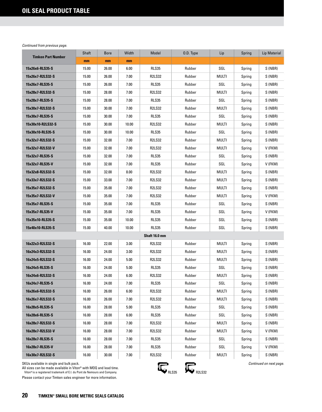| <b>Timken Part Number</b> | Shaft | <b>Bore</b> | Width | Model         | O.D. Type | Lip          | Spring | <b>Lip Material</b> |
|---------------------------|-------|-------------|-------|---------------|-----------|--------------|--------|---------------------|
|                           | mm    | mm          | mm    |               |           |              |        |                     |
| 15x26x6-RLS35-S           | 15.00 | 26.00       | 6.00  | <b>RLS35</b>  | Rubber    | SGL          | Spring | S (NBR)             |
| 15x26x7-R2LS32-S          | 15.00 | 26.00       | 7.00  | <b>R2LS32</b> | Rubber    | <b>MULTI</b> | Spring | S (NBR)             |
| 15x26x7-RLS35-S           | 15.00 | 26.00       | 7.00  | <b>RLS35</b>  | Rubber    | SGL          | Spring | S (NBR)             |
| 15x28x7-R2LS32-S          | 15.00 | 28.00       | 7.00  | <b>R2LS32</b> | Rubber    | MULTI        | Spring | S (NBR)             |
| 15x28x7-RLS35-S           | 15.00 | 28.00       | 7.00  | RLS35         | Rubber    | SGL          | Spring | S (NBR)             |
| 15x30x7-R2LS32-S          | 15.00 | 30.00       | 7.00  | <b>R2LS32</b> | Rubber    | MULTI        | Spring | S (NBR)             |
| 15x30x7-RLS35-S           | 15.00 | 30.00       | 7.00  | <b>RLS35</b>  | Rubber    | SGL          | Spring | S (NBR)             |
| 15x30x10-R2LS32-S         | 15.00 | 30.00       | 10.00 | R2LS32        | Rubber    | MULTI        | Spring | S (NBR)             |
| 15x30x10-RLS35-S          | 15.00 | 30.00       | 10.00 | RLS35         | Rubber    | SGL          | Spring | S (NBR)             |
| 15x32x7-R2LS32-S          | 15.00 | 32.00       | 7.00  | R2LS32        | Rubber    | MULTI        | Spring | S (NBR)             |
| 15x32x7-R2LS32-V          | 15.00 | 32.00       | 7.00  | <b>R2LS32</b> | Rubber    | MULTI        | Spring | V (FKM)             |
| 15x32x7-RLS35-S           | 15.00 | 32.00       | 7.00  | RLS35         | Rubber    | SGL          | Spring | S (NBR)             |
| 15x32x7-RLS35-V           | 15.00 | 32.00       | 7.00  | RLS35         | Rubber    | SGL          | Spring | V (FKM)             |
| 15x32x8-R2LS32-S          | 15.00 | 32.00       | 8.00  | <b>R2LS32</b> | Rubber    | MULTI        | Spring | S (NBR)             |
| 15x33x7-R2LS32-S          | 15.00 | 33.00       | 7.00  | <b>R2LS32</b> | Rubber    | MULTI        | Spring | S (NBR)             |
| 15x35x7-R2LS32-S          | 15.00 | 35.00       | 7.00  | <b>R2LS32</b> | Rubber    | MULTI        | Spring | S (NBR)             |
| 15x35x7-R2LS32-V          | 15.00 | 35.00       | 7.00  | <b>R2LS32</b> | Rubber    | MULTI        | Spring | V (FKM)             |
| 15x35x7-RLS35-S           | 15.00 | 35.00       | 7.00  | RLS35         | Rubber    | SGL          | Spring | S (NBR)             |
| 15x35x7-RLS35-V           | 15.00 | 35.00       | 7.00  | <b>RLS35</b>  | Rubber    | SGL          | Spring | V (FKM)             |
| 15x35x10-RLS35-S          | 15.00 | 35.00       | 10.00 | <b>RLS35</b>  | Rubber    | SGL          | Spring | S (NBR)             |
| 15x40x10-RLS35-S          | 15.00 | 40.00       | 10.00 | <b>RLS35</b>  | Rubber    | SGL          | Spring | S (NBR)             |
|                           |       |             |       | Shaft 16.0 mm |           |              |        |                     |
| 16x22x3-R2LS32-S          | 16.00 | 22.00       | 3.00  | <b>R2LS32</b> | Rubber    | <b>MULTI</b> | Spring | S (NBR)             |
| 16x24x3-R2LS32-S          | 16.00 | 24.00       | 3.00  | <b>R2LS32</b> | Rubber    | MULTI        | Spring | S (NBR)             |
| 16x24x5-R2LS32-S          | 16.00 | 24.00       | 5.00  | <b>R2LS32</b> | Rubber    | MULTI        | Spring | S (NBR)             |
| 16x24x5-RLS35-S           | 16.00 | 24.00       | 5.00  | RLS35         | Rubber    | SGL          | Spring | S (NBR)             |
| 16x24x6-R2LS32-S          | 16.00 | 24.00       | 6.00  | <b>R2LS32</b> | Rubber    | MULTI        | Spring | S (NBR)             |
| 16x24x7-RLS35-S           | 16.00 | 24.00       | 7.00  | <b>RLS35</b>  | Rubber    | SGL          | Spring | S (NBR)             |
| 16x26x6-R2LS32-S          | 16.00 | 26.00       | 6.00  | <b>R2LS32</b> | Rubber    | MULTI        | Spring | S (NBR)             |
| 16x26x7-R2LS32-S          | 16.00 | 26.00       | 7.00  | <b>R2LS32</b> | Rubber    | MULTI        | Spring | S (NBR)             |
| 16x28x5-RLS35-S           | 16.00 | 28.00       | 5.00  | RLS35         | Rubber    | SGL          | Spring | S (NBR)             |
| 16x28x6-RLS35-S           | 16.00 | 28.00       | 6.00  | RLS35         | Rubber    | SGL          | Spring | S (NBR)             |
| 16x28x7-R2LS32-S          | 16.00 | 28.00       | 7.00  | <b>R2LS32</b> | Rubber    | MULTI        | Spring | S (NBR)             |
| 16x28x7-R2LS32-V          | 16.00 | 28.00       | 7.00  | R2LS32        | Rubber    | MULTI        | Spring | V (FKM)             |
| 16x28x7-RLS35-S           | 16.00 | 28.00       | 7.00  | <b>RLS35</b>  | Rubber    | SGL          | Spring | S (NBR)             |
| 16x28x7-RLS35-V           | 16.00 | 28.00       | 7.00  | RLS35         | Rubber    | SGL          | Spring | V (FKM)             |
| 16x30x7-R2LS32-S          | 16.00 | 30.00       | 7.00  | R2LS32        | Rubber    | MULTI        | Spring | S (NBR)             |

SKUs available in single and bulk pack.

All sizes can be made available in Viton® with MOQ and lead time.<br>Viton®is a registered trademark of E.I. du Pont de Nemours and Company.

Please contact your Timken sales engineer for more information.

 $R_{RLS35}$   $R_{R2LS32}$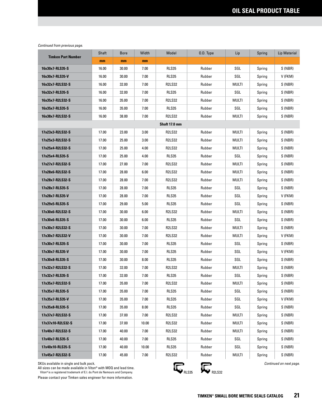| <b>Timken Part Number</b> | Shaft | <b>Bore</b> | Width | Model         | 0.D. Type | Lip          | Spring | Lip Material |  |
|---------------------------|-------|-------------|-------|---------------|-----------|--------------|--------|--------------|--|
|                           | mm    | mm          | mm    |               |           |              |        |              |  |
| 16x30x7-RLS35-S           | 16.00 | 30.00       | 7.00  | <b>RLS35</b>  | Rubber    | SGL          | Spring | S (NBR)      |  |
| 16x30x7-RLS35-V           | 16.00 | 30.00       | 7.00  | RLS35         | Rubber    | SGL          | Spring | V (FKM)      |  |
| 16x32x7-R2LS32-S          | 16.00 | 32.00       | 7.00  | <b>R2LS32</b> | Rubber    | MULTI        | Spring | S (NBR)      |  |
| 16x32x7-RLS35-S           | 16.00 | 32.00       | 7.00  | RLS35         | Rubber    | SGL          | Spring | S (NBR)      |  |
| 16x35x7-R2LS32-S          | 16.00 | 35.00       | 7.00  | <b>R2LS32</b> | Rubber    | MULTI        | Spring | S (NBR)      |  |
| 16x35x7-RLS35-S           | 16.00 | 35.00       | 7.00  | RLS35         | Rubber    | SGL          | Spring | S (NBR)      |  |
| 16x38x7-R2LS32-S          | 16.00 | 38.00       | 7.00  | <b>R2LS32</b> | Rubber    | MULTI        | Spring | S (NBR)      |  |
| Shaft 17.0 mm             |       |             |       |               |           |              |        |              |  |
| 17x23x3-R2LS32-S          | 17.00 | 23.00       | 3.00  | <b>R2LS32</b> | Rubber    | MULTI        | Spring | S (NBR)      |  |
| 17x25x3-R2LS32-S          | 17.00 | 25.00       | 3.00  | <b>R2LS32</b> | Rubber    | MULTI        | Spring | S (NBR)      |  |
| 17x25x4-R2LS32-S          | 17.00 | 25.00       | 4.00  | R2LS32        | Rubber    | MULTI        | Spring | S (NBR)      |  |
| 17x25x4-RLS35-S           | 17.00 | 25.00       | 4.00  | RLS35         | Rubber    | SGL          | Spring | S (NBR)      |  |
| 17x27x7-R2LS32-S          | 17.00 | 27.00       | 7.00  | <b>R2LS32</b> | Rubber    | MULTI        | Spring | S (NBR)      |  |
| 17x28x6-R2LS32-S          | 17.00 | 28.00       | 6.00  | <b>R2LS32</b> | Rubber    | MULTI        | Spring | S (NBR)      |  |
| 17x28x7-R2LS32-S          | 17.00 | 28.00       | 7.00  | <b>R2LS32</b> | Rubber    | MULTI        | Spring | S (NBR)      |  |
| 17x28x7-RLS35-S           | 17.00 | 28.00       | 7.00  | <b>RLS35</b>  | Rubber    | SGL          | Spring | S (NBR)      |  |
| 17x28x7-RLS35-V           | 17.00 | 28.00       | 7.00  | <b>RLS35</b>  | Rubber    | SGL          | Spring | V (FKM)      |  |
| 17x29x5-RLS35-S           | 17.00 | 29.00       | 5.00  | <b>RLS35</b>  | Rubber    | SGL          | Spring | S (NBR)      |  |
| 17x30x6-R2LS32-S          | 17.00 | 30.00       | 6.00  | <b>R2LS32</b> | Rubber    | MULTI        | Spring | S (NBR)      |  |
| 17x30x6-RLS35-S           | 17.00 | 30.00       | 6.00  | <b>RLS35</b>  | Rubber    | SGL          | Spring | S (NBR)      |  |
| 17x30x7-R2LS32-S          | 17.00 | 30.00       | 7.00  | <b>R2LS32</b> | Rubber    | MULTI        | Spring | S (NBR)      |  |
| 17x30x7-R2LS32-V          | 17.00 | 30.00       | 7.00  | <b>R2LS32</b> | Rubber    | MULTI        | Spring | V (FKM)      |  |
| 17x30x7-RLS35-S           | 17.00 | 30.00       | 7.00  | RLS35         | Rubber    | SGL          | Spring | S (NBR)      |  |
| 17x30x7-RLS35-V           | 17.00 | 30.00       | 7.00  | RLS35         | Rubber    | SGL          | Spring | V (FKM)      |  |
| 17x30x8-RLS35-S           | 17.00 | 30.00       | 8.00  | RLS35         | Rubber    | SGL          | Spring | S (NBR)      |  |
| 17x32x7-R2LS32-S          | 17.00 | 32.00       | 7.00  | <b>R2LS32</b> | Rubber    | MULTI        | Spring | S (NBR)      |  |
| 17x32x7-RLS35-S           | 17.00 | 32.00       | 7.00  | <b>RLS35</b>  | Rubber    | SGL          | Spring | S (NBR)      |  |
| 17x35x7-R2LS32-S          | 17.00 | 35.00       | 7.00  | <b>R2LS32</b> | Rubber    | <b>MULTI</b> | Spring | S (NBR)      |  |
| 17x35x7-RLS35-S           | 17.00 | 35.00       | 7.00  | RLS35         | Rubber    | SGL          | Spring | S (NBR)      |  |
| 17x35x7-RLS35-V           | 17.00 | 35.00       | 7.00  | RLS35         | Rubber    | SGL          | Spring | V (FKM)      |  |
| 17x35x8-RLS35-S           | 17.00 | 35.00       | 8.00  | RLS35         | Rubber    | SGL          | Spring | S (NBR)      |  |
| 17x37x7-R2LS32-S          | 17.00 | 37.00       | 7.00  | <b>R2LS32</b> | Rubber    | MULTI        | Spring | S (NBR)      |  |
| 17x37x10-R2LS32-S         | 17.00 | 37.00       | 10.00 | R2LS32        | Rubber    | MULTI        | Spring | S (NBR)      |  |
| 17x40x7-R2LS32-S          | 17.00 | 40.00       | 7.00  | R2LS32        | Rubber    | MULTI        | Spring | S (NBR)      |  |
| 17x40x7-RLS35-S           | 17.00 | 40.00       | 7.00  | RLS35         | Rubber    | SGL          | Spring | S (NBR)      |  |
| 17x40x10-RLS35-S          | 17.00 | 40.00       | 10.00 | RLS35         | Rubber    | SGL          | Spring | S (NBR)      |  |
| 17x45x7-R2LS32-S          | 17.00 | 45.00       | 7.00  | <b>R2LS32</b> | Rubber    | MULTI        | Spring | S (NBR)      |  |

SKUs available in single and bulk pack.

All sizes can be made available in Viton® with MOQ and lead time.<br>Viton®is a registered trademark of E.I. du Pont de Nemours and Company.

Please contact your Timken sales engineer for more information.

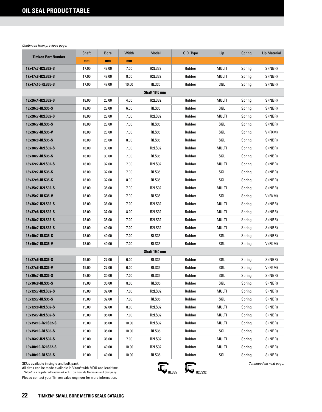| <b>Timken Part Number</b> | Shaft | <b>Bore</b> | Width | Model         | 0.D. Type | Lip          | Spring | Lip Material |
|---------------------------|-------|-------------|-------|---------------|-----------|--------------|--------|--------------|
|                           | mm    | mm          | mm    |               |           |              |        |              |
| 17x47x7-R2LS32-S          | 17.00 | 47.00       | 7.00  | <b>R2LS32</b> | Rubber    | <b>MULTI</b> | Spring | S (NBR)      |
| 17x47x8-R2LS32-S          | 17.00 | 47.00       | 8.00  | <b>R2LS32</b> | Rubber    | MULTI        | Spring | S (NBR)      |
| 17x47x10-RLS35-S          | 17.00 | 47.00       | 10.00 | RLS35         | Rubber    | SGL          | Spring | S (NBR)      |
|                           |       |             |       | Shaft 18.0 mm |           |              |        |              |
| 18x26x4-R2LS32-S          | 18.00 | 26.00       | 4.00  | <b>R2LS32</b> | Rubber    | MULTI        | Spring | S (NBR)      |
| 18x28x6-RLS35-S           | 18.00 | 28.00       | 6.00  | RLS35         | Rubber    | SGL          | Spring | S (NBR)      |
| 18x28x7-R2LS32-S          | 18.00 | 28.00       | 7.00  | <b>R2LS32</b> | Rubber    | MULTI        | Spring | S (NBR)      |
| 18x28x7-RLS35-S           | 18.00 | 28.00       | 7.00  | RLS35         | Rubber    | SGL          | Spring | S (NBR)      |
| 18x28x7-RLS35-V           | 18.00 | 28.00       | 7.00  | <b>RLS35</b>  | Rubber    | SGL          | Spring | V (FKM)      |
| 18x28x8-RLS35-S           | 18.00 | 28.00       | 8.00  | <b>RLS35</b>  | Rubber    | SGL          | Spring | S (NBR)      |
| 18x30x7-R2LS32-S          | 18.00 | 30.00       | 7.00  | <b>R2LS32</b> | Rubber    | MULTI        | Spring | S (NBR)      |
| 18x30x7-RLS35-S           | 18.00 | 30.00       | 7.00  | RLS35         | Rubber    | SGL          | Spring | S (NBR)      |
| 18x32x7-R2LS32-S          | 18.00 | 32.00       | 7.00  | R2LS32        | Rubber    | MULTI        | Spring | S (NBR)      |
| 18x32x7-RLS35-S           | 18.00 | 32.00       | 7.00  | RLS35         | Rubber    | SGL          | Spring | S (NBR)      |
| 18x32x8-RLS35-S           | 18.00 | 32.00       | 8.00  | RLS35         | Rubber    | SGL          | Spring | S (NBR)      |
| 18x35x7-R2LS32-S          | 18.00 | 35.00       | 7.00  | <b>R2LS32</b> | Rubber    | <b>MULTI</b> | Spring | S (NBR)      |
| 18x35x7-RLS35-V           | 18.00 | 35.00       | 7.00  | <b>RLS35</b>  | Rubber    | SGL          | Spring | V (FKM)      |
| 18x36x7-R2LS32-S          | 18.00 | 36.00       | 7.00  | <b>R2LS32</b> | Rubber    | MULTI        | Spring | S (NBR)      |
| 18x37x8-R2LS32-S          | 18.00 | 37.00       | 8.00  | <b>R2LS32</b> | Rubber    | MULTI        | Spring | S (NBR)      |
| 18x38x7-R2LS32-S          | 18.00 | 38.00       | 7.00  | <b>R2LS32</b> | Rubber    | MULTI        | Spring | S (NBR)      |
| 18x40x7-R2LS32-S          | 18.00 | 40.00       | 7.00  | <b>R2LS32</b> | Rubber    | MULTI        | Spring | S (NBR)      |
| 18x40x7-RLS35-S           | 18.00 | 40.00       | 7.00  | <b>RLS35</b>  | Rubber    | SGL          | Spring | S (NBR)      |
| 18x40x7-RLS35-V           | 18.00 | 40.00       | 7.00  | <b>RLS35</b>  | Rubber    | SGL          | Spring | V (FKM)      |
|                           |       |             |       | Shaft 19.0 mm |           |              |        |              |
| 19x27x6-RLS35-S           | 19.00 | 27.00       | 6.00  | RLS35         | Rubber    | SGL          | Spring | S (NBR)      |
| 19x27x6-RLS35-V           | 19.00 | 27.00       | 6.00  | RLS35         | Rubber    | SGL          | Spring | V (FKM)      |
| 19x30x7-RLS35-S           | 19.00 | 30.00       | 7.00  | RLS35         | Rubber    | SGL          | Spring | S (NBR)      |
| 19x30x8-RLS35-S           | 19.00 | 30.00       | 8.00  | RLS35         | Rubber    | SGL          | Spring | S (NBR)      |
| 19x32x7-R2LS32-S          | 19.00 | 32.00       | 7.00  | R2LS32        | Rubber    | MULTI        | Spring | S (NBR)      |
| 19x32x7-RLS35-S           | 19.00 | 32.00       | 7.00  | <b>RLS35</b>  | Rubber    | SGL          | Spring | S (NBR)      |
| 19x32x8-R2LS32-S          | 19.00 | 32.00       | 8.00  | R2LS32        | Rubber    | MULTI        | Spring | S (NBR)      |
| 19x35x7-R2LS32-S          | 19.00 | 35.00       | 7.00  | R2LS32        | Rubber    | MULTI        | Spring | S (NBR)      |
| 19x35x10-R2LS32-S         | 19.00 | 35.00       | 10.00 | R2LS32        | Rubber    | MULTI        | Spring | S (NBR)      |
| 19x35x10-RLS35-S          | 19.00 | 35.00       | 10.00 | RLS35         | Rubber    | SGL          | Spring | S (NBR)      |
| 19x36x7-R2LS32-S          | 19.00 | 36.00       | 7.00  | R2LS32        | Rubber    | MULTI        | Spring | S (NBR)      |
| 19x40x10-R2LS32-S         | 19.00 | 40.00       | 10.00 | R2LS32        | Rubber    | MULTI        | Spring | S (NBR)      |
| 19x40x10-RLS35-S          | 19.00 | 40.00       | 10.00 | RLS35         | Rubber    | SGL          | Spring | S (NBR)      |

SKUs available in single and bulk pack.

All sizes can be made available in Viton® with MOQ and lead time.<br>Viton®is a registered trademark of E.I. du Pont de Nemours and Company.

Please contact your Timken sales engineer for more information.

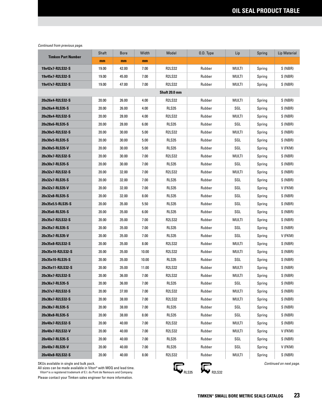| <b>Timken Part Number</b> | Shaft | <b>Bore</b> | Width | Model         | 0.D. Type | Lip   | Spring | Lip Material |
|---------------------------|-------|-------------|-------|---------------|-----------|-------|--------|--------------|
|                           | mm    | mm          | mm    |               |           |       |        |              |
| 19x42x7-R2LS32-S          | 19.00 | 42.00       | 7.00  | <b>R2LS32</b> | Rubber    | MULTI | Spring | S (NBR)      |
| 19x45x7-R2LS32-S          | 19.00 | 45.00       | 7.00  | <b>R2LS32</b> | Rubber    | MULTI | Spring | S (NBR)      |
| 19x47x7-R2LS32-S          | 19.00 | 47.00       | 7.00  | <b>R2LS32</b> | Rubber    | MULTI | Spring | S (NBR)      |
|                           |       |             |       | Shaft 20.0 mm |           |       |        |              |
| 20x26x4-R2LS32-S          | 20.00 | 26.00       | 4.00  | <b>R2LS32</b> | Rubber    | MULTI | Spring | S (NBR)      |
| 20x26x4-RLS35-S           | 20.00 | 26.00       | 4.00  | <b>RLS35</b>  | Rubber    | SGL   | Spring | S (NBR)      |
| 20x28x4-R2LS32-S          | 20.00 | 28.00       | 4.00  | <b>R2LS32</b> | Rubber    | MULTI | Spring | S (NBR)      |
| 20x28x6-RLS35-S           | 20.00 | 28.00       | 6.00  | RLS35         | Rubber    | SGL   | Spring | S (NBR)      |
| 20x30x5-R2LS32-S          | 20.00 | 30.00       | 5.00  | <b>R2LS32</b> | Rubber    | MULTI | Spring | S (NBR)      |
| 20x30x5-RLS35-S           | 20.00 | 30.00       | 5.00  | RLS35         | Rubber    | SGL   | Spring | S (NBR)      |
| 20x30x5-RLS35-V           | 20.00 | 30.00       | 5.00  | <b>RLS35</b>  | Rubber    | SGL   | Spring | V (FKM)      |
| 20x30x7-R2LS32-S          | 20.00 | 30.00       | 7.00  | <b>R2LS32</b> | Rubber    | MULTI | Spring | S (NBR)      |
| 20x30x7-RLS35-S           | 20.00 | 30.00       | 7.00  | <b>RLS35</b>  | Rubber    | SGL   | Spring | S (NBR)      |
| 20x32x7-R2LS32-S          | 20.00 | 32.00       | 7.00  | <b>R2LS32</b> | Rubber    | MULTI | Spring | S (NBR)      |
| 20x32x7-RLS35-S           | 20.00 | 32.00       | 7.00  | <b>RLS35</b>  | Rubber    | SGL   | Spring | S (NBR)      |
| 20x32x7-RLS35-V           | 20.00 | 32.00       | 7.00  | <b>RLS35</b>  | Rubber    | SGL   | Spring | V (FKM)      |
| 20x32x8-RLS35-S           | 20.00 | 32.00       | 8.00  | <b>RLS35</b>  | Rubber    | SGL   | Spring | S (NBR)      |
| 20x35x5.5-RLS35-S         | 20.00 | 35.00       | 5.50  | <b>RLS35</b>  | Rubber    | SGL   | Spring | S (NBR)      |
| 20x35x6-RLS35-S           | 20.00 | 35.00       | 6.00  | <b>RLS35</b>  | Rubber    | SGL   | Spring | S (NBR)      |
| 20x35x7-R2LS32-S          | 20.00 | 35.00       | 7.00  | <b>R2LS32</b> | Rubber    | MULTI | Spring | S (NBR)      |
| 20x35x7-RLS35-S           | 20.00 | 35.00       | 7.00  | <b>RLS35</b>  | Rubber    | SGL   | Spring | S (NBR)      |
| 20x35x7-RLS35-V           | 20.00 | 35.00       | 7.00  | RLS35         | Rubber    | SGL   | Spring | V (FKM)      |
| 20x35x8-R2LS32-S          | 20.00 | 35.00       | 8.00  | <b>R2LS32</b> | Rubber    | MULTI | Spring | S (NBR)      |
| 20x35x10-R2LS32-S         | 20.00 | 35.00       | 10.00 | <b>R2LS32</b> | Rubber    | MULTI | Spring | S (NBR)      |
| 20x35x10-RLS35-S          | 20.00 | 35.00       | 10.00 | RLS35         | Rubber    | SGL   | Spring | S (NBR)      |
| 20x35x11-R2LS32-S         | 20.00 | 35.00       | 11.00 | <b>R2LS32</b> | Rubber    | MULTI | Spring | S (NBR)      |
| 20x36x7-R2LS32-S          | 20.00 | 36.00       | 7.00  | <b>R2LS32</b> | Rubber    | MULTI | Spring | S (NBR)      |
| 20x36x7-RLS35-S           | 20.00 | 36.00       | 7.00  | <b>RLS35</b>  | Rubber    | SGL   | Spring | S (NBR)      |
| 20x37x7-R2LS32-S          | 20.00 | 37.00       | 7.00  | R2LS32        | Rubber    | MULTI | Spring | S (NBR)      |
| 20x38x7-R2LS32-S          | 20.00 | 38.00       | 7.00  | <b>R2LS32</b> | Rubber    | MULTI | Spring | S (NBR)      |
| 20x38x7-RLS35-S           | 20.00 | 38.00       | 7.00  | RLS35         | Rubber    | SGL   | Spring | S (NBR)      |
| 20x38x8-RLS35-S           | 20.00 | 38.00       | 8.00  | <b>RLS35</b>  | Rubber    | SGL   | Spring | S (NBR)      |
| 20x40x7-R2LS32-S          | 20.00 | 40.00       | 7.00  | <b>R2LS32</b> | Rubber    | MULTI | Spring | S (NBR)      |
| 20x40x7-R2LS32-V          | 20.00 | 40.00       | 7.00  | <b>R2LS32</b> | Rubber    | MULTI | Spring | V (FKM)      |
| 20x40x7-RLS35-S           | 20.00 | 40.00       | 7.00  | RLS35         | Rubber    | SGL   | Spring | S (NBR)      |
| 20x40x7-RLS35-V           | 20.00 | 40.00       | 7.00  | <b>RLS35</b>  | Rubber    | SGL   | Spring | V (FKM)      |
| 20x40x8-R2LS32-S          | 20.00 | 40.00       | 8.00  | <b>R2LS32</b> | Rubber    | MULTI | Spring | S (NBR)      |

SKUs available in single and bulk pack.

All sizes can be made available in Viton® with MOQ and lead time.<br>Viton®is a registered trademark of E.I. du Pont de Nemours and Company.



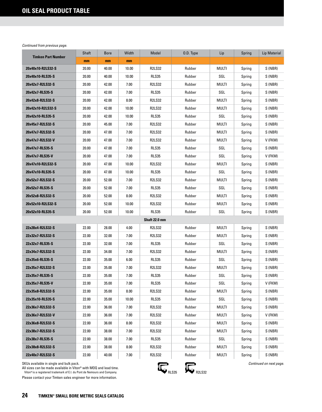| <b>Timken Part Number</b> | Shaft | <b>Bore</b> | Width | Model         | O.D. Type | Lip   | Spring | <b>Lip Material</b> |
|---------------------------|-------|-------------|-------|---------------|-----------|-------|--------|---------------------|
|                           | mm    | mm          | mm    |               |           |       |        |                     |
| 20x40x10-R2LS32-S         | 20.00 | 40.00       | 10.00 | <b>R2LS32</b> | Rubber    | MULTI | Spring | S (NBR)             |
| 20x40x10-RLS35-S          | 20.00 | 40.00       | 10.00 | <b>RLS35</b>  | Rubber    | SGL   | Spring | S (NBR)             |
| 20x42x7-R2LS32-S          | 20.00 | 42.00       | 7.00  | R2LS32        | Rubber    | MULTI | Spring | S (NBR)             |
| 20x42x7-RLS35-S           | 20.00 | 42.00       | 7.00  | RLS35         | Rubber    | SGL   | Spring | S (NBR)             |
| 20x42x8-R2LS32-S          | 20.00 | 42.00       | 8.00  | R2LS32        | Rubber    | MULTI | Spring | S (NBR)             |
| 20x42x10-R2LS32-S         | 20.00 | 42.00       | 10.00 | R2LS32        | Rubber    | MULTI | Spring | S (NBR)             |
| 20x42x10-RLS35-S          | 20.00 | 42.00       | 10.00 | <b>RLS35</b>  | Rubber    | SGL   | Spring | S (NBR)             |
| 20x45x7-R2LS32-S          | 20.00 | 45.00       | 7.00  | <b>R2LS32</b> | Rubber    | MULTI | Spring | S (NBR)             |
| 20x47x7-R2LS32-S          | 20.00 | 47.00       | 7.00  | <b>R2LS32</b> | Rubber    | MULTI | Spring | S (NBR)             |
| 20x47x7-R2LS32-V          | 20.00 | 47.00       | 7.00  | <b>R2LS32</b> | Rubber    | MULTI | Spring | V (FKM)             |
| 20x47x7-RLS35-S           | 20.00 | 47.00       | 7.00  | <b>RLS35</b>  | Rubber    | SGL   | Spring | S (NBR)             |
| 20x47x7-RLS35-V           | 20.00 | 47.00       | 7.00  | RLS35         | Rubber    | SGL   | Spring | V (FKM)             |
| 20x47x10-R2LS32-S         | 20.00 | 47.00       | 10.00 | <b>R2LS32</b> | Rubber    | MULTI | Spring | S (NBR)             |
| 20x47x10-RLS35-S          | 20.00 | 47.00       | 10.00 | <b>RLS35</b>  | Rubber    | SGL   | Spring | S (NBR)             |
| 20x52x7-R2LS32-S          | 20.00 | 52.00       | 7.00  | <b>R2LS32</b> | Rubber    | MULTI | Spring | S (NBR)             |
| 20x52x7-RLS35-S           | 20.00 | 52.00       | 7.00  | RLS35         | Rubber    | SGL   | Spring | S (NBR)             |
| 20x52x8-R2LS32-S          | 20.00 | 52.00       | 8.00  | <b>R2LS32</b> | Rubber    | MULTI | Spring | S (NBR)             |
| 20x52x10-R2LS32-S         | 20.00 | 52.00       | 10.00 | <b>R2LS32</b> | Rubber    | MULTI | Spring | S (NBR)             |
| 20x52x10-RLS35-S          | 20.00 | 52.00       | 10.00 | <b>RLS35</b>  | Rubber    | SGL   | Spring | S(NBR)              |
|                           |       |             |       | Shaft 22.0 mm |           |       |        |                     |
| 22x28x4-R2LS32-S          | 22.00 | 28.00       | 4.00  | <b>R2LS32</b> | Rubber    | MULTI | Spring | S (NBR)             |
| 22x32x7-R2LS32-S          | 22.00 | 32.00       | 7.00  | <b>R2LS32</b> | Rubber    | MULTI | Spring | S (NBR)             |
| 22x32x7-RLS35-S           | 22.00 | 32.00       | 7.00  | <b>RLS35</b>  | Rubber    | SGL   | Spring | S (NBR)             |
| 22x34x7-R2LS32-S          | 22.00 | 34.00       | 7.00  | R2LS32        | Rubber    | MULTI | Spring | S (NBR)             |
| 22x35x6-RLS35-S           | 22.00 | 35.00       | 6.00  | <b>RLS35</b>  | Rubber    | SGL   | Spring | S (NBR)             |
| 22x35x7-R2LS32-S          | 22.00 | 35.00       | 7.00  | R2LS32        | Rubber    | MULTI | Spring | S (NBR)             |
| 22x35x7-RLS35-S           | 22.00 | 35.00       | 7.00  | <b>RLS35</b>  | Rubber    | SGL   | Spring | S (NBR)             |
| 22x35x7-RLS35-V           | 22.00 | 35.00       | 7.00  | <b>RLS35</b>  | Rubber    | SGL   | Spring | V (FKM)             |
| 22x35x8-R2LS32-S          | 22.00 | 35.00       | 8.00  | R2LS32        | Rubber    | MULTI | Spring | S (NBR)             |
| 22x35x10-RLS35-S          | 22.00 | 35.00       | 10.00 | RLS35         | Rubber    | SGL   | Spring | S (NBR)             |
| 22x36x7-R2LS32-S          | 22.00 | 36.00       | 7.00  | <b>R2LS32</b> | Rubber    | MULTI | Spring | S (NBR)             |
| 22x36x7-R2LS32-V          | 22.00 | 36.00       | 7.00  | R2LS32        | Rubber    | MULTI | Spring | V (FKM)             |
| 22x36x8-R2LS32-S          | 22.00 | 36.00       | 8.00  | <b>R2LS32</b> | Rubber    | MULTI | Spring | S (NBR)             |
| 22x38x7-R2LS32-S          | 22.00 | 38.00       | 7.00  | R2LS32        | Rubber    | MULTI | Spring | S (NBR)             |
| 22x38x7-RLS35-S           | 22.00 | 38.00       | 7.00  | RLS35         | Rubber    | SGL   | Spring | S (NBR)             |
| 22x38x8-R2LS32-S          | 22.00 | 38.00       | 8.00  | R2LS32        | Rubber    | MULTI | Spring | S (NBR)             |
| 22x40x7-R2LS32-S          | 22.00 | 40.00       | 7.00  | R2LS32        | Rubber    | MULTI | Spring | S (NBR)             |

SKUs available in single and bulk pack.

All sizes can be made available in Viton® with MOQ and lead time.<br>Viton®is a registered trademark of E.I. du Pont de Nemours and Company.

Please contact your Timken sales engineer for more information.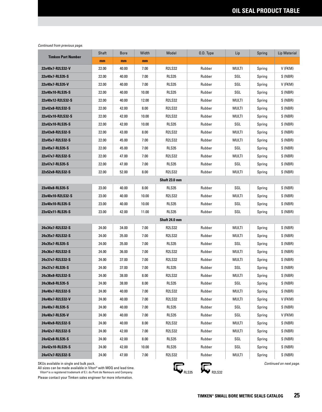| <b>Timken Part Number</b> | Shaft | <b>Bore</b> | Width | Model         | 0.D. Type | Lip          | Spring | <b>Lip Material</b> |  |  |
|---------------------------|-------|-------------|-------|---------------|-----------|--------------|--------|---------------------|--|--|
|                           | mm    | mm          | mm    |               |           |              |        |                     |  |  |
| 22x40x7-R2LS32-V          | 22.00 | 40.00       | 7.00  | <b>R2LS32</b> | Rubber    | MULTI        | Spring | V (FKM)             |  |  |
| 22x40x7-RLS35-S           | 22.00 | 40.00       | 7.00  | RLS35         | Rubber    | SGL          | Spring | S (NBR)             |  |  |
| 22x40x7-RLS35-V           | 22.00 | 40.00       | 7.00  | RLS35         | Rubber    | SGL          | Spring | V (FKM)             |  |  |
| 22x40x10-RLS35-S          | 22.00 | 40.00       | 10.00 | <b>RLS35</b>  | Rubber    | SGL          | Spring | S (NBR)             |  |  |
| 22x40x12-R2LS32-S         | 22.00 | 40.00       | 12.00 | <b>R2LS32</b> | Rubber    | MULTI        | Spring | S (NBR)             |  |  |
| 22x42x8-R2LS32-S          | 22.00 | 42.00       | 8.00  | <b>R2LS32</b> | Rubber    | MULTI        | Spring | S (NBR)             |  |  |
| 22x42x10-R2LS32-S         | 22.00 | 42.00       | 10.00 | <b>R2LS32</b> | Rubber    | MULTI        | Spring | S (NBR)             |  |  |
| 22x42x10-RLS35-S          | 22.00 | 42.00       | 10.00 | RLS35         | Rubber    | SGL          | Spring | S (NBR)             |  |  |
| 22x43x8-R2LS32-S          | 22.00 | 43.00       | 8.00  | <b>R2LS32</b> | Rubber    | MULTI        | Spring | S (NBR)             |  |  |
| 22x45x7-R2LS32-S          | 22.00 | 45.00       | 7.00  | R2LS32        | Rubber    | MULTI        | Spring | S (NBR)             |  |  |
| 22x45x7-RLS35-S           | 22.00 | 45.00       | 7.00  | <b>RLS35</b>  | Rubber    | SGL          | Spring | S (NBR)             |  |  |
| 22x47x7-R2LS32-S          | 22.00 | 47.00       | 7.00  | <b>R2LS32</b> | Rubber    | MULTI        | Spring | S (NBR)             |  |  |
| 22x47x7-RLS35-S           | 22.00 | 47.00       | 7.00  | RLS35         | Rubber    | SGL          | Spring | S (NBR)             |  |  |
| 22x52x8-R2LS32-S          | 22.00 | 52.00       | 8.00  | <b>R2LS32</b> | Rubber    | MULTI        | Spring | S (NBR)             |  |  |
| Shaft 23.0 mm             |       |             |       |               |           |              |        |                     |  |  |
| 23x40x8-RLS35-S           | 23.00 | 40.00       | 8.00  | <b>RLS35</b>  | Rubber    | SGL          | Spring | S (NBR)             |  |  |
| 23x40x10-R2LS32-S         | 23.00 | 40.00       | 10.00 | <b>R2LS32</b> | Rubber    | MULTI        | Spring | S (NBR)             |  |  |
| 23x40x10-RLS35-S          | 23.00 | 40.00       | 10.00 | <b>RLS35</b>  | Rubber    | SGL          | Spring | S (NBR)             |  |  |
| 23x42x11-RLS35-S          | 23.00 | 42.00       | 11.00 | <b>RLS35</b>  | Rubber    | SGL          | Spring | S (NBR)             |  |  |
|                           |       |             |       | Shaft 24.0 mm |           |              |        |                     |  |  |
| 24x34x7-R2LS32-S          | 24.00 | 34.00       | 7.00  | <b>R2LS32</b> | Rubber    | <b>MULTI</b> | Spring | S (NBR)             |  |  |
| 24x35x7-R2LS32-S          | 24.00 | 35.00       | 7.00  | R2LS32        | Rubber    | MULTI        | Spring | S (NBR)             |  |  |
| 24x35x7-RLS35-S           | 24.00 | 35.00       | 7.00  | <b>RLS35</b>  | Rubber    | SGL          | Spring | S (NBR)             |  |  |
| 24x36x7-R2LS32-S          | 24.00 | 36.00       | 7.00  | <b>R2LS32</b> | Rubber    | MULTI        | Spring | S (NBR)             |  |  |
| 24x37x7-R2LS32-S          | 24.00 | 37.00       | 7.00  | <b>R2LS32</b> | Rubber    | MULTI        | Spring | S (NBR)             |  |  |
| 24x37x7-RLS35-S           | 24.00 | 37.00       | 7.00  | RLS35         | Rubber    | SGL          | Spring | S (NBR)             |  |  |
| 24x38x8-R2LS32-S          | 24.00 | 38.00       | 8.00  | <b>R2LS32</b> | Rubber    | MULTI        | Spring | S (NBR)             |  |  |
| 24x38x8-RLS35-S           | 24.00 | 38.00       | 8.00  | RLS35         | Rubber    | SGL          | Spring | S (NBR)             |  |  |
| 24x40x7-R2LS32-S          | 24.00 | 40.00       | 7.00  | <b>R2LS32</b> | Rubber    | Multi        | Spring | S (NBR)             |  |  |
| 24x40x7-R2LS32-V          | 24.00 | 40.00       | 7.00  | <b>R2LS32</b> | Rubber    | Multi        | Spring | V (FKM)             |  |  |
| 24x40x7-RLS35-S           | 24.00 | 40.00       | 7.00  | RLS35         | Rubber    | SGL          | Spring | S (NBR)             |  |  |
| 24x40x7-RLS35-V           | 24.00 | 40.00       | 7.00  | RLS35         | Rubber    | SGL          | Spring | V (FKM)             |  |  |
| 24x40x8-R2LS32-S          | 24.00 | 40.00       | 8.00  | <b>R2LS32</b> | Rubber    | MULTI        | Spring | S (NBR)             |  |  |
| 24x42x7-R2LS32-S          | 24.00 | 42.00       | 7.00  | R2LS32        | Rubber    | multi        | Spring | S (NBR)             |  |  |
| 24x42x8-RLS35-S           | 24.00 | 42.00       | 8.00  | RLS35         | Rubber    | SGL          | Spring | S (NBR)             |  |  |
| 24x42x10-RLS35-S          | 24.00 | 42.00       | 10.00 | RLS35         | Rubber    | SGL          | Spring | S (NBR)             |  |  |
| 24x47x7-R2LS32-S          | 24.00 | 47.00       | 7.00  | R2LS32        | Rubber    | MULTI        | Spring | S (NBR)             |  |  |

SKUs available in single and bulk pack.

All sizes can be made available in Viton® with MOQ and lead time.<br>Viton®is a registered trademark of E.I. du Pont de Nemours and Company.



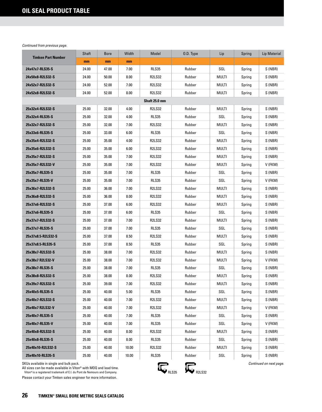|                           | Shaft | <b>Bore</b> | Width | Model         | 0.D. Type | Lip          | Spring | Lip Material |
|---------------------------|-------|-------------|-------|---------------|-----------|--------------|--------|--------------|
| <b>Timken Part Number</b> | mm    | mm          | mm    |               |           |              |        |              |
| 24x47x7-RLS35-S           | 24.00 | 47.00       | 7.00  | <b>RLS35</b>  | Rubber    | SGL          | Spring | S (NBR)      |
| 24x50x8-R2LS32-S          | 24.00 | 50.00       | 8.00  | <b>R2LS32</b> | Rubber    | MULTI        | Spring | S (NBR)      |
| 24x52x7-R2LS32-S          | 24.00 | 52.00       | 7.00  | <b>R2LS32</b> | Rubber    | MULTI        | Spring | S (NBR)      |
| 24x52x8-R2LS32-S          | 24.00 | 52.00       | 8.00  | <b>R2LS32</b> | Rubber    | MULTI        | Spring | S (NBR)      |
|                           |       |             |       | Shaft 25.0 mm |           |              |        |              |
| 25x32x4-R2LS32-S          | 25.00 | 32.00       | 4.00  | <b>R2LS32</b> | Rubber    | MULTI        | Spring | S (NBR)      |
| 25x32x4-RLS35-S           | 25.00 | 32.00       | 4.00  | <b>RLS35</b>  | Rubber    | SGL          | Spring | S (NBR)      |
| 25x32x7-R2LS32-S          | 25.00 | 32.00       | 7.00  | <b>R2LS32</b> | Rubber    | MULTI        | Spring | S (NBR)      |
| 25x33x6-RLS35-S           | 25.00 | 33.00       | 6.00  | <b>RLS35</b>  | Rubber    | SGL          | Spring | S (NBR)      |
| 25x35x4-R2LS32-S          | 25.00 | 35.00       | 4.00  | <b>R2LS32</b> | Rubber    | MULTI        | Spring | S (NBR)      |
| 25x35x6-R2LS32-S          | 25.00 | 35.00       | 6.00  | <b>R2LS32</b> | Rubber    | MULTI        | Spring | S (NBR)      |
| 25x35x7-R2LS32-S          | 25.00 | 35.00       | 7.00  | <b>R2LS32</b> | Rubber    | MULTI        | Spring | S (NBR)      |
| 25x35x7-R2LS32-V          | 25.00 | 35.00       | 7.00  | <b>R2LS32</b> | Rubber    | MULTI        | Spring | V (FKM)      |
| 25x35x7-RLS35-S           | 25.00 | 35.00       | 7.00  | <b>RLS35</b>  | Rubber    | SGL          | Spring | S (NBR)      |
| 25x35x7-RLS35-V           | 25.00 | 35.00       | 7.00  | RLS35         | Rubber    | SGL          | Spring | V (FKM)      |
| 25x36x7-R2LS32-S          | 25.00 | 36.00       | 7.00  | <b>R2LS32</b> | Rubber    | <b>MULTI</b> | Spring | S (NBR)      |
| 25x36x8-R2LS32-S          | 25.00 | 36.00       | 8.00  | <b>R2LS32</b> | Rubber    | MULTI        | Spring | S (NBR)      |
| 25x37x6-R2LS32-S          | 25.00 | 37.00       | 6.00  | <b>R2LS32</b> | Rubber    | MULTI        | Spring | S (NBR)      |
| 25x37x6-RLS35-S           | 25.00 | 37.00       | 6.00  | RLS35         | Rubber    | SGL          | Spring | S (NBR)      |
| 25x37x7-R2LS32-S          | 25.00 | 37.00       | 7.00  | <b>R2LS32</b> | Rubber    | <b>MULTI</b> | Spring | S (NBR)      |
| 25x37x7-RLS35-S           | 25.00 | 37.00       | 7.00  | RLS35         | Rubber    | SGL          | Spring | S (NBR)      |
| 25x37x8.5-R2LS32-S        | 25.00 | 37.00       | 8.50  | <b>R2LS32</b> | Rubber    | MULTI        | Spring | S (NBR)      |
| 25x37x8.5-RLS35-S         | 25.00 | 37.00       | 8.50  | <b>RLS35</b>  | Rubber    | SGL          | Spring | S (NBR)      |
| 25x38x7-R2LS32-S          | 25.00 | 38.00       | 7.00  | <b>R2LS32</b> | Rubber    | MULTI        | Spring | S (NBR)      |
| 25x38x7 R2LS32-V          | 25.00 | 38.00       | 7.00  | <b>R2LS32</b> | Rubber    | MULTI        | Spring | V (FKM)      |
| 25x38x7-RLS35-S           | 25.00 | 38.00       | 7.00  | RLS35         | Rubber    | SGL          | Spring | S (NBR)      |
| 25x38x8-R2LS32-S          | 25.00 | 38.00       | 8.00  | <b>R2LS32</b> | Rubber    | <b>MULTI</b> | Spring | S (NBR)      |
| 25x39x7-R2LS32-S          | 25.00 | 39.00       | 7.00  | <b>R2LS32</b> | Rubber    | MULTI        | Spring | S (NBR)      |
| 25x40x5-RLS35-S           | 25.00 | 40.00       | 5.00  | RLS35         | Rubber    | SGL          | Spring | S (NBR)      |
| 25x40x7-R2LS32-S          | 25.00 | 40.00       | 7.00  | <b>R2LS32</b> | Rubber    | MULTI        | Spring | S (NBR)      |
| 25x40x7 R2LS32-V          | 25.00 | 40.00       | 7.00  | <b>R2LS32</b> | Rubber    | MULTI        | Spring | V (FKM)      |
| 25x40x7-RLS35-S           | 25.00 | 40.00       | 7.00  | <b>RLS35</b>  | Rubber    | SGL          | Spring | S (NBR)      |
| 25x40x7-RLS35-V           | 25.00 | 40.00       | 7.00  | <b>RLS35</b>  | Rubber    | SGL          | Spring | V (FKM)      |
| 25x40x8-R2LS32-S          | 25.00 | 40.00       | 8.00  | <b>R2LS32</b> | Rubber    | MULTI        | Spring | S (NBR)      |
| 25x40x8-RLS35-S           | 25.00 | 40.00       | 8.00  | <b>RLS35</b>  | Rubber    | SGL          | Spring | S (NBR)      |
| 25x40x10-R2LS32-S         | 25.00 | 40.00       | 10.00 | <b>R2LS32</b> | Rubber    | <b>MULTI</b> | Spring | S (NBR)      |
| 25x40x10-RLS35-S          | 25.00 | 40.00       | 10.00 | RLS35         | Rubber    | SGL          | Spring | S (NBR)      |

SKUs available in single and bulk pack.

All sizes can be made available in Viton® with MOQ and lead time.<br>Viton®is a registered trademark of E.I. du Pont de Nemours and Company.

Please contact your Timken sales engineer for more information.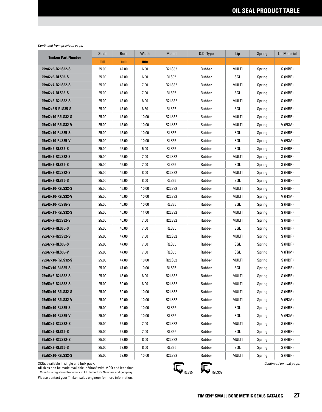| <b>Timken Part Number</b> | Shaft | <b>Bore</b> | Width | Model         | O.D. Type | Lip          | Spring | <b>Lip Material</b> |
|---------------------------|-------|-------------|-------|---------------|-----------|--------------|--------|---------------------|
|                           | mm    | mm          | mm    |               |           |              |        |                     |
| 25x42x6-R2LS32-S          | 25.00 | 42.00       | 6.00  | <b>R2LS32</b> | Rubber    | MULTI        | Spring | S (NBR)             |
| 25x42x6-RLS35-S           | 25.00 | 42.00       | 6.00  | <b>RLS35</b>  | Rubber    | SGL          | Spring | S (NBR)             |
| 25x42x7-R2LS32-S          | 25.00 | 42.00       | 7.00  | <b>R2LS32</b> | Rubber    | MULTI        | Spring | S (NBR)             |
| 25x42x7-RLS35-S           | 25.00 | 42.00       | 7.00  | RLS35         | Rubber    | SGL          | Spring | S (NBR)             |
| 25x42x8-R2LS32-S          | 25.00 | 42.00       | 8.00  | <b>R2LS32</b> | Rubber    | MULTI        | Spring | S (NBR)             |
| 25x42x8.5-RLS35-S         | 25.00 | 42.00       | 8.50  | RLS35         | Rubber    | SGL          | Spring | S (NBR)             |
| 25x42x10-R2LS32-S         | 25.00 | 42.00       | 10.00 | <b>R2LS32</b> | Rubber    | MULTI        | Spring | S (NBR)             |
| 25x42x10-R2LS32-V         | 25.00 | 42.00       | 10.00 | <b>R2LS32</b> | Rubber    | MULTI        | Spring | V (FKM)             |
| 25x42x10-RLS35-S          | 25.00 | 42.00       | 10.00 | RLS35         | Rubber    | SGL          | Spring | S (NBR)             |
| 25x42x10-RLS35-V          | 25.00 | 42.00       | 10.00 | RLS35         | Rubber    | SGL          | Spring | V (FKM)             |
| 25x45x5-RLS35-S           | 25.00 | 45.00       | 5.00  | RLS35         | Rubber    | SGL          | Spring | S (NBR)             |
| 25x45x7-R2LS32-S          | 25.00 | 45.00       | 7.00  | <b>R2LS32</b> | Rubber    | MULTI        | Spring | S (NBR)             |
| 25x45x7-RLS35-S           | 25.00 | 45.00       | 7.00  | RLS35         | Rubber    | SGL          | Spring | S (NBR)             |
| 25x45x8-R2LS32-S          | 25.00 | 45.00       | 8.00  | <b>R2LS32</b> | Rubber    | MULTI        | Spring | S (NBR)             |
| 25x45x8-RLS35-S           | 25.00 | 45.00       | 8.00  | <b>RLS35</b>  | Rubber    | SGL          | Spring | S (NBR)             |
| 25x45x10-R2LS32-S         | 25.00 | 45.00       | 10.00 | <b>R2LS32</b> | Rubber    | MULTI        | Spring | S (NBR)             |
| 25x45x10-R2LS32-V         | 25.00 | 45.00       | 10.00 | <b>R2LS32</b> | Rubber    | MULTI        | Spring | V (FKM)             |
| 25x45x10-RLS35-S          | 25.00 | 45.00       | 10.00 | <b>RLS35</b>  | Rubber    | SGL          | Spring | S (NBR)             |
| 25x45x11-R2LS32-S         | 25.00 | 45.00       | 11.00 | <b>R2LS32</b> | Rubber    | MULTI        | Spring | S (NBR)             |
| 25x46x7-R2LS32-S          | 25.00 | 46.00       | 7.00  | R2LS32        | Rubber    | MULTI        | Spring | S (NBR)             |
| 25x46x7-RLS35-S           | 25.00 | 46.00       | 7.00  | RLS35         | Rubber    | SGL          | Spring | S (NBR)             |
| 25x47x7-R2LS32-S          | 25.00 | 47.00       | 7.00  | R2LS32        | Rubber    | MULTI        | Spring | S (NBR)             |
| 25x47x7-RLS35-S           | 25.00 | 47.00       | 7.00  | RLS35         | Rubber    | SGL          | Spring | S (NBR)             |
| 25x47x7-RLS35-V           | 25.00 | 47.00       | 7.00  | RLS35         | Rubber    | SGL          | Spring | V (FKM)             |
| 25x47x10-R2LS32-S         | 25.00 | 47.00       | 10.00 | <b>R2LS32</b> | Rubber    | MULTI        | Spring | S (NBR)             |
| 25x47x10-RLS35-S          | 25.00 | 47.00       | 10.00 | RLS35         | Rubber    | SGL          | Spring | S (NBR)             |
| 25x48x8-R2LS32-S          | 25.00 | 48.00       | 8.00  | <b>R2LS32</b> | Rubber    | MULTI        | Spring | S (NBR)             |
| 25x50x8-R2LS32-S          | 25.00 | 50.00       | 8.00  | <b>R2LS32</b> | Rubber    | <b>MULTI</b> | Spring | S (NBR)             |
| 25x50x10-R2LS32-S         | 25.00 | 50.00       | 10.00 | <b>R2LS32</b> | Rubber    | Multi        | Spring | S (NBR)             |
| 25x50x10-R2LS32-V         | 25.00 | 50.00       | 10.00 | <b>R2LS32</b> | Rubber    | MULTI        | Spring | V (FKM)             |
| 25x50x10-RLS35-S          | 25.00 | 50.00       | 10.00 | <b>RLS35</b>  | Rubber    | SGL          | Spring | S (NBR)             |
| 25x50x10-RLS35-V          | 25.00 | 50.00       | 10.00 | RLS35         | Rubber    | SGL          | Spring | V (FKM)             |
| 25x52x7-R2LS32-S          | 25.00 | 52.00       | 7.00  | R2LS32        | Rubber    | MULTI        | Spring | S (NBR)             |
| 25x52x7-RLS35-S           | 25.00 | 52.00       | 7.00  | <b>RLS35</b>  | Rubber    | SGL          | Spring | S (NBR)             |
| 25x52x8-R2LS32-S          | 25.00 | 52.00       | 8.00  | R2LS32        | Rubber    | MULTI        | Spring | S (NBR)             |
| 25x52x8-RLS35-S           | 25.00 | 52.00       | 8.00  | RLS35         | Rubber    | SGL          | Spring | S (NBR)             |
| 25x52x10-R2LS32-S         | 25.00 | 52.00       | 10.00 | R2LS32        | Rubber    | MULTI        | Spring | S (NBR)             |

SKUs available in single and bulk pack.

All sizes can be made available in Viton® with MOQ and lead time.<br>Viton®is a registered trademark of E.I. du Pont de Nemours and Company.



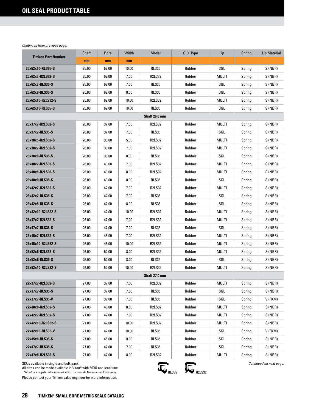| <b>Timken Part Number</b>                                                                                                                                                                | Shaft | <b>Bore</b> | Width | Model         | O.D. Type                     | Lip          | Spring | <b>Lip Material</b>     |
|------------------------------------------------------------------------------------------------------------------------------------------------------------------------------------------|-------|-------------|-------|---------------|-------------------------------|--------------|--------|-------------------------|
|                                                                                                                                                                                          | mm    | mm          | mm    |               |                               |              |        |                         |
| 25x52x10-RLS35-S                                                                                                                                                                         | 25.00 | 52.00       | 10.00 | <b>RLS35</b>  | Rubber                        | SGL          | Spring | S (NBR)                 |
| 25x62x7-R2LS32-S                                                                                                                                                                         | 25.00 | 62.00       | 7.00  | <b>R2LS32</b> | Rubber                        | <b>MULTI</b> | Spring | S (NBR)                 |
| 25x62x7-RLS35-S                                                                                                                                                                          | 25.00 | 62.00       | 7.00  | <b>RLS35</b>  | Rubber                        | SGL          | Spring | S (NBR)                 |
| 25x62x8-RLS35-S                                                                                                                                                                          | 25.00 | 62.00       | 8.00  | <b>RLS35</b>  | Rubber                        | SGL          | Spring | S (NBR)                 |
| 25x62x10-R2LS32-S                                                                                                                                                                        | 25.00 | 62.00       | 10.00 | <b>R2LS32</b> | Rubber                        | MULTI        | Spring | S (NBR)                 |
| 25x62x10-RLS35-S                                                                                                                                                                         | 25.00 | 62.00       | 10.00 | <b>RLS35</b>  | Rubber                        | SGL          | Spring | S (NBR)                 |
|                                                                                                                                                                                          |       |             |       | Shaft 26.0 mm |                               |              |        |                         |
| 26x37x7-R2LS32-S                                                                                                                                                                         | 26.00 | 37.00       | 7.00  | <b>R2LS32</b> | Rubber                        | MULTI        | Spring | S (NBR)                 |
| 26x37x7-RLS35-S                                                                                                                                                                          | 26.00 | 37.00       | 7.00  | <b>RLS35</b>  | Rubber                        | SGL          | Spring | S (NBR)                 |
| 26x38x5-R2LS32-S                                                                                                                                                                         | 26.00 | 38.00       | 5.00  | <b>R2LS32</b> | Rubber                        | MULTI        | Spring | S (NBR)                 |
| 26x38x7-R2LS32-S                                                                                                                                                                         | 26.00 | 38.00       | 7.00  | <b>R2LS32</b> | Rubber                        | MULTI        | Spring | S (NBR)                 |
| 26x38x8-RLS35-S                                                                                                                                                                          | 26.00 | 38.00       | 8.00  | <b>RLS35</b>  | Rubber                        | SGL          | Spring | S (NBR)                 |
| 26x40x7-R2LS32-S                                                                                                                                                                         | 26.00 | 40.00       | 7.00  | <b>R2LS32</b> | Rubber                        | MULTI        | Spring | S (NBR)                 |
| 26x40x8-R2LS32-S                                                                                                                                                                         | 26.00 | 40.00       | 8.00  | <b>R2LS32</b> | Rubber                        | MULTI        | Spring | S (NBR)                 |
| 26x40x8-RLS35-S                                                                                                                                                                          | 26.00 | 40.00       | 8.00  | RLS35         | Rubber                        | SGL          | Spring | S (NBR)                 |
| 26x42x7-R2LS32-S                                                                                                                                                                         | 26.00 | 42.00       | 7.00  | <b>R2LS32</b> | Rubber                        | <b>MULTI</b> | Spring | S (NBR)                 |
| 26x42x7-RLS35-S                                                                                                                                                                          | 26.00 | 42.00       | 7.00  | <b>RLS35</b>  | Rubber                        | SGL          | Spring | S(NBR)                  |
| 26x42x8-RLS35-S                                                                                                                                                                          | 26.00 | 42.00       | 8.00  | <b>RLS35</b>  | Rubber                        | SGL          | Spring | S (NBR)                 |
| 26x42x10-R2LS32-S                                                                                                                                                                        | 26.00 | 42.00       | 10.00 | <b>R2LS32</b> | Rubber                        | MULTI        | Spring | S (NBR)                 |
| 26x47x7-R2LS32-S                                                                                                                                                                         | 26.00 | 47.00       | 7.00  | <b>R2LS32</b> | Rubber                        | MULTI        | Spring | S (NBR)                 |
| 26x47x7-RLS35-S                                                                                                                                                                          | 26.00 | 47.00       | 7.00  | RLS35         | Rubber                        | SGL          | Spring | S (NBR)                 |
| 26x48x7-R2LS32-S                                                                                                                                                                         | 26.00 | 48.00       | 7.00  | <b>R2LS32</b> | Rubber                        | MULTI        | Spring | S (NBR)                 |
| 26x48x10-R2LS32-S                                                                                                                                                                        | 26.00 | 48.00       | 10.00 | <b>R2LS32</b> | Rubber                        | MULTI        | Spring | S (NBR)                 |
| 26x52x8-R2LS32-S                                                                                                                                                                         | 26.00 | 52.00       | 8.00  | <b>R2LS32</b> | Rubber                        | MULTI        | Spring | S (NBR)                 |
| 26x52x8-RLS35-S                                                                                                                                                                          | 26.00 | 52.00       | 8.00  | <b>RLS35</b>  | Rubber                        | SGL          | Spring | S (NBR)                 |
| 26x52x10-R2LS32-S                                                                                                                                                                        | 26.00 | 52.00       | 10.00 | <b>R2LS32</b> | Rubber                        | MULTI        | Spring | S (NBR)                 |
|                                                                                                                                                                                          |       |             |       | Shaft 27.0 mm |                               |              |        |                         |
| 27x37x7-R2LS32-S                                                                                                                                                                         | 27.00 | 37.00       | 7.00  | <b>R2LS32</b> | Rubber                        | <b>MULTI</b> | Spring | S (NBR)                 |
| 27x37x7-RLS35-S                                                                                                                                                                          | 27.00 | 37.00       | 7.00  | RLS35         | Rubber                        | SGL          | Spring | S (NBR)                 |
| 27x37x7-RLS35-V                                                                                                                                                                          | 27.00 | 37.00       | 7.00  | RLS35         | Rubber                        | SGL          | Spring | V (FKM)                 |
| 27x40x8-R2LS32-S                                                                                                                                                                         | 27.00 | 40.00       | 8.00  | <b>R2LS32</b> | Rubber                        | MULTI        | Spring | S (NBR)                 |
| 27x42x7-R2LS32-S                                                                                                                                                                         | 27.00 | 42.00       | 7.00  | <b>R2LS32</b> | Rubber                        | MULTI        | Spring | S (NBR)                 |
| 27x42x10-R2LS32-S                                                                                                                                                                        | 27.00 | 42.00       | 10.00 | <b>R2LS32</b> | Rubber                        | MULTI        | Spring | S (NBR)                 |
| 27x42x10-RLS35-V                                                                                                                                                                         | 27.00 | 42.00       | 10.00 | RLS35         | Rubber                        | SGL          | Spring | V (FKM)                 |
| 27x45x8-RLS35-S                                                                                                                                                                          | 27.00 | 45.00       | 8.00  | RLS35         | Rubber                        | SGL          | Spring | S (NBR)                 |
| 27x47x7-RLS35-S                                                                                                                                                                          | 27.00 | 47.00       | 7.00  | RLS35         | Rubber                        | SGL          | Spring | S (NBR)                 |
| 27x47x8-R2LS32-S                                                                                                                                                                         | 27.00 | 47.00       | 8.00  | <b>R2LS32</b> | Rubber                        | MULTI        | Spring | S (NBR)                 |
| SKUs available in single and bulk pack.<br>All sizes can be made available in Viton® with MOQ and lead time.<br>Viton® is a registered trademark of E.I. du Pont de Nemours and Company. |       |             |       |               | <b>R2LS32</b><br><b>RLS35</b> |              |        | Continued on next page. |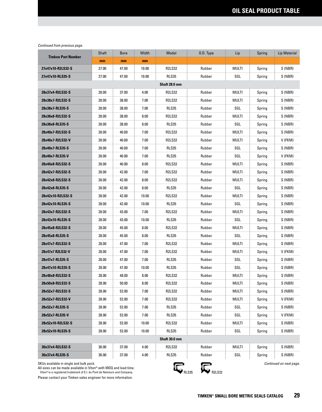|                                         | Shaft | <b>Bore</b> | Width | Model         | O.D. Type | Lip          | Spring | Lip Material            |
|-----------------------------------------|-------|-------------|-------|---------------|-----------|--------------|--------|-------------------------|
| <b>Timken Part Number</b>               | mm    | mm          | mm    |               |           |              |        |                         |
| 27x47x10-R2LS32-S                       | 27.00 | 47.00       | 10.00 | <b>R2LS32</b> | Rubber    | MULTI        | Spring | S (NBR)                 |
| 27x47x10-RLS35-S                        | 27.00 | 47.00       | 10.00 | <b>RLS35</b>  | Rubber    | SGL          | Spring | S (NBR)                 |
|                                         |       |             |       | Shaft 28.0 mm |           |              |        |                         |
| 28x37x4-R2LS32-S                        | 28.00 | 37.00       | 4.00  | <b>R2LS32</b> | Rubber    | MULTI        | Spring | S (NBR)                 |
| 28x38x7-R2LS32-S                        | 28.00 | 38.00       | 7.00  | <b>R2LS32</b> | Rubber    | MULTI        | Spring | S (NBR)                 |
| 28x38x7-RLS35-S                         | 28.00 | 38.00       | 7.00  | <b>RLS35</b>  | Rubber    | SGL          | Spring | S (NBR)                 |
| 28x38x8-R2LS32-S                        | 28.00 | 38.00       | 8.00  | <b>R2LS32</b> | Rubber    | MULTI        | Spring | S (NBR)                 |
| 28x38x8-RLS35-S                         | 28.00 | 38.00       | 8.00  | RLS35         | Rubber    | SGL          | Spring | S (NBR)                 |
| 28x40x7-R2LS32-S                        | 28.00 | 40.00       | 7.00  | <b>R2LS32</b> | Rubber    | MULTI        | Spring | S (NBR)                 |
| 28x40x7-R2LS32-V                        | 28.00 | 40.00       | 7.00  | <b>R2LS32</b> | Rubber    | MULTI        | Spring | V (FKM)                 |
| 28x40x7-RLS35-S                         | 28.00 | 40.00       | 7.00  | <b>RLS35</b>  | Rubber    | SGL          | Spring | S (NBR)                 |
| 28x40x7-RLS35-V                         | 28.00 | 40.00       | 7.00  | RLS35         | Rubber    | SGL          | Spring | V (FKM)                 |
| 28x40x8-R2LS32-S                        | 28.00 | 40.00       | 8.00  | <b>R2LS32</b> | Rubber    | MULTI        | Spring | S (NBR)                 |
| 28x42x7-R2LS32-S                        | 28.00 | 42.00       | 7.00  | <b>R2LS32</b> | Rubber    | MULTI        | Spring | S (NBR)                 |
| 28x42x8-R2LS32-S                        | 28.00 | 42.00       | 8.00  | <b>R2LS32</b> | Rubber    | MULTI        | Spring | S (NBR)                 |
| 28x42x8-RLS35-S                         | 28.00 | 42.00       | 8.00  | <b>RLS35</b>  | Rubber    | SGL          | Spring | S (NBR)                 |
| 28x42x10-R2LS32-S                       | 28.00 | 42.00       | 10.00 | <b>R2LS32</b> | Rubber    | MULTI        | Spring | S (NBR)                 |
| 28x42x10-RLS35-S                        | 28.00 | 42.00       | 10.00 | RLS35         | Rubber    | SGL          | Spring | S (NBR)                 |
| 28x43x7-R2LS32-S                        | 28.00 | 43.00       | 7.00  | <b>R2LS32</b> | Rubber    | MULTI        | Spring | S (NBR)                 |
| 28x43x10-RLS35-S                        | 28.00 | 43.00       | 10.00 | <b>RLS35</b>  | Rubber    | SGL          | Spring | S (NBR)                 |
| 28x45x8-R2LS32-S                        | 28.00 | 45.00       | 8.00  | <b>R2LS32</b> | Rubber    | MULTI        | Spring | S (NBR)                 |
| 28x45x8-RLS35-S                         | 28.00 | 45.00       | 8.00  | <b>RLS35</b>  | Rubber    | SGL          | Spring | S (NBR)                 |
| 28x47x7-R2LS32-S                        | 28.00 | 47.00       | 7.00  | <b>R2LS32</b> | Rubber    | MULTI        | Spring | S (NBR)                 |
| 28x47x7 R2LS32-V                        | 28.00 | 47.00       | 7.00  | <b>R2LS32</b> | Rubber    | MULTI        | Spring | V (FKM)                 |
| 28x47x7-RLS35-S                         | 28.00 | 47.00       | 7.00  | RLS35         | Rubber    | SGL          | Spring | S (NBR)                 |
| 28x47x10-RLS35-S                        | 28.00 | 47.00       | 10.00 | RLS35         | Rubber    | SGL          | Spring | S (NBR)                 |
| 28x48x8-R2LS32-S                        | 28.00 | 48.00       | 8.00  | <b>R2LS32</b> | Rubber    | MULTI        | Spring | S (NBR)                 |
| 28x50x8-R2LS32-S                        | 28.00 | 50.00       | 8.00  | <b>R2LS32</b> | Rubber    | <b>MULTI</b> | Spring | S (NBR)                 |
| 28x52x7-R2LS32-S                        | 28.00 | 52.00       | 7.00  | <b>R2LS32</b> | Rubber    | MULTI        | Spring | S (NBR)                 |
| 28x52x7-R2LS32-V                        | 28.00 | 52.00       | 7.00  | <b>R2LS32</b> | Rubber    | MULTI        | Spring | V (FKM)                 |
| 28x52x7-RLS35-S                         | 28.00 | 52.00       | 7.00  | RLS35         | Rubber    | SGL          | Spring | S (NBR)                 |
| 28x52x7-RLS35-V                         | 28.00 | 52.00       | 7.00  | RLS35         | Rubber    | SGL          | Spring | V (FKM)                 |
| 28x52x10-R2LS32-S                       | 28.00 | 52.00       | 10.00 | <b>R2LS32</b> | Rubber    | MULTI        | Spring | S (NBR)                 |
| 28x52x10-RLS35-S                        | 28.00 | 52.00       | 10.00 | RLS35         | Rubber    | SGL          | Spring | S (NBR)                 |
|                                         |       |             |       | Shaft 30.0 mm |           |              |        |                         |
| 30x37x4-R2LS32-S                        | 30.00 | 37.00       | 4.00  | <b>R2LS32</b> | Rubber    | MULTI        | Spring | S (NBR)                 |
| 30x37x4-RLS35-S                         | 30.00 | 37.00       | 4.00  | RLS35         | Rubber    | SGL          | Spring | S (NBR)                 |
| SKUs available in single and bulk pack. |       |             |       | c             | c         |              |        | Continued on next page. |

All sizes can be made available in Viton® with MOQ and lead time. Viton® is a registered trademark of E.I. du Pont de Nemours and Company.



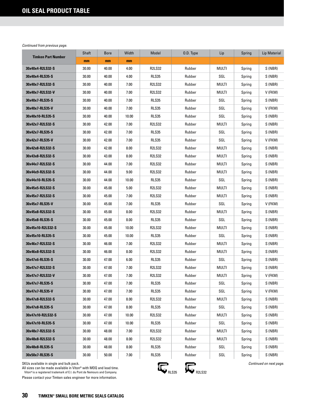| <b>Timken Part Number</b> | Shaft | <b>Bore</b> | Width | Model         | O.D. Type | Lip          | Spring | <b>Lip Material</b> |
|---------------------------|-------|-------------|-------|---------------|-----------|--------------|--------|---------------------|
|                           | mm    | mm          | mm    |               |           |              |        |                     |
| 30x40x4-R2LS32-S          | 30.00 | 40.00       | 4.00  | <b>R2LS32</b> | Rubber    | MULTI        | Spring | S (NBR)             |
| 30x40x4-RLS35-S           | 30.00 | 40.00       | 4.00  | <b>RLS35</b>  | Rubber    | SGL          | Spring | S (NBR)             |
| 30x40x7-R2LS32-S          | 30.00 | 40.00       | 7.00  | <b>R2LS32</b> | Rubber    | MULTI        | Spring | S (NBR)             |
| 30x40x7-R2LS32-V          | 30.00 | 40.00       | 7.00  | <b>R2LS32</b> | Rubber    | MULTI        | Spring | V (FKM)             |
| 30x40x7-RLS35-S           | 30.00 | 40.00       | 7.00  | <b>RLS35</b>  | Rubber    | SGL          | Spring | S (NBR)             |
| 30x40x7-RLS35-V           | 30.00 | 40.00       | 7.00  | RLS35         | Rubber    | SGL          | Spring | V (FKM)             |
| 30x40x10-RLS35-S          | 30.00 | 40.00       | 10.00 | <b>RLS35</b>  | Rubber    | SGL          | Spring | S (NBR)             |
| 30x42x7-R2LS32-S          | 30.00 | 42.00       | 7.00  | <b>R2LS32</b> | Rubber    | MULTI        | Spring | S (NBR)             |
| 30x42x7-RLS35-S           | 30.00 | 42.00       | 7.00  | <b>RLS35</b>  | Rubber    | SGL          | Spring | S (NBR)             |
| 30x42x7-RLS35-V           | 30.00 | 42.00       | 7.00  | <b>RLS35</b>  | Rubber    | SGL          | Spring | V (FKM)             |
| 30x42x8-R2LS32-S          | 30.00 | 42.00       | 8.00  | <b>R2LS32</b> | Rubber    | MULTI        | Spring | S (NBR)             |
| 30x43x8-R2LS32-S          | 30.00 | 43.00       | 8.00  | <b>R2LS32</b> | Rubber    | MULTI        | Spring | S (NBR)             |
| 30x44x7-R2LS32-S          | 30.00 | 44.00       | 7.00  | <b>R2LS32</b> | Rubber    | MULTI        | Spring | S (NBR)             |
| 30x44x9-R2LS32-S          | 30.00 | 44.00       | 9.00  | <b>R2LS32</b> | Rubber    | MULTI        | Spring | S (NBR)             |
| 30x44x10-RLS35-S          | 30.00 | 44.00       | 10.00 | <b>RLS35</b>  | Rubber    | SGL          | Spring | S (NBR)             |
| 30x45x5-R2LS32-S          | 30.00 | 45.00       | 5.00  | <b>R2LS32</b> | Rubber    | MULTI        | Spring | S (NBR)             |
| 30x45x7-R2LS32-S          | 30.00 | 45.00       | 7.00  | <b>R2LS32</b> | Rubber    | MULTI        | Spring | S(NBR)              |
| 30x45x7-RLS35-V           | 30.00 | 45.00       | 7.00  | RLS35         | Rubber    | SGL          | Spring | V (FKM)             |
| 30x45x8-R2LS32-S          | 30.00 | 45.00       | 8.00  | <b>R2LS32</b> | Rubber    | MULTI        | Spring | S (NBR)             |
| 30x45x8-RLS35-S           | 30.00 | 45.00       | 8.00  | <b>RLS35</b>  | Rubber    | SGL          | Spring | S (NBR)             |
| 30x45x10-R2LS32-S         | 30.00 | 45.00       | 10.00 | <b>R2LS32</b> | Rubber    | MULTI        | Spring | S(NBR)              |
| 30x45x10-RLS35-S          | 30.00 | 45.00       | 10.00 | RLS35         | Rubber    | SGL          | Spring | S (NBR)             |
| 30x46x7-R2LS32-S          | 30.00 | 46.00       | 7.00  | <b>R2LS32</b> | Rubber    | MULTI        | Spring | S (NBR)             |
| 30x46x8-R2LS32-S          | 30.00 | 46.00       | 8.00  | <b>R2LS32</b> | Rubber    | MULTI        | Spring | S (NBR)             |
| 30x47x6-RLS35-S           | 30.00 | 47.00       | 6.00  | <b>RLS35</b>  | Rubber    | SGL          | Spring | S (NBR)             |
| 30x47x7-R2LS32-S          | 30.00 | 47.00       | 7.00  | <b>R2LS32</b> | Rubber    | MULTI        | Spring | S (NBR)             |
| 30x47x7-R2LS32-V          | 30.00 | 47.00       | 7.00  | <b>R2LS32</b> | Rubber    | <b>MULTI</b> | Spring | V (FKM)             |
| 30x47x7-RLS35-S           | 30.00 | 47.00       | 7.00  | <b>RLS35</b>  | Rubber    | SGL          | Spring | S (NBR)             |
| 30x47x7-RLS35-V           | 30.00 | 47.00       | 7.00  | RLS35         | Rubber    | SGL          | Spring | V (FKM)             |
| 30x47x8-R2LS32-S          | 30.00 | 47.00       | 0.8   | <b>R2LS32</b> | Rubber    | MULTI        | Spring | S (NBR)             |
| 30x47x8-RLS35-S           | 30.00 | 47.00       | 8.00  | RLS35         | Rubber    | SGL          | Spring | S (NBR)             |
| 30x47x10-R2LS32-S         | 30.00 | 47.00       | 10.00 | R2LS32        | Rubber    | MULTI        | Spring | S (NBR)             |
| 30x47x10-RLS35-S          | 30.00 | 47.00       | 10.00 | RLS35         | Rubber    | SGL          | Spring | S (NBR)             |
| 30x48x7-R2LS32-S          | 30.00 | 48.00       | 7.00  | <b>R2LS32</b> | Rubber    | MULTI        | Spring | S (NBR)             |
| 30x48x8-R2LS32-S          | 30.00 | 48.00       | 8.00  | <b>R2LS32</b> | Rubber    | MULTI        | Spring | S (NBR)             |
| 30x48x8-RLS35-S           | 30.00 | 48.00       | 8.00  | <b>RLS35</b>  | Rubber    | SGL          | Spring | S (NBR)             |
| 30x50x7-RLS35-S           | 30.00 | 50.00       | 7.00  | RLS35         | Rubber    | SGL          | Spring | S (NBR)             |

SKUs available in single and bulk pack.

All sizes can be made available in Viton® with MOQ and lead time.<br>Viton®is a registered trademark of E.I. du Pont de Nemours and Company.

Please contact your Timken sales engineer for more information.

 $R_{RLS35}$   $R_{R2LS32}$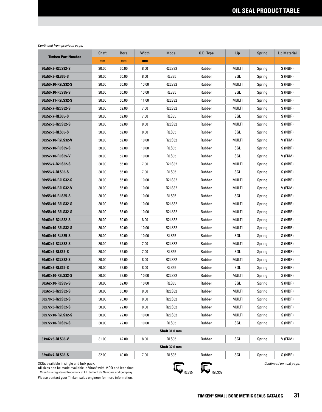| <b>Timken Part Number</b>               | Shaft | <b>Bore</b> | Width | Model         | 0.D. Type | Lip          | Spring | <b>Lip Material</b>     |
|-----------------------------------------|-------|-------------|-------|---------------|-----------|--------------|--------|-------------------------|
|                                         | mm    | mm          | mm    |               |           |              |        |                         |
| 30x50x8-R2LS32-S                        | 30.00 | 50.00       | 8.00  | <b>R2LS32</b> | Rubber    | MULTI        | Spring | S (NBR)                 |
| 30x50x8-RLS35-S                         | 30.00 | 50.00       | 8.00  | <b>RLS35</b>  | Rubber    | SGL          | Spring | S (NBR)                 |
| 30x50x10-R2LS32-S                       | 30.00 | 50.00       | 10.00 | <b>R2LS32</b> | Rubber    | MULTI        | Spring | S (NBR)                 |
| 30x50x10-RLS35-S                        | 30.00 | 50.00       | 10.00 | <b>RLS35</b>  | Rubber    | SGL          | Spring | S (NBR)                 |
| 30x50x11-R2LS32-S                       | 30.00 | 50.00       | 11.00 | <b>R2LS32</b> | Rubber    | MULTI        | Spring | S (NBR)                 |
| 30x52x7-R2LS32-S                        | 30.00 | 52.00       | 7.00  | <b>R2LS32</b> | Rubber    | MULTI        | Spring | S (NBR)                 |
| 30x52x7-RLS35-S                         | 30.00 | 52.00       | 7.00  | <b>RLS35</b>  | Rubber    | SGL          | Spring | S (NBR)                 |
| 30x52x8-R2LS32-S                        | 30.00 | 52.00       | 8.00  | <b>R2LS32</b> | Rubber    | MULTI        | Spring | S (NBR)                 |
| 30x52x8-RLS35-S                         | 30.00 | 52.00       | 8.00  | RLS35         | Rubber    | SGL          | Spring | S (NBR)                 |
| 30x52x10-R2LS32-V                       | 30.00 | 52.00       | 10.00 | R2LS32        | Rubber    | MULTI        | Spring | V (FKM)                 |
| 30x52x10-RLS35-S                        | 30.00 | 52.00       | 10.00 | <b>RLS35</b>  | Rubber    | SGL          | Spring | S (NBR)                 |
| 30x52x10-RLS35-V                        | 30.00 | 52.00       | 10.00 | RLS35         | Rubber    | SGL          | Spring | V (FKM)                 |
| 30x55x7-R2LS32-S                        | 30.00 | 55.00       | 7.00  | <b>R2LS32</b> | Rubber    | <b>MULTI</b> | Spring | S (NBR)                 |
| 30x55x7-RLS35-S                         | 30.00 | 55.00       | 7.00  | <b>RLS35</b>  | Rubber    | SGL          | Spring | S (NBR)                 |
| 30x55x10-R2LS32-S                       | 30.00 | 55.00       | 10.00 | <b>R2LS32</b> | Rubber    | MULTI        | Spring | S (NBR)                 |
| 30x55x10-R2LS32-V                       | 30.00 | 55.00       | 10.00 | <b>R2LS32</b> | Rubber    | MULTI        | Spring | V (FKM)                 |
| 30x55x10-RLS35-S                        | 30.00 | 55.00       | 10.00 | RLS35         | Rubber    | SGL          | Spring | S (NBR)                 |
| 30x56x10-R2LS32-S                       | 30.00 | 56.00       | 10.00 | <b>R2LS32</b> | Rubber    | MULTI        | Spring | S (NBR)                 |
| 30x58x10-R2LS32-S                       | 30.00 | 58.00       | 10.00 | <b>R2LS32</b> | Rubber    | MULTI        | Spring | S (NBR)                 |
| 30x60x8-R2LS32-S                        | 30.00 | 60.00       | 8.00  | <b>R2LS32</b> | Rubber    | MULTI        | Spring | S (NBR)                 |
| 30x60x10-R2LS32-S                       | 30.00 | 60.00       | 10.00 | <b>R2LS32</b> | Rubber    | MULTI        | Spring | S (NBR)                 |
| 30x60x10-RLS35-S                        | 30.00 | 60.00       | 10.00 | <b>RLS35</b>  | Rubber    | SGL          | Spring | S (NBR)                 |
| 30x62x7-R2LS32-S                        | 30.00 | 62.00       | 7.00  | <b>R2LS32</b> | Rubber    | MULTI        | Spring | S (NBR)                 |
| 30x62x7-RLS35-S                         | 30.00 | 62.00       | 7.00  | <b>RLS35</b>  | Rubber    | SGL          | Spring | S (NBR)                 |
| 30x62x8-R2LS32-S                        | 30.00 | 62.00       | 8.00  | <b>R2LS32</b> | Rubber    | MULTI        | Spring | S (NBR)                 |
| 30x62x8-RLS35-S                         | 30.00 | 62.00       | 8.00  | RLS35         | Rubber    | SGL          | Spring | S (NBR)                 |
| 30x62x10-R2LS32-S                       | 30.00 | 62.00       | 10.00 | <b>R2LS32</b> | Rubber    | MULTI        | Spring | S (NBR)                 |
| 30x62x10-RLS35-S                        | 30.00 | 62.00       | 10.00 | <b>RLS35</b>  | Rubber    | SGL          | Spring | S (NBR)                 |
| 30x65x8-R2LS32-S                        | 30.00 | 65.00       | 8.00  | <b>R2LS32</b> | Rubber    | MULTI        | Spring | S (NBR)                 |
| 30x70x8-R2LS32-S                        | 30.00 | 70.00       | 8.00  | <b>R2LS32</b> | Rubber    | MULTI        | Spring | S (NBR)                 |
| 30x72x8-R2LS32-S                        | 30.00 | 72.00       | 8.00  | <b>R2LS32</b> | Rubber    | MULTI        | Spring | S (NBR)                 |
| 30x72x10-R2LS32-S                       | 30.00 | 72.00       | 10.00 | <b>R2LS32</b> | Rubber    | MULTI        | Spring | S (NBR)                 |
| 30x72x10-RLS35-S                        | 30.00 | 72.00       | 10.00 | RLS35         | Rubber    | SGL          | Spring | S (NBR)                 |
|                                         |       |             |       | Shaft 31.0 mm |           |              |        |                         |
| 31x42x8-RLS35-V                         | 31.00 | 42.00       | 8.00  | <b>RLS35</b>  | Rubber    | SGL          | Spring | V (FKM)                 |
|                                         |       |             |       | Shaft 32.0 mm |           |              |        |                         |
| 32x40x7-RLS35-S                         | 32.00 | 40.00       | 7.00  | RLS35         | Rubber    | SGL          | Spring | S (NBR)                 |
| SKUs available in single and bulk pack. |       |             |       | c             | c         |              |        | Continued on next page. |

All sizes can be made available in Viton® with MOQ and lead time. Viton® is a registered trademark of E.I. du Pont de Nemours and Company.

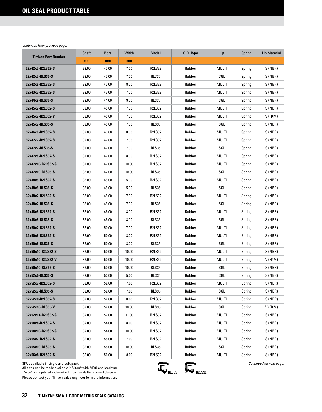| <b>Timken Part Number</b> | Shaft | <b>Bore</b> | Width | Model         | 0.D. Type | Lip   | Spring | <b>Lip Material</b> |
|---------------------------|-------|-------------|-------|---------------|-----------|-------|--------|---------------------|
|                           | mm    | mm          | mm    |               |           |       |        |                     |
| 32x42x7-R2LS32-S          | 32.00 | 42.00       | 7.00  | <b>R2LS32</b> | Rubber    | MULTI | Spring | S (NBR)             |
| 32x42x7-RLS35-S           | 32.00 | 42.00       | 7.00  | <b>RLS35</b>  | Rubber    | SGL   | Spring | S (NBR)             |
| 32x42x8-R2LS32-S          | 32.00 | 42.00       | 8.00  | <b>R2LS32</b> | Rubber    | MULTI | Spring | S (NBR)             |
| 32x43x7-R2LS32-S          | 32.00 | 43.00       | 7.00  | <b>R2LS32</b> | Rubber    | MULTI | Spring | S (NBR)             |
| 32x44x9-RLS35-S           | 32.00 | 44.00       | 9.00  | <b>RLS35</b>  | Rubber    | SGL   | Spring | S (NBR)             |
| 32x45x7-R2LS32-S          | 32.00 | 45.00       | 7.00  | <b>R2LS32</b> | Rubber    | MULTI | Spring | S (NBR)             |
| 32x45x7-R2LS32-V          | 32.00 | 45.00       | 7.00  | <b>R2LS32</b> | Rubber    | MULTI | Spring | V (FKM)             |
| 32x45x7-RLS35-S           | 32.00 | 45.00       | 7.00  | <b>RLS35</b>  | Rubber    | SGL   | Spring | S (NBR)             |
| 32x46x8-R2LS32-S          | 32.00 | 46.00       | 8.00  | <b>R2LS32</b> | Rubber    | MULTI | Spring | S (NBR)             |
| 32x47x7-R2LS32-S          | 32.00 | 47.00       | 7.00  | <b>R2LS32</b> | Rubber    | MULTI | Spring | S (NBR)             |
| 32x47x7-RLS35-S           | 32.00 | 47.00       | 7.00  | <b>RLS35</b>  | Rubber    | SGL   | Spring | S (NBR)             |
| 32x47x8-R2LS32-S          | 32.00 | 47.00       | 8.00  | <b>R2LS32</b> | Rubber    | MULTI | Spring | S (NBR)             |
| 32x47x10-R2LS32-S         | 32.00 | 47.00       | 10.00 | <b>R2LS32</b> | Rubber    | MULTI | Spring | S (NBR)             |
| 32x47x10-RLS35-S          | 32.00 | 47.00       | 10.00 | <b>RLS35</b>  | Rubber    | SGL   | Spring | S (NBR)             |
| 32x48x5-R2LS32-S          | 32.00 | 48.00       | 5.00  | <b>R2LS32</b> | Rubber    | MULTI | Spring | S (NBR)             |
| 32x48x5-RLS35-S           | 32.00 | 48.00       | 5.00  | RLS35         | Rubber    | SGL   | Spring | S (NBR)             |
| 32x48x7-R2LS32-S          | 32.00 | 48.00       | 7.00  | <b>R2LS32</b> | Rubber    | MULTI | Spring | S (NBR)             |
| 32x48x7-RLS35-S           | 32.00 | 48.00       | 7.00  | <b>RLS35</b>  | Rubber    | SGL   | Spring | S (NBR)             |
| 32x48x8-R2LS32-S          | 32.00 | 48.00       | 8.00  | <b>R2LS32</b> | Rubber    | MULTI | Spring | S (NBR)             |
| 32x48x8-RLS35-S           | 32.00 | 48.00       | 8.00  | RLS35         | Rubber    | SGL   | Spring | S (NBR)             |
| 32x50x7-R2LS32-S          | 32.00 | 50.00       | 7.00  | <b>R2LS32</b> | Rubber    | MULTI | Spring | S(NBR)              |
| 32x50x8-R2LS32-S          | 32.00 | 50.00       | 8.00  | <b>R2LS32</b> | Rubber    | MULTI | Spring | S (NBR)             |
| 32x50x8-RLS35-S           | 32.00 | 50.00       | 8.00  | <b>RLS35</b>  | Rubber    | SGL   | Spring | S (NBR)             |
| 32x50x10-R2LS32-S         | 32.00 | 50.00       | 10.00 | <b>R2LS32</b> | Rubber    | MULTI | Spring | S(NBR)              |
| 32x50x10-R2LS32-V         | 32.00 | 50.00       | 10.00 | <b>R2LS32</b> | Rubber    | MULTI | Spring | V (FKM)             |
| 32x50x10-RLS35-S          | 32.00 | 50.00       | 10.00 | RLS35         | Rubber    | SGL   | Spring | S (NBR)             |
| 32x52x5-RLS35-S           | 32.00 | 52.00       | 5.00  | <b>RLS35</b>  | Rubber    | SGL   | Spring | S (NBR)             |
| 32x52x7-R2LS32-S          | 32.00 | 52.00       | 7.00  | <b>R2LS32</b> | Rubber    | MULTI | Spring | S(NBR)              |
| 32x52x7-RLS35-S           | 32.00 | 52.00       | 7.00  | <b>RLS35</b>  | Rubber    | SGL   | Spring | S (NBR)             |
| 32x52x8-R2LS32-S          | 32.00 | 52.00       | 8.00  | <b>R2LS32</b> | Rubber    | MULTI | Spring | S (NBR)             |
| 32x52x10-RLS35-V          | 32.00 | 52.00       | 10.00 | RLS35         | Rubber    | SGL   | Spring | V (FKM)             |
| 32x52x11-R2LS32-S         | 32.00 | 52.00       | 11.00 | <b>R2LS32</b> | Rubber    | MULTI | Spring | S (NBR)             |
| 32x54x8-R2LS32-S          | 32.00 | 54.00       | 8.00  | <b>R2LS32</b> | Rubber    | MULTI | Spring | S (NBR)             |
| 32x54x10-R2LS32-S         | 32.00 | 54.00       | 10.00 | <b>R2LS32</b> | Rubber    | Multi | Spring | S (NBR)             |
| 32x55x7-R2LS32-S          | 32.00 | 55.00       | 7.00  | <b>R2LS32</b> | Rubber    | MULTI | Spring | S (NBR)             |
| 32x55x10-RLS35-S          | 32.00 | 55.00       | 10.00 | RLS35         | Rubber    | SGL   | Spring | S (NBR)             |
| 32x56x8-R2LS32-S          | 32.00 | 56.00       | 8.00  | <b>R2LS32</b> | Rubber    | MULTI | Spring | S (NBR)             |

SKUs available in single and bulk pack.

All sizes can be made available in Viton® with MOQ and lead time.<br>Viton®is a registered trademark of E.I. du Pont de Nemours and Company.

Please contact your Timken sales engineer for more information.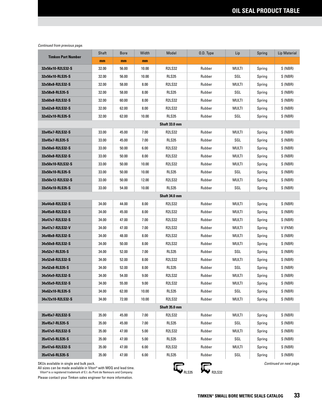|                           | Shaft | <b>Bore</b> | Width | Model         | 0.D. Type | Lip          | Spring | Lip Material |
|---------------------------|-------|-------------|-------|---------------|-----------|--------------|--------|--------------|
| <b>Timken Part Number</b> | mm    | mm          | mm    |               |           |              |        |              |
| 32x56x10-R2LS32-S         | 32.00 | 56.00       | 10.00 | <b>R2LS32</b> | Rubber    | MULTI        | Spring | S (NBR)      |
| 32x56x10-RLS35-S          | 32.00 | 56.00       | 10.00 | <b>RLS35</b>  | Rubber    | SGL          | Spring | S (NBR)      |
| 32x58x8-R2LS32-S          | 32.00 | 58.00       | 8.00  | <b>R2LS32</b> | Rubber    | MULTI        | Spring | S (NBR)      |
| 32x58x8-RLS35-S           | 32.00 | 58.00       | 8.00  | <b>RLS35</b>  | Rubber    | SGL          | Spring | S (NBR)      |
| 32x60x8-R2LS32-S          | 32.00 | 60.00       | 8.00  | <b>R2LS32</b> | Rubber    | MULTI        | Spring | S (NBR)      |
| 32x62x8-R2LS32-S          | 32.00 | 62.00       | 8.00  | <b>R2LS32</b> | Rubber    | MULTI        | Spring | S (NBR)      |
| 32x62x10-RLS35-S          | 32.00 | 62.00       | 10.00 | <b>RLS35</b>  | Rubber    | SGL          | Spring | S (NBR)      |
|                           |       |             |       | Shaft 33.0 mm |           |              |        |              |
| 33x45x7-R2LS32-S          | 33.00 | 45.00       | 7.00  | <b>R2LS32</b> | Rubber    | <b>MULTI</b> | Spring | S (NBR)      |
| 33x45x7-RLS35-S           | 33.00 | 45.00       | 7.00  | <b>RLS35</b>  | Rubber    | SGL          | Spring | S (NBR)      |
| 33x50x6-R2LS32-S          | 33.00 | 50.00       | 6.00  | <b>R2LS32</b> | Rubber    | MULTI        | Spring | S (NBR)      |
| 33x50x8-R2LS32-S          | 33.00 | 50.00       | 8.00  | <b>R2LS32</b> | Rubber    | MULTI        | Spring | S (NBR)      |
| 33x50x10-R2LS32-S         | 33.00 | 50.00       | 10.00 | <b>R2LS32</b> | Rubber    | MULTI        | Spring | S (NBR)      |
| 33x50x10-RLS35-S          | 33.00 | 50.00       | 10.00 | RLS35         | Rubber    | SGL          | Spring | S (NBR)      |
| 33x50x12-R2LS32-S         | 33.00 | 50.00       | 12.00 | <b>R2LS32</b> | Rubber    | MULTI        | Spring | S (NBR)      |
| 33x54x10-RLS35-S          | 33.00 | 54.00       | 10.00 | <b>RLS35</b>  | Rubber    | SGL          | Spring | S (NBR)      |
|                           |       |             |       | Shaft 34.0 mm |           |              |        |              |
| 34x44x8-R2LS32-S          | 34.00 | 44.00       | 8.00  | <b>R2LS32</b> | Rubber    | MULTI        | Spring | S (NBR)      |
| 34x45x8-R2LS32-S          | 34.00 | 45.00       | 8.00  | <b>R2LS32</b> | Rubber    | MULTI        | Spring | S (NBR)      |
| 34x47x7-R2LS32-S          | 34.00 | 47.00       | 7.00  | <b>R2LS32</b> | Rubber    | MULTI        | Spring | S (NBR)      |
| 34x47x7-R2LS32-V          | 34.00 | 47.00       | 7.00  | <b>R2LS32</b> | Rubber    | MULTI        | Spring | V (FKM)      |
| 34x48x8-R2LS32-S          | 34.00 | 48.00       | 8.00  | <b>R2LS32</b> | Rubber    | MULTI        | Spring | S (NBR)      |
| 34x50x8-R2LS32-S          | 34.00 | 50.00       | 8.00  | <b>R2LS32</b> | Rubber    | MULTI        | Spring | S (NBR)      |
| 34x52x7-RLS35-S           | 34.00 | 52.00       | 7.00  | <b>RLS35</b>  | Rubber    | SGL          | Spring | S (NBR)      |
| 34x52x8-R2LS32-S          | 34.00 | 52.00       | 8.00  | <b>R2LS32</b> | Rubber    | MULTI        | Spring | S (NBR)      |
| 34x52x8-RLS35-S           | 34.00 | 52.00       | 8.00  | RLS35         | Rubber    | SGL          | Spring | S (NBR)      |
| 34x54x9-R2LS32-S          | 34.00 | 54.00       | 9.00  | <b>R2LS32</b> | Rubber    | <b>MULTI</b> | Spring | S (NBR)      |
| 34x55x9-R2LS32-S          | 34.00 | 55.00       | 9.00  | <b>R2LS32</b> | Rubber    | <b>MULTI</b> | Spring | S (NBR)      |
| 34x62x10-RLS35-S          | 34.00 | 62.00       | 10.00 | RLS35         | Rubber    | SGL          | Spring | S (NBR)      |
| 34x72x10-R2LS32-S         | 34.00 | 72.00       | 10.00 | <b>R2LS32</b> | Rubber    | <b>MULTI</b> | Spring | S (NBR)      |
|                           |       |             |       | Shaft 35.0 mm |           |              |        |              |
| 35x45x7-R2LS32-S          | 35.00 | 45.00       | 7.00  | <b>R2LS32</b> | Rubber    | <b>MULTI</b> | Spring | S (NBR)      |
| 35x45x7-RLS35-S           | 35.00 | 45.00       | 7.00  | RLS35         | Rubber    | SGL          | Spring | S (NBR)      |
| 35x47x5-R2LS32-S          | 35.00 | 47.00       | 5.00  | <b>R2LS32</b> | Rubber    | <b>MULTI</b> | Spring | S (NBR)      |
| 35x47x5-RLS35-S           | 35.00 | 47.00       | 5.00  | RLS35         | Rubber    | SGL          | Spring | S (NBR)      |
| 35x47x6-R2LS32-S          | 35.00 | 47.00       | 6.00  | <b>R2LS32</b> | Rubber    | <b>MULTI</b> | Spring | S (NBR)      |
| 35x47x6-RLS35-S           | 35.00 | 47.00       | 6.00  | RLS35         | Rubber    | SGL          | Spring | S (NBR)      |

SKUs available in single and bulk pack.

All sizes can be made available in Viton® with MOQ and lead time.<br>Viton®is a registered trademark of E.I. du Pont de Nemours and Company.

Please contact your Timken sales engineer for more information.



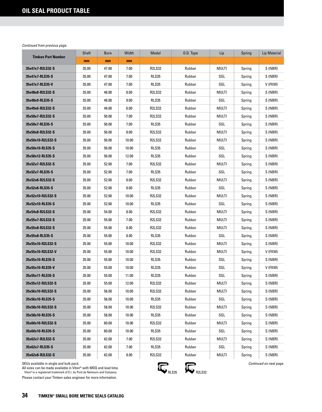| <b>Timken Part Number</b> | Shaft | <b>Bore</b> | Width | Model         | O.D. Type | Lip   | Spring | <b>Lip Material</b> |
|---------------------------|-------|-------------|-------|---------------|-----------|-------|--------|---------------------|
|                           | mm    | mm          | mm    |               |           |       |        |                     |
| 35x47x7-R2LS32-S          | 35.00 | 47.00       | 7.00  | <b>R2LS32</b> | Rubber    | MULTI | Spring | S (NBR)             |
| 35x47x7-RLS35-S           | 35.00 | 47.00       | 7.00  | <b>RLS35</b>  | Rubber    | SGL   | Spring | S (NBR)             |
| 35x47x7-RLS35-V           | 35.00 | 47.00       | 7.00  | <b>RLS35</b>  | Rubber    | SGL   | Spring | V (FKM)             |
| 35x48x8-R2LS32-S          | 35.00 | 48.00       | 8.00  | <b>R2LS32</b> | Rubber    | MULTI | Spring | S (NBR)             |
| 35x48x9-RLS35-S           | 35.00 | 48.00       | 9.00  | RLS35         | Rubber    | SGL   | Spring | S (NBR)             |
| 35x49x6-R2LS32-S          | 35.00 | 49.00       | 6.00  | <b>R2LS32</b> | Rubber    | MULTI | Spring | S (NBR)             |
| 35x50x7-R2LS32-S          | 35.00 | 50.00       | 7.00  | <b>R2LS32</b> | Rubber    | MULTI | Spring | S (NBR)             |
| 35x50x7-RLS35-S           | 35.00 | 50.00       | 7.00  | <b>RLS35</b>  | Rubber    | SGL   | Spring | S (NBR)             |
| 35x50x8-R2LS32-S          | 35.00 | 50.00       | 8.00  | <b>R2LS32</b> | Rubber    | MULTI | Spring | S (NBR)             |
| 35x50x10-R2LS32-S         | 35.00 | 50.00       | 10.00 | <b>R2LS32</b> | Rubber    | MULTI | Spring | S (NBR)             |
| 35x50x10-RLS35-S          | 35.00 | 50.00       | 10.00 | <b>RLS35</b>  | Rubber    | SGL   | Spring | S (NBR)             |
| 35x50x12-RLS35-S          | 35.00 | 50.00       | 12.00 | <b>RLS35</b>  | Rubber    | SGL   | Spring | S (NBR)             |
| 35x52x7-R2LS32-S          | 35.00 | 52.00       | 7.00  | <b>R2LS32</b> | Rubber    | MULTI | Spring | S (NBR)             |
| 35x52x7-RLS35-S           | 35.00 | 52.00       | 7.00  | RLS35         | Rubber    | SGL   | Spring | S (NBR)             |
| 35x52x8-R2LS32-S          | 35.00 | 52.00       | 8.00  | <b>R2LS32</b> | Rubber    | MULTI | Spring | S (NBR)             |
| 35x52x8-RLS35-S           | 35.00 | 52.00       | 8.00  | RLS35         | Rubber    | SGL   | Spring | S (NBR)             |
| 35x52x10-R2LS32-S         | 35.00 | 52.00       | 10.00 | <b>R2LS32</b> | Rubber    | MULTI | Spring | S(NBR)              |
| 35x52x10-RLS35-S          | 35.00 | 52.00       | 10.00 | <b>RLS35</b>  | Rubber    | SGL   | Spring | S (NBR)             |
| 35x54x8-R2LS32-S          | 35.00 | 54.00       | 8.00  | <b>R2LS32</b> | Rubber    | MULTI | Spring | S (NBR)             |
| 35x55x7-R2LS32-S          | 35.00 | 55.00       | 7.00  | <b>R2LS32</b> | Rubber    | MULTI | Spring | S (NBR)             |
| 35x55x8-R2LS32-S          | 35.00 | 55.00       | 8.00  | <b>R2LS32</b> | Rubber    | MULTI | Spring | S(NBR)              |
| 35x55x8-RLS35-S           | 35.00 | 55.00       | 8.00  | RLS35         | Rubber    | SGL   | Spring | S (NBR)             |
| 35x55x10-R2LS32-S         | 35.00 | 55.00       | 10.00 | <b>R2LS32</b> | Rubber    | MULTI | Spring | S (NBR)             |
| 35x55x10-R2LS32-V         | 35.00 | 55.00       | 10.00 | <b>R2LS32</b> | Rubber    | MULTI | Spring | V (FKM)             |
| 35x55x10-RLS35-S          | 35.00 | 55.00       | 10.00 | <b>RLS35</b>  | Rubber    | SGL   | Spring | S (NBR)             |
| 35x55x10-RLS35-V          | 35.00 | 55.00       | 10.00 | RLS35         | Rubber    | SGL   | Spring | V (FKM)             |
| 35x55x11-RLS35-S          | 35.00 | 55.00       | 11.00 | RLS35         | Rubber    | SGL   | Spring | S (NBR)             |
| 35x55x12-R2LS32-S         | 35.00 | 55.00       | 12.00 | <b>R2LS32</b> | Rubber    | MULTI | Spring | S (NBR)             |
| 35x56x10-R2LS32-S         | 35.00 | 56.00       | 10.00 | <b>R2LS32</b> | Rubber    | MULTI | Spring | S (NBR)             |
| 35x56x10-RLS35-S          | 35.00 | 56.00       | 10.00 | RLS35         | Rubber    | SGL   | Spring | S (NBR)             |
| 35x58x10-R2LS32-S         | 35.00 | 58.00       | 10.00 | R2LS32        | Rubber    | MULTI | Spring | S (NBR)             |
| 35x58x10-RLS35-S          | 35.00 | 58.00       | 10.00 | RLS35         | Rubber    | SGL   | Spring | S (NBR)             |
| 35x60x10-R2LS32-S         | 35.00 | 60.00       | 10.00 | R2LS32        | Rubber    | MULTI | Spring | S (NBR)             |
| 35x60x10-RLS35-S          | 35.00 | 60.00       | 10.00 | RLS35         | Rubber    | SGL   | Spring | S (NBR)             |
| 35x62x7-R2LS32-S          | 35.00 | 62.00       | 7.00  | <b>R2LS32</b> | Rubber    | MULTI | Spring | S (NBR)             |
| 35x62x7-RLS35-S           | 35.00 | 62.00       | 7.00  | RLS35         | Rubber    | SGL   | Spring | S (NBR)             |
| 35x62x8-R2LS32-S          | 35.00 | 62.00       | 8.00  | R2LS32        | Rubber    | MULTI | Spring | S (NBR)             |

SKUs available in single and bulk pack.

All sizes can be made available in Viton® with MOQ and lead time.<br>Viton®is a registered trademark of E.I. du Pont de Nemours and Company.

Please contact your Timken sales engineer for more information.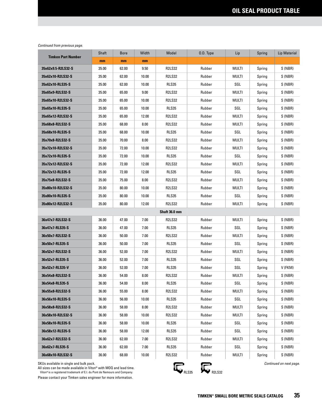| <b>Timken Part Number</b> | Shaft | <b>Bore</b> | Width | Model         | O.D. Type | Lip          | Spring | <b>Lip Material</b> |
|---------------------------|-------|-------------|-------|---------------|-----------|--------------|--------|---------------------|
|                           | mm    | mm          | mm    |               |           |              |        |                     |
| 35x62x9.5-R2LS32-S        | 35.00 | 62.00       | 9.50  | <b>R2LS32</b> | Rubber    | MULTI        | Spring | S (NBR)             |
| 35x62x10-R2LS32-S         | 35.00 | 62.00       | 10.00 | <b>R2LS32</b> | Rubber    | MULTI        | Spring | S (NBR)             |
| 35x62x10-RLS35-S          | 35.00 | 62.00       | 10.00 | <b>RLS35</b>  | Rubber    | SGL          | Spring | S (NBR)             |
| 35x65x9-R2LS32-S          | 35.00 | 65.00       | 9.00  | <b>R2LS32</b> | Rubber    | MULTI        | Spring | S (NBR)             |
| 35x65x10-R2LS32-S         | 35.00 | 65.00       | 10.00 | <b>R2LS32</b> | Rubber    | MULTI        | Spring | S (NBR)             |
| 35x65x10-RLS35-S          | 35.00 | 65.00       | 10.00 | <b>RLS35</b>  | Rubber    | SGL          | Spring | S (NBR)             |
| 35x65x12-R2LS32-S         | 35.00 | 65.00       | 12.00 | <b>R2LS32</b> | Rubber    | MULTI        | Spring | S (NBR)             |
| 35x68x8-R2LS32-S          | 35.00 | 68.00       | 8.00  | <b>R2LS32</b> | Rubber    | MULTI        | Spring | S (NBR)             |
| 35x68x10-RLS35-S          | 35.00 | 68.00       | 10.00 | <b>RLS35</b>  | Rubber    | SGL          | Spring | S (NBR)             |
| 35x70x8-R2LS32-S          | 35.00 | 70.00       | 8.00  | <b>R2LS32</b> | Rubber    | MULTI        | Spring | S (NBR)             |
| 35x72x10-R2LS32-S         | 35.00 | 72.00       | 10.00 | <b>R2LS32</b> | Rubber    | MULTI        | Spring | S (NBR)             |
| 35x72x10-RLS35-S          | 35.00 | 72.00       | 10.00 | <b>RLS35</b>  | Rubber    | SGL          | Spring | S (NBR)             |
| 35x72x12-R2LS32-S         | 35.00 | 72.00       | 12.00 | <b>R2LS32</b> | Rubber    | MULTI        | Spring | S (NBR)             |
| 35x72x12-RLS35-S          | 35.00 | 72.00       | 12.00 | <b>RLS35</b>  | Rubber    | SGL          | Spring | S (NBR)             |
| 35x75x8-R2LS32-S          | 35.00 | 75.00       | 8.00  | <b>R2LS32</b> | Rubber    | <b>MULTI</b> | Spring | S (NBR)             |
| 35x80x10-R2LS32-S         | 35.00 | 80.00       | 10.00 | <b>R2LS32</b> | Rubber    | MULTI        | Spring | S (NBR)             |
| 35x80x10-RLS35-S          | 35.00 | 80.00       | 10.00 | <b>RLS35</b>  | Rubber    | SGL          | Spring | S (NBR)             |
| 35x80x12-R2LS32-S         | 35.00 | 80.00       | 12.00 | <b>R2LS32</b> | Rubber    | MULTI        | Spring | S (NBR)             |
|                           |       |             |       | Shaft 36.0 mm |           |              |        |                     |
| 36x47x7-R2LS32-S          | 36.00 | 47.00       | 7.00  | <b>R2LS32</b> | Rubber    | MULTI        | Spring | S (NBR)             |
| 36x47x7-RLS35-S           | 36.00 | 47.00       | 7.00  | <b>RLS35</b>  | Rubber    | SGL          | Spring | S (NBR)             |
| 36x50x7-R2LS32-S          | 36.00 | 50.00       | 7.00  | <b>R2LS32</b> | Rubber    | MULTI        | Spring | S (NBR)             |
| 36x50x7-RLS35-S           | 36.00 | 50.00       | 7.00  | <b>RLS35</b>  | Rubber    | SGL          | Spring | S (NBR)             |
| 36x52x7-R2LS32-S          | 36.00 | 52.00       | 7.00  | <b>R2LS32</b> | Rubber    | multi        | Spring | S (NBR)             |
| 36x52x7-RLS35-S           | 36.00 | 52.00       | 7.00  | RLS35         | Rubber    | SGL          | Spring | S (NBR)             |
| 36x52x7-RLS35-V           | 36.00 | 52.00       | 7.00  | RLS35         | Rubber    | SGL          | Spring | V (FKM)             |
| 36x54x8-R2LS32-S          | 36.00 | 54.00       | 8.00  | <b>R2LS32</b> | Rubber    | MULTI        | Spring | S (NBR)             |
| 36x54x8-RLS35-S           | 36.00 | 54.00       | 8.00  | RLS35         | Rubber    | SGL          | Spring | S (NBR)             |
| 36x55x8-R2LS32-S          | 36.00 | 55.00       | 8.00  | R2LS32        | Rubber    | MULTI        | Spring | S (NBR)             |
| 36x56x10-RLS35-S          | 36.00 | 56.00       | 10.00 | RLS35         | Rubber    | SGL          | Spring | S (NBR)             |
| 36x58x8-R2LS32-S          | 36.00 | 58.00       | 8.00  | R2LS32        | Rubber    | MULTI        | Spring | S (NBR)             |
| 36x58x10-R2LS32-S         | 36.00 | 58.00       | 10.00 | R2LS32        | Rubber    | <b>MULTI</b> | Spring | S (NBR)             |
| 36x58x10-RLS35-S          | 36.00 | 58.00       | 10.00 | RLS35         | Rubber    | SGL          | Spring | S (NBR)             |
| 36x58x12-RLS35-S          | 36.00 | 58.00       | 12.00 | RLS35         | Rubber    | SGL          | Spring | S (NBR)             |
| 36x62x7-R2LS32-S          | 36.00 | 62.00       | 7.00  | R2LS32        | Rubber    | MULTI        | Spring | S (NBR)             |
| 36x62x7-RLS35-S           | 36.00 | 62.00       | 7.00  | RLS35         | Rubber    | SGL          | Spring | S (NBR)             |
| 36x68x10-R2LS32-S         | 36.00 | 68.00       | 10.00 | R2LS32        | Rubber    | MULTI        | Spring | S (NBR)             |

SKUs available in single and bulk pack.

All sizes can be made available in Viton® with MOQ and lead time.<br>Viton®is a registered trademark of E.I. du Pont de Nemours and Company.



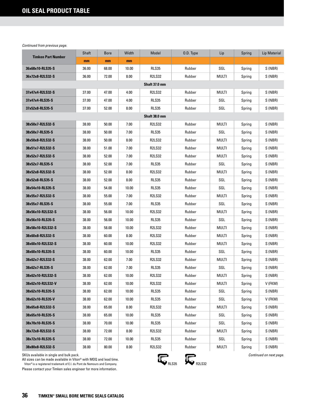| <b>Timken Part Number</b> | Shaft | <b>Bore</b> | Width | Model         | O.D. Type | Lip          | Spring | <b>Lip Material</b> |
|---------------------------|-------|-------------|-------|---------------|-----------|--------------|--------|---------------------|
|                           | mm    | mm          | mm    |               |           |              |        |                     |
| 36x68x10-RLS35-S          | 36.00 | 68.00       | 10.00 | <b>RLS35</b>  | Rubber    | SGL          | Spring | S (NBR)             |
| 36x72x8-R2LS32-S          | 36.00 | 72.00       | 8.00  | <b>R2LS32</b> | Rubber    | MULTI        | Spring | S (NBR)             |
|                           |       |             |       | Shaft 37.0 mm |           |              |        |                     |
| 37x47x4-R2LS32-S          | 37.00 | 47.00       | 4.00  | <b>R2LS32</b> | Rubber    | MULTI        | Spring | S (NBR)             |
| 37x47x4-RLS35-S           | 37.00 | 47.00       | 4.00  | RLS35         | Rubber    | SGL          | Spring | S (NBR)             |
| 37x52x8-RLS35-S           | 37.00 | 52.00       | 8.00  | <b>RLS35</b>  | Rubber    | SGL          | Spring | S (NBR)             |
| Shaft 38.0 mm             |       |             |       |               |           |              |        |                     |
| 38x50x7-R2LS32-S          | 38.00 | 50.00       | 7.00  | <b>R2LS32</b> | Rubber    | MULTI        | Spring | S (NBR)             |
| 38x50x7-RLS35-S           | 38.00 | 50.00       | 7.00  | <b>RLS35</b>  | Rubber    | SGL          | Spring | S (NBR)             |
| 38x50x8-R2LS32-S          | 38.00 | 50.00       | 8.00  | <b>R2LS32</b> | Rubber    | MULTI        | Spring | S (NBR)             |
| 38x51x7-R2LS32-S          | 38.00 | 51.00       | 7.00  | <b>R2LS32</b> | Rubber    | MULTI        | Spring | S (NBR)             |
| 38x52x7-R2LS32-S          | 38.00 | 52.00       | 7.00  | <b>R2LS32</b> | Rubber    | MULTI        | Spring | S (NBR)             |
| 38x52x7-RLS35-S           | 38.00 | 52.00       | 7.00  | <b>RLS35</b>  | Rubber    | SGL          | Spring | S (NBR)             |
| 38x52x8-R2LS32-S          | 38.00 | 52.00       | 8.00  | <b>R2LS32</b> | Rubber    | <b>MULTI</b> | Spring | S (NBR)             |
| 38x52x8-RLS35-S           | 38.00 | 52.00       | 8.00  | <b>RLS35</b>  | Rubber    | SGL          | Spring | S (NBR)             |
| 38x54x10-RLS35-S          | 38.00 | 54.00       | 10.00 | <b>RLS35</b>  | Rubber    | SGL          | Spring | S (NBR)             |
| 38x55x7-R2LS32-S          | 38.00 | 55.00       | 7.00  | <b>R2LS32</b> | Rubber    | MULTI        | Spring | S (NBR)             |
| 38x55x7-RLS35-S           | 38.00 | 55.00       | 7.00  | <b>RLS35</b>  | Rubber    | SGL          | Spring | S (NBR)             |
| 38x56x10-R2LS32-S         | 38.00 | 56.00       | 10.00 | <b>R2LS32</b> | Rubber    | MULTI        | Spring | S (NBR)             |
| 38x56x10-RLS35-S          | 38.00 | 56.00       | 10.00 | <b>RLS35</b>  | Rubber    | SGL          | Spring | S (NBR)             |
| 38x58x10-R2LS32-S         | 38.00 | 58.00       | 10.00 | R2LS32        | Rubber    | MULTI        | Spring | S (NBR)             |
| 38x60x8-R2LS32-S          | 38.00 | 60.00       | 8.00  | <b>R2LS32</b> | Rubber    | <b>MULTI</b> | Spring | S (NBR)             |
| 38x60x10-R2LS32-S         | 38.00 | 60.00       | 10.00 | <b>R2LS32</b> | Rubber    | MULTI        | Spring | S (NBR)             |
| 38x60x10-RLS35-S          | 38.00 | 60.00       | 10.00 | RLS35         | Rubber    | SGL          | Spring | S (NBR)             |
| 38x62x7-R2LS32-S          | 38.00 | 62.00       | 7.00  | <b>R2LS32</b> | Rubber    | MULTI        | Spring | S (NBR)             |
| 38x62x7-RLS35-S           | 38.00 | 62.00       | 7.00  | <b>RLS35</b>  | Rubber    | SGL          | Spring | S (NBR)             |
| 38x62x10-R2LS32-S         | 38.00 | 62.00       | 10.00 | <b>R2LS32</b> | Rubber    | MULTI        | Spring | S (NBR)             |
| 38x62x10-R2LS32-V         | 38.00 | 62.00       | 10.00 | <b>R2LS32</b> | Rubber    | <b>MULTI</b> | Spring | V (FKM)             |
| 38x62x10-RLS35-S          | 38.00 | 62.00       | 10.00 | <b>RLS35</b>  | Rubber    | SGL          | Spring | S (NBR)             |
| 38x62x10-RLS35-V          | 38.00 | 62.00       | 10.00 | <b>RLS35</b>  | Rubber    | SGL          | Spring | V (FKM)             |
| 38x65x8-R2LS32-S          | 38.00 | 65.00       | 8.00  | R2LS32        | Rubber    | MULTI        | Spring | S (NBR)             |
| 38x65x10-RLS35-S          | 38.00 | 65.00       | 10.00 | RLS35         | Rubber    | SGL          | Spring | S (NBR)             |
| 38x70x10-RLS35-S          | 38.00 | 70.00       | 10.00 | RLS35         | Rubber    | SGL          | Spring | S (NBR)             |
| 38x72x8-R2LS32-S          | 38.00 | 72.00       | 8.00  | <b>R2LS32</b> | Rubber    | MULTI        | Spring | S (NBR)             |
| 38x72x10-RLS35-S          | 38.00 | 72.00       | 10.00 | RLS35         | Rubber    | SGL          | Spring | S (NBR)             |
| 38x80x8-R2LS32-S          | 38.00 | 80.00       | 8.00  | R2LS32        | Rubber    | MULTI        | Spring | S (NBR)             |

SKUs available in single and bulk pack.

All sizes can be made available in Viton® with MOQ and lead time.

 Viton® is a registered trademark of E.I. du Pont de Nemours and Company. Please contact your Timken sales engineer for more information.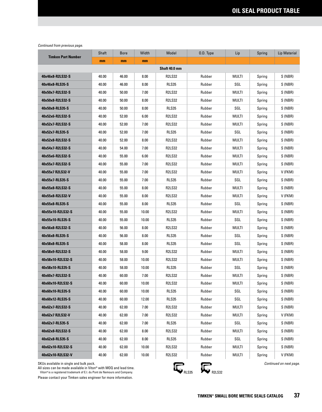| <b>Timken Part Number</b> | Shaft | <b>Bore</b> | Width | Model         | 0.D. Type | Lip          | Spring | Lip Material |
|---------------------------|-------|-------------|-------|---------------|-----------|--------------|--------|--------------|
|                           | mm    | mm          | mm    |               |           |              |        |              |
|                           |       |             |       | Shaft 40.0 mm |           |              |        |              |
| 40x46x8-R2LS32-S          | 40.00 | 46.00       | 8.00  | <b>R2LS32</b> | Rubber    | MULTI        | Spring | S (NBR)      |
| 40x46x8-RLS35-S           | 40.00 | 46.00       | 8.00  | <b>RLS35</b>  | Rubber    | SGL          | Spring | S (NBR)      |
| 40x50x7-R2LS32-S          | 40.00 | 50.00       | 7.00  | <b>R2LS32</b> | Rubber    | MULTI        | Spring | S (NBR)      |
| 40x50x8-R2LS32-S          | 40.00 | 50.00       | 8.00  | <b>R2LS32</b> | Rubber    | MULTI        | Spring | S (NBR)      |
| 40x50x8-RLS35-S           | 40.00 | 50.00       | 8.00  | <b>RLS35</b>  | Rubber    | SGL          | Spring | S (NBR)      |
| 40x52x6-R2LS32-S          | 40.00 | 52.00       | 6.00  | <b>R2LS32</b> | Rubber    | MULTI        | Spring | S (NBR)      |
| 40x52x7-R2LS32-S          | 40.00 | 52.00       | 7.00  | <b>R2LS32</b> | Rubber    | MULTI        | Spring | S (NBR)      |
| 40x52x7-RLS35-S           | 40.00 | 52.00       | 7.00  | <b>RLS35</b>  | Rubber    | SGL          | Spring | S (NBR)      |
| 40x52x8-R2LS32-S          | 40.00 | 52.00       | 8.00  | <b>R2LS32</b> | Rubber    | MULTI        | Spring | S (NBR)      |
| 40x54x7-R2LS32-S          | 40.00 | 54.00       | 7.00  | <b>R2LS32</b> | Rubber    | MULTI        | Spring | S (NBR)      |
| 40x55x6-R2LS32-S          | 40.00 | 55.00       | 6.00  | <b>R2LS32</b> | Rubber    | MULTI        | Spring | S (NBR)      |
| 40x55x7-R2LS32-S          | 40.00 | 55.00       | 7.00  | <b>R2LS32</b> | Rubber    | MULTI        | Spring | S (NBR)      |
| 40x55x7 R2LS32-V          | 40.00 | 55.00       | 7.00  | <b>R2LS32</b> | Rubber    | MULTI        | Spring | V (FKM)      |
| 40x55x7-RLS35-S           | 40.00 | 55.00       | 7.00  | <b>RLS35</b>  | Rubber    | SGL          | Spring | S (NBR)      |
| 40x55x8-R2LS32-S          | 40.00 | 55.00       | 8.00  | <b>R2LS32</b> | Rubber    | MULTI        | Spring | S (NBR)      |
| 40x55x8-R2LS32-V          | 40.00 | 55.00       | 8.00  | <b>R2LS32</b> | Rubber    | MULTI        | Spring | V (FKM)      |
| 40x55x8-RLS35-S           | 40.00 | 55.00       | 8.00  | <b>RLS35</b>  | Rubber    | SGL          | Spring | S (NBR)      |
| 40x55x10-R2LS32-S         | 40.00 | 55.00       | 10.00 | R2LS32        | Rubber    | MULTI        | Spring | S (NBR)      |
| 40x55x10-RLS35-S          | 40.00 | 55.00       | 10.00 | RLS35         | Rubber    | SGL          | Spring | S (NBR)      |
| 40x56x8-R2LS32-S          | 40.00 | 56.00       | 8.00  | <b>R2LS32</b> | Rubber    | MULTI        | Spring | S (NBR)      |
| 40x56x8-RLS35-S           | 40.00 | 56.00       | 8.00  | <b>RLS35</b>  | Rubber    | SGL          | Spring | S (NBR)      |
| 40x58x8-RLS35-S           | 40.00 | 58.00       | 8.00  | RLS35         | Rubber    | SGL          | Spring | S (NBR)      |
| 40x58x9-R2LS32-S          | 40.00 | 58.00       | 9.00  | <b>R2LS32</b> | Rubber    | MULTI        | Spring | S (NBR)      |
| 40x58x10-R2LS32-S         | 40.00 | 58.00       | 10.00 | <b>R2LS32</b> | Rubber    | MULTI        | Spring | S (NBR)      |
| 40x58x10-RLS35-S          | 40.00 | 58.00       | 10.00 | RLS35         | Rubber    | SGL          | Spring | S (NBR)      |
| 40x60x7-R2LS32-S          | 40.00 | 60.00       | 7.00  | <b>R2LS32</b> | Rubber    | MULTI        | Spring | S (NBR)      |
| 40x60x10-R2LS32-S         | 40.00 | 60.00       | 10.00 | <b>R2LS32</b> | Rubber    | <b>MULTI</b> | Spring | S (NBR)      |
| 40x60x10-RLS35-S          | 40.00 | 60.00       | 10.00 | RLS35         | Rubber    | SGL          | Spring | S (NBR)      |
| 40x60x12-RLS35-S          | 40.00 | 60.00       | 12.00 | <b>RLS35</b>  | Rubber    | SGL          | Spring | S (NBR)      |
| 40x62x7-R2LS32-S          | 40.00 | 62.00       | 7.00  | <b>R2LS32</b> | Rubber    | MULTI        | Spring | S (NBR)      |
| 40x62x7 R2LS32-V          | 40.00 | 62.00       | 7.00  | <b>R2LS32</b> | Rubber    | <b>MULTI</b> | Spring | V (FKM)      |
| 40x62x7-RLS35-S           | 40.00 | 62.00       | 7.00  | RLS35         | Rubber    | SGL          | Spring | S (NBR)      |
| 40x62x8-R2LS32-S          | 40.00 | 62.00       | 8.00  | <b>R2LS32</b> | Rubber    | <b>MULTI</b> | Spring | S (NBR)      |
| 40x62x8-RLS35-S           | 40.00 | 62.00       | 8.00  | RLS35         | Rubber    | SGL          | Spring | S (NBR)      |
| 40x62x10-R2LS32-S         | 40.00 | 62.00       | 10.00 | <b>R2LS32</b> | Rubber    | <b>MULTI</b> | Spring | S (NBR)      |
| 40x62x10-R2LS32-V         | 40.00 | 62.00       | 10.00 | <b>R2LS32</b> | Rubber    | <b>MULTI</b> | Spring | V (FKM)      |

SKUs available in single and bulk pack.

All sizes can be made available in Viton® with MOQ and lead time.<br>Viton®is a registered trademark of E.I. du Pont de Nemours and Company.



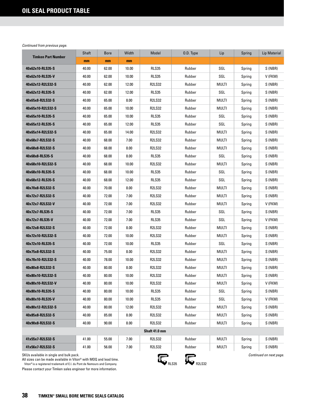| <b>Timken Part Number</b>                                                                                                                                                                | Shaft                  | <b>Bore</b> | Width | Model                   | 0.D. Type | Lip          | Spring | <b>Lip Material</b> |
|------------------------------------------------------------------------------------------------------------------------------------------------------------------------------------------|------------------------|-------------|-------|-------------------------|-----------|--------------|--------|---------------------|
|                                                                                                                                                                                          | mm                     | mm          | mm    |                         |           |              |        |                     |
| 40x62x10-RLS35-S                                                                                                                                                                         | 40.00                  | 62.00       | 10.00 | <b>RLS35</b>            | Rubber    | SGL          | Spring | S (NBR)             |
| 40x62x10-RLS35-V                                                                                                                                                                         | 40.00                  | 62.00       | 10.00 | <b>RLS35</b>            | Rubber    | SGL          | Spring | V (FKM)             |
| 40x62x12-R2LS32-S                                                                                                                                                                        | 40.00                  | 62.00       | 12.00 | <b>R2LS32</b>           | Rubber    | MULTI        | Spring | S (NBR)             |
| 40x62x12-RLS35-S                                                                                                                                                                         | 40.00                  | 62.00       | 12.00 | <b>RLS35</b>            | Rubber    | SGL          | Spring | S (NBR)             |
| 40x65x8-R2LS32-S                                                                                                                                                                         | 40.00                  | 65.00       | 8.00  | <b>R2LS32</b>           | Rubber    | MULTI        | Spring | S (NBR)             |
| 40x65x10-R2LS32-S                                                                                                                                                                        | 40.00                  | 65.00       | 10.00 | <b>R2LS32</b>           | Rubber    | MULTI        | Spring | S (NBR)             |
| 40x65x10-RLS35-S                                                                                                                                                                         | 40.00                  | 65.00       | 10.00 | <b>RLS35</b>            | Rubber    | SGL          | Spring | S (NBR)             |
| 40x65x12-RLS35-S                                                                                                                                                                         | 40.00                  | 65.00       | 12.00 | RLS35                   | Rubber    | SGL          | Spring | S (NBR)             |
| 40x65x14-R2LS32-S                                                                                                                                                                        | 40.00                  | 65.00       | 14.00 | <b>R2LS32</b>           | Rubber    | MULTI        | Spring | S (NBR)             |
| 40x68x7-R2LS32-S                                                                                                                                                                         | 40.00                  | 68.00       | 7.00  | <b>R2LS32</b>           | Rubber    | MULTI        | Spring | S (NBR)             |
| 40x68x8-R2LS32-S                                                                                                                                                                         | 40.00                  | 68.00       | 8.00  | <b>R2LS32</b>           | Rubber    | MULTI        | Spring | S (NBR)             |
| 40x68x8-RLS35-S                                                                                                                                                                          | 40.00                  | 68.00       | 8.00  | RLS35                   | Rubber    | SGL          | Spring | S (NBR)             |
| 40x68x10-R2LS32-S                                                                                                                                                                        | 40.00                  | 68.00       | 10.00 | <b>R2LS32</b>           | Rubber    | MULTI        | Spring | S (NBR)             |
| 40x68x10-RLS35-S                                                                                                                                                                         | 40.00                  | 68.00       | 10.00 | RLS35                   | Rubber    | SGL          | Spring | S (NBR)             |
| 40x68x12-RLS35-S                                                                                                                                                                         | 40.00                  | 68.00       | 12.00 | <b>RLS35</b>            | Rubber    | SGL          | Spring | S (NBR)             |
| 40x70x8-R2LS32-S                                                                                                                                                                         | 40.00                  | 70.00       | 8.00  | <b>R2LS32</b>           | Rubber    | MULTI        | Spring | S (NBR)             |
| 40x72x7-R2LS32-S                                                                                                                                                                         | 40.00                  | 72.00       | 7.00  | <b>R2LS32</b>           | Rubber    | <b>MULTI</b> | Spring | S (NBR)             |
| 40x72x7-R2LS32-V                                                                                                                                                                         | 40.00                  | 72.00       | 7.00  | <b>R2LS32</b>           | Rubber    | MULTI        | Spring | V (FKM)             |
| 40x72x7-RLS35-S                                                                                                                                                                          | 40.00                  | 72.00       | 7.00  | <b>RLS35</b>            | Rubber    | SGL          | Spring | S (NBR)             |
| 40x72x7-RLS35-V                                                                                                                                                                          | 40.00                  | 72.00       | 7.00  | RLS35                   | Rubber    | SGL          | Spring | V (FKM)             |
| 40x72x8-R2LS32-S                                                                                                                                                                         | 40.00                  | 72.00       | 8.00  | <b>R2LS32</b>           | Rubber    | MULTI        | Spring | S (NBR)             |
| 40x72x10-R2LS32-S                                                                                                                                                                        | 40.00                  | 72.00       | 10.00 | <b>R2LS32</b>           | Rubber    | MULTI        | Spring | S (NBR)             |
| 40x72x10-RLS35-S                                                                                                                                                                         | 40.00                  | 72.00       | 10.00 | <b>RLS35</b>            | Rubber    | SGL          | Spring | S (NBR)             |
| 40x75x8-R2LS32-S                                                                                                                                                                         | 40.00                  | 75.00       | 8.00  | <b>R2LS32</b>           | Rubber    | MULTI        | Spring | S (NBR)             |
| 40x78x10-R2LS32-S                                                                                                                                                                        | 40.00                  | 78.00       | 10.00 | <b>R2LS32</b>           | Rubber    | MULTI        | Spring | S (NBR)             |
| 40x80x8-R2LS32-S                                                                                                                                                                         | 40.00                  | 80.00       | 8.00  | <b>R2LS32</b>           | Rubber    | MULTI        | Spring | S (NBR)             |
| 40x80x10-R2LS32-S                                                                                                                                                                        | 40.00                  | 80.00       | 10.00 | <b>R2LS32</b>           | Rubber    | MULTI        | Spring | S(NBR)              |
| 40x80x10-R2LS32-V                                                                                                                                                                        | 40.00                  | 80.00       | 10.00 | <b>R2LS32</b>           | Rubber    | MULTI        | Spring | V (FKM)             |
| 40x80x10-RLS35-S                                                                                                                                                                         | 40.00                  | 80.00       | 10.00 | RLS35                   | Rubber    | SGL          | Spring | S (NBR)             |
| 40x80x10-RLS35-V                                                                                                                                                                         | 40.00                  | 80.00       | 10.00 | RLS35                   | Rubber    | SGL          | Spring | V (FKM)             |
| 40x80x12-R2LS32-S                                                                                                                                                                        | 40.00                  | 80.00       | 12.00 | <b>R2LS32</b>           | Rubber    | MULTI        | Spring | S (NBR)             |
| 40x85x8-R2LS32-S                                                                                                                                                                         | 40.00                  | 85.00       | 8.00  | <b>R2LS32</b>           | Rubber    | MULTI        | Spring | S (NBR)             |
| 40x90x8-R2LS32-S                                                                                                                                                                         | 40.00                  | 90.00       | 8.00  | <b>R2LS32</b>           | Rubber    | MULTI        | Spring | S (NBR)             |
|                                                                                                                                                                                          |                        |             |       | Shaft 41.0 mm           |           |              |        |                     |
| 41x55x7-R2LS32-S                                                                                                                                                                         | 41.00                  | 55.00       | 7.00  | <b>R2LS32</b>           | Rubber    | MULTI        | Spring | S (NBR)             |
| 41x56x7-R2LS32-S                                                                                                                                                                         | 41.00                  | 56.00       | 7.00  | <b>R2LS32</b>           | Rubber    | <b>MULTI</b> | Spring | S (NBR)             |
| SKUs available in single and bulk pack.<br>All sizes can be made available in Viton® with MOQ and lead time.<br>Viton® is a registered trademark of E.I. du Pont de Nemours and Company. | <b>R2LS32</b><br>RLS35 |             |       | Continued on next page. |           |              |        |                     |

Viton® is a registered trademark of E.I. du Pont de Nemours and Company.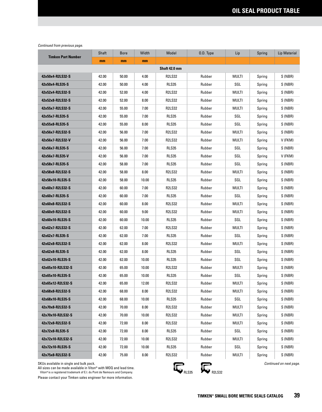| <b>Timken Part Number</b> | Shaft | <b>Bore</b> | Width | Model         | 0.D. Type | Lip          | Spring | Lip Material |
|---------------------------|-------|-------------|-------|---------------|-----------|--------------|--------|--------------|
|                           | mm    | mm          | mm    |               |           |              |        |              |
|                           |       |             |       | Shaft 42.0 mm |           |              |        |              |
| 42x50x4-R2LS32-S          | 42.00 | 50.00       | 4.00  | <b>R2LS32</b> | Rubber    | MULTI        | Spring | S (NBR)      |
| 42x50x4-RLS35-S           | 42.00 | 50.00       | 4.00  | <b>RLS35</b>  | Rubber    | SGL          | Spring | S (NBR)      |
| 42x52x4-R2LS32-S          | 42.00 | 52.00       | 4.00  | <b>R2LS32</b> | Rubber    | MULTI        | Spring | S (NBR)      |
| 42x52x8-R2LS32-S          | 42.00 | 52.00       | 8.00  | <b>R2LS32</b> | Rubber    | MULTI        | Spring | S (NBR)      |
| 42x55x7-R2LS32-S          | 42.00 | 55.00       | 7.00  | <b>R2LS32</b> | Rubber    | MULTI        | Spring | S (NBR)      |
| 42x55x7-RLS35-S           | 42.00 | 55.00       | 7.00  | <b>RLS35</b>  | Rubber    | SGL          | Spring | S (NBR)      |
| 42x55x8-RLS35-S           | 42.00 | 55.00       | 8.00  | RLS35         | Rubber    | SGL          | Spring | S (NBR)      |
| 42x56x7-R2LS32-S          | 42.00 | 56.00       | 7.00  | <b>R2LS32</b> | Rubber    | MULTI        | Spring | S (NBR)      |
| 42x56x7-R2LS32-V          | 42.00 | 56.00       | 7.00  | <b>R2LS32</b> | Rubber    | MULTI        | Spring | V (FKM)      |
| 42x56x7-RLS35-S           | 42.00 | 56.00       | 7.00  | <b>RLS35</b>  | Rubber    | SGL          | Spring | S (NBR)      |
| 42x56x7-RLS35-V           | 42.00 | 56.00       | 7.00  | <b>RLS35</b>  | Rubber    | SGL          | Spring | V (FKM)      |
| 42x58x7-RLS35-S           | 42.00 | 58.00       | 7.00  | <b>RLS35</b>  | Rubber    | SGL          | Spring | S (NBR)      |
| 42x58x8-R2LS32-S          | 42.00 | 58.00       | 8.00  | <b>R2LS32</b> | Rubber    | MULTI        | Spring | S (NBR)      |
| 42x58x10-RLS35-S          | 42.00 | 58.00       | 10.00 | <b>RLS35</b>  | Rubber    | SGL          | Spring | S (NBR)      |
| 42x60x7-R2LS32-S          | 42.00 | 60.00       | 7.00  | <b>R2LS32</b> | Rubber    | MULTI        | Spring | S (NBR)      |
| 42x60x7-RLS35-S           | 42.00 | 60.00       | 7.00  | <b>RLS35</b>  | Rubber    | SGL          | Spring | S (NBR)      |
| 42x60x8-R2LS32-S          | 42.00 | 60.00       | 8.00  | <b>R2LS32</b> | Rubber    | MULTI        | Spring | S (NBR)      |
| 42x60x9-R2LS32-S          | 42.00 | 60.00       | 9.00  | <b>R2LS32</b> | Rubber    | MULTI        | Spring | S (NBR)      |
| 42x60x10-RLS35-S          | 42.00 | 60.00       | 10.00 | <b>RLS35</b>  | Rubber    | SGL          | Spring | S (NBR)      |
| 42x62x7-R2LS32-S          | 42.00 | 62.00       | 7.00  | <b>R2LS32</b> | Rubber    | MULTI        | Spring | S (NBR)      |
| 42x62x7-RLS35-S           | 42.00 | 62.00       | 7.00  | <b>RLS35</b>  | Rubber    | SGL          | Spring | S (NBR)      |
| 42x62x8-R2LS32-S          | 42.00 | 62.00       | 8.00  | <b>R2LS32</b> | Rubber    | MULTI        | Spring | S (NBR)      |
| 42x62x8-RLS35-S           | 42.00 | 62.00       | 8.00  | <b>RLS35</b>  | Rubber    | SGL          | Spring | S (NBR)      |
| 42x62x10-RLS35-S          | 42.00 | 62.00       | 10.00 | <b>RLS35</b>  | Rubber    | SGL          | Spring | S (NBR)      |
| 42x65x10-R2LS32-S         | 42.00 | 65.00       | 10.00 | <b>R2LS32</b> | Rubber    | MULTI        | Spring | S (NBR)      |
| 42x65x10-RLS35-S          | 42.00 | 65.00       | 10.00 | RLS35         | Rubber    | SGL          | Spring | S (NBR)      |
| 42x65x12-R2LS32-S         | 42.00 | 65.00       | 12.00 | <b>R2LS32</b> | Rubber    | <b>MULTI</b> | Spring | S (NBR)      |
| 42x68x8-R2LS32-S          | 42.00 | 68.00       | 8.00  | R2LS32        | Rubber    | MULTI        | Spring | S (NBR)      |
| 42x68x10-RLS35-S          | 42.00 | 68.00       | 10.00 | <b>RLS35</b>  | Rubber    | SGL          | Spring | S (NBR)      |
| 42x70x8-R2LS32-S          | 42.00 | 70.00       | 8.00  | <b>R2LS32</b> | Rubber    | MULTI        | Spring | S (NBR)      |
| 42x70x10-R2LS32-S         | 42.00 | 70.00       | 10.00 | <b>R2LS32</b> | Rubber    | <b>MULTI</b> | Spring | S (NBR)      |
| 42x72x8-R2LS32-S          | 42.00 | 72.00       | 8.00  | <b>R2LS32</b> | Rubber    | MULTI        | Spring | S (NBR)      |
| 42x72x8-RLS35-S           | 42.00 | 72.00       | 8.00  | <b>RLS35</b>  | Rubber    | SGL          | Spring | S (NBR)      |
| 42x72x10-R2LS32-S         | 42.00 | 72.00       | 10.00 | <b>R2LS32</b> | Rubber    | <b>MULTI</b> | Spring | S (NBR)      |
| 42x72x10-RLS35-S          | 42.00 | 72.00       | 10.00 | <b>RLS35</b>  | Rubber    | SGL          | Spring | S (NBR)      |
| 42x75x8-R2LS32-S          | 42.00 | 75.00       | 8.00  | <b>R2LS32</b> | Rubber    | <b>MULTI</b> | Spring | S (NBR)      |

SKUs available in single and bulk pack.

All sizes can be made available in Viton® with MOQ and lead time.<br>Viton®is a registered trademark of E.I. du Pont de Nemours and Company.



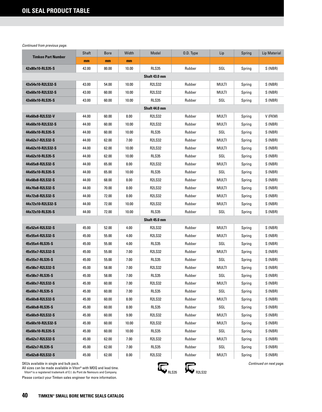| <b>Timken Part Number</b> | Shaft | <b>Bore</b> | Width    | Model         | 0.D. Type | Lip          | Spring | Lip Material |
|---------------------------|-------|-------------|----------|---------------|-----------|--------------|--------|--------------|
|                           | mm    | mm          | mm       |               |           |              |        |              |
| 42x80x10-RLS35-S          | 42.00 | 80.00       | 10.00    | <b>RLS35</b>  | Rubber    | SGL          | Spring | S (NBR)      |
|                           |       |             |          | Shaft 43.0 mm |           |              |        |              |
| 43x54x10-R2LS32-S         | 43.00 | 54.00       | 10.00    | <b>R2LS32</b> | Rubber    | MULTI        | Spring | S (NBR)      |
| 43x60x10-R2LS32-S         | 43.00 | 60.00       | 10.00    | <b>R2LS32</b> | Rubber    | MULTI        | Spring | S (NBR)      |
| 43x60x10-RLS35-S          | 43.00 | 60.00       | 10.00    | RLS35         | Rubber    | SGL          | Spring | S (NBR)      |
|                           |       |             |          | Shaft 44.0 mm |           |              |        |              |
| 44x60x8-R2LS32-V          | 44.00 | 60.00       | 8.00     | <b>R2LS32</b> | Rubber    | MULTI        | Spring | V (FKM)      |
| 44x60x10-R2LS32-S         | 44.00 | 60.00       | 10.00    | <b>R2LS32</b> | Rubber    | MULTI        | Spring | S (NBR)      |
| 44x60x10-RLS35-S          | 44.00 | 60.00       | 10.00    | RLS35         | Rubber    | SGL          | Spring | S (NBR)      |
| 44x62x7-R2LS32-S          | 44.00 | 62.00       | 7.00     | <b>R2LS32</b> | Rubber    | MULTI        | Spring | S (NBR)      |
| 44x62x10-R2LS32-S         | 44.00 | 62.00       | 10.00    | <b>R2LS32</b> | Rubber    | MULTI        | Spring | S (NBR)      |
| 44x62x10-RLS35-S          | 44.00 | 62.00       | 10.00    | RLS35         | Rubber    | SGL          | Spring | S (NBR)      |
| 44x65x8-R2LS32-S          | 44.00 | 65.00       | 8.00     | <b>R2LS32</b> | Rubber    | MULTI        | Spring | S (NBR)      |
| 44x65x10-RLS35-S          | 44.00 | 65.00       | 10.00    | <b>RLS35</b>  | Rubber    | SGL          | Spring | S (NBR)      |
| 44x68x8-R2LS32-S          | 44.00 | 68.00       | 8.00     | <b>R2LS32</b> | Rubber    | MULTI        | Spring | S (NBR)      |
| 44x70x8-R2LS32-S          | 44.00 | 70.00       | 8.00     | <b>R2LS32</b> | Rubber    | MULTI        | Spring | S (NBR)      |
| 44x72x8-R2LS32-S          | 44.00 | 72.00       | 8.00     | <b>R2LS32</b> | Rubber    | MULTI        | Spring | S (NBR)      |
| 44x72x10-R2LS32-S         | 44.00 | 72.00       | 10.00    | <b>R2LS32</b> | Rubber    | MULTI        | Spring | S (NBR)      |
| 44x72x10-RLS35-S          | 44.00 | 72.00       | 10.00    | <b>RLS35</b>  | Rubber    | SGL          | Spring | S (NBR)      |
|                           |       |             |          | Shaft 45.0 mm |           |              |        |              |
| 45x52x4-R2LS32-S          | 45.00 | 52.00       | 4.00     | <b>R2LS32</b> | Rubber    | MULTI        | Spring | S (NBR)      |
| 45x55x4-R2LS32-S          | 45.00 | 55.00       | 4.00     | <b>R2LS32</b> | Rubber    | MULTI        | Spring | S (NBR)      |
| 45x55x4-RLS35-S           | 45.00 | 55.00       | 4.00     | RLS35         | Rubber    | SGL          | Spring | S (NBR)      |
| 45x55x7-R2LS32-S          | 45.00 | 55.00       | 7.00     | <b>R2LS32</b> | Rubber    | MULTI        | Spring | S (NBR)      |
| 45x55x7-RLS35-S           | 45.00 | 55.00       | 7.00     | RLS35         | Rubber    | SGL          | Spring | S (NBR)      |
| 45x58x7-R2LS32-S          | 45.00 | 58.00       | 7.00     | <b>R2LS32</b> | Rubber    | MULTI        | Spring | S (NBR)      |
| 45x58x7-RLS35-S           | 45.00 | 58.00       | 7.00     | RLS35         | Rubber    | SGL          | Spring | S (NBR)      |
| 45x60x7-R2LS32-S          | 45.00 | 60.00       | 7.00     | <b>R2LS32</b> | Rubber    | <b>MULTI</b> | Spring | S (NBR)      |
| 45x60x7-RLS35-S           | 45.00 | 60.00       | 7.00     | RLS35         | Rubber    | SGL          | Spring | S (NBR)      |
| 45x60x8-R2LS32-S          | 45.00 | 60.00       | 8.00     | <b>R2LS32</b> | Rubber    | MULTI        | Spring | S (NBR)      |
| 45x60x8-RLS35-S           | 45.00 | 60.00       | 8.00     | RLS35         | Rubber    | SGL          | Spring | S (NBR)      |
| 45x60x9-R2LS32-S          | 45.00 | 60.00       | $9.00\,$ | <b>R2LS32</b> | Rubber    | MULTI        | Spring | S (NBR)      |
| 45x60x10-R2LS32-S         | 45.00 | 60.00       | 10.00    | <b>R2LS32</b> | Rubber    | MULTI        | Spring | S (NBR)      |
| 45x60x10-RLS35-S          | 45.00 | 60.00       | 10.00    | RLS35         | Rubber    | SGL          | Spring | S (NBR)      |
| 45x62x7-R2LS32-S          | 45.00 | 62.00       | 7.00     | <b>R2LS32</b> | Rubber    | MULTI        | Spring | S (NBR)      |
| 45x62x7-RLS35-S           | 45.00 | 62.00       | 7.00     | RLS35         | Rubber    | SGL          | Spring | S (NBR)      |
| 45x62x8-R2LS32-S          | 45.00 | 62.00       | 8.00     | <b>R2LS32</b> | Rubber    | MULTI        | Spring | S (NBR)      |

SKUs available in single and bulk pack.

All sizes can be made available in Viton® with MOQ and lead time.<br>Viton®is a registered trademark of E.I. du Pont de Nemours and Company.

Please contact your Timken sales engineer for more information.

 $R_{RLS35}$   $R_{R2LS32}$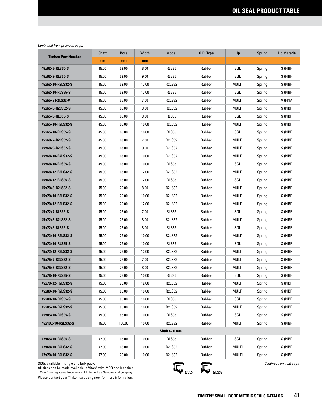| <b>Timken Part Number</b>              | Shaft | <b>Bore</b> | Width | Model         | O.D. Type | Lip          | Spring | Lip Material |
|----------------------------------------|-------|-------------|-------|---------------|-----------|--------------|--------|--------------|
|                                        | mm    | mm          | mm    |               |           |              |        |              |
| 45x62x8-RLS35-S                        | 45.00 | 62.00       | 8.00  | <b>RLS35</b>  | Rubber    | SGL          | Spring | S (NBR)      |
| 45x62x9-RLS35-S                        | 45.00 | 62.00       | 9.00  | <b>RLS35</b>  | Rubber    | SGL          | Spring | S (NBR)      |
| 45x62x10-R2LS32-S                      | 45.00 | 62.00       | 10.00 | <b>R2LS32</b> | Rubber    | MULTI        | Spring | S (NBR)      |
| 45x62x10-RLS35-S                       | 45.00 | 62.00       | 10.00 | <b>RLS35</b>  | Rubber    | SGL          | Spring | S (NBR)      |
| 45x65x7 R2LS32-V                       | 45.00 | 65.00       | 7.00  | <b>R2LS32</b> | Rubber    | MULTI        | Spring | V (FKM)      |
| 45x65x8-R2LS32-S                       | 45.00 | 65.00       | 8.00  | <b>R2LS32</b> | Rubber    | MULTI        | Spring | S (NBR)      |
| 45x65x8-RLS35-S                        | 45.00 | 65.00       | 8.00  | <b>RLS35</b>  | Rubber    | SGL          | Spring | S (NBR)      |
| 45x65x10-R2LS32-S                      | 45.00 | 65.00       | 10.00 | R2LS32        | Rubber    | MULTI        | Spring | S (NBR)      |
| 45x65x10-RLS35-S                       | 45.00 | 65.00       | 10.00 | RLS35         | Rubber    | SGL          | Spring | S (NBR)      |
| 45x68x7-R2LS32-S                       | 45.00 | 68.00       | 7.00  | <b>R2LS32</b> | Rubber    | MULTI        | Spring | S (NBR)      |
| 45x68x9-R2LS32-S                       | 45.00 | 68.00       | 9.00  | <b>R2LS32</b> | Rubber    | MULTI        | Spring | S (NBR)      |
| 45x68x10-R2LS32-S                      | 45.00 | 68.00       | 10.00 | <b>R2LS32</b> | Rubber    | <b>MULTI</b> | Spring | S (NBR)      |
| 45x68x10-RLS35-S                       | 45.00 | 68.00       | 10.00 | <b>RLS35</b>  | Rubber    | SGL          | Spring | S (NBR)      |
| 45x68x12-R2LS32-S                      | 45.00 | 68.00       | 12.00 | <b>R2LS32</b> | Rubber    | MULTI        | Spring | S (NBR)      |
| 45x68x12-RLS35-S                       | 45.00 | 68.00       | 12.00 | RLS35         | Rubber    | SGL          | Spring | S (NBR)      |
| 45x70x8-R2LS32-S                       | 45.00 | 70.00       | 8.00  | <b>R2LS32</b> | Rubber    | MULTI        | Spring | S (NBR)      |
| 45x70x10-R2LS32-S                      | 45.00 | 70.00       | 10.00 | <b>R2LS32</b> | Rubber    | MULTI        | Spring | S(NBR)       |
| 45x70x12-R2LS32-S                      | 45.00 | 70.00       | 12.00 | <b>R2LS32</b> | Rubber    | MULTI        | Spring | S (NBR)      |
| 45x72x7-RLS35-S                        | 45.00 | 72.00       | 7.00  | <b>RLS35</b>  | Rubber    | SGL          | Spring | S (NBR)      |
| 45x72x8-R2LS32-S                       | 45.00 | 72.00       | 8.00  | R2LS32        | Rubber    | MULTI        | Spring | S (NBR)      |
| 45x72x8-RLS35-S                        | 45.00 | 72.00       | 8.00  | RLS35         | Rubber    | SGL          | Spring | S (NBR)      |
| 45x72x10-R2LS32-S                      | 45.00 | 72.00       | 10.00 | <b>R2LS32</b> | Rubber    | MULTI        | Spring | S (NBR)      |
| 45x72x10-RLS35-S                       | 45.00 | 72.00       | 10.00 | RLS35         | Rubber    | SGL          | Spring | S (NBR)      |
| 45x72x12-R2LS32-S                      | 45.00 | 72.00       | 12.00 | <b>R2LS32</b> | Rubber    | MULTI        | Spring | S (NBR)      |
| 45x75x7-R2LS32-S                       | 45.00 | 75.00       | 7.00  | <b>R2LS32</b> | Rubber    | MULTI        | Spring | S (NBR)      |
| 45x75x8-R2LS32-S                       | 45.00 | 75.00       | 8.00  | <b>R2LS32</b> | Rubber    | MULTI        | Spring | S (NBR)      |
| 45x78x10-RLS35-S                       | 45.00 | 78.00       | 10.00 | RLS35         | Rubber    | SGL          | Spring | S (NBR)      |
| 45x78x12-R2LS32-S                      | 45.00 | 78.00       | 12.00 | R2LS32        | Rubber    | MULTI        | Spring | S (NBR)      |
| 45x80x10-R2LS32-S                      | 45.00 | 80.00       | 10.00 | <b>R2LS32</b> | Rubber    | MULTI        | Spring | S (NBR)      |
| 45x80x10-RLS35-S                       | 45.00 | 80.00       | 10.00 | RLS35         | Rubber    | SGL          | Spring | S(NBR)       |
| 45x85x10-R2LS32-S                      | 45.00 | 85.00       | 10.00 | R2LS32        | Rubber    | MULTI        | Spring | S (NBR)      |
| 45x85x10-RLS35-S                       | 45.00 | 85.00       | 10.00 | RLS35         | Rubber    | SGL          | Spring | S (NBR)      |
| 45x100x10-R2LS32-S                     | 45.00 | 100.00      | 10.00 | R2LS32        | Rubber    | MULTI        | Spring | S (NBR)      |
|                                        |       |             |       | Shaft 47.0 mm |           |              |        |              |
| 47x65x10-RLS35-S                       | 47.00 | 65.00       | 10.00 | RLS35         | Rubber    | SGL          | Spring | S (NBR)      |
| 47x68x10-R2LS32-S                      | 47.00 | 68.00       | 10.00 | R2LS32        | Rubber    | MULTI        | Spring | S (NBR)      |
| 47x70x10-R2LS32-S                      | 47.00 | 70.00       | 10.00 | R2LS32        | Rubber    | MULTI        | Spring | S (NBR)      |
| CKUp quailable in oingle and bulk neek |       |             |       |               |           |              |        |              |

SKUs available in single and bulk pack.

All sizes can be made available in Viton® with MOQ and lead time. Viton® is a registered trademark of E.I. du Pont de Nemours and Company.



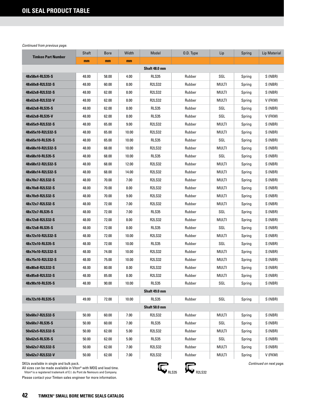| <b>Timken Part Number</b> | Shaft | <b>Bore</b> | Width | Model         | O.D. Type | Lip   | Spring | Lip Material |
|---------------------------|-------|-------------|-------|---------------|-----------|-------|--------|--------------|
|                           | mm    | mm          | mm    |               |           |       |        |              |
|                           |       |             |       | Shaft 48.0 mm |           |       |        |              |
| 48x58x4-RLS35-S           | 48.00 | 58.00       | 4.00  | <b>RLS35</b>  | Rubber    | SGL   | Spring | S (NBR)      |
| 48x60x8-R2LS32-S          | 48.00 | 60.00       | 8.00  | <b>R2LS32</b> | Rubber    | MULTI | Spring | S (NBR)      |
| 48x62x8-R2LS32-S          | 48.00 | 62.00       | 8.00  | <b>R2LS32</b> | Rubber    | MULTI | Spring | S (NBR)      |
| 48x62x8-R2LS32-V          | 48.00 | 62.00       | 8.00  | <b>R2LS32</b> | Rubber    | MULTI | Spring | V (FKM)      |
| 48x62x8-RLS35-S           | 48.00 | 62.00       | 8.00  | <b>RLS35</b>  | Rubber    | SGL   | Spring | S (NBR)      |
| 48x62x8-RLS35-V           | 48.00 | 62.00       | 8.00  | <b>RLS35</b>  | Rubber    | SGL   | Spring | V (FKM)      |
| 48x65x9-R2LS32-S          | 48.00 | 65.00       | 9.00  | <b>R2LS32</b> | Rubber    | MULTI | Spring | S (NBR)      |
| 48x65x10-R2LS32-S         | 48.00 | 65.00       | 10.00 | <b>R2LS32</b> | Rubber    | MULTI | Spring | S (NBR)      |
| 48x65x10-RLS35-S          | 48.00 | 65.00       | 10.00 | <b>RLS35</b>  | Rubber    | SGL   | Spring | S (NBR)      |
| 48x68x10-R2LS32-S         | 48.00 | 68.00       | 10.00 | <b>R2LS32</b> | Rubber    | MULTI | Spring | S (NBR)      |
| 48x68x10-RLS35-S          | 48.00 | 68.00       | 10.00 | RLS35         | Rubber    | SGL   | Spring | S (NBR)      |
| 48x68x12-R2LS32-S         | 48.00 | 68.00       | 12.00 | <b>R2LS32</b> | Rubber    | MULTI | Spring | S (NBR)      |
| 48x68x14-R2LS32-S         | 48.00 | 68.00       | 14.00 | <b>R2LS32</b> | Rubber    | MULTI | Spring | S (NBR)      |
| 48x70x7-R2LS32-S          | 48.00 | 70.00       | 7.00  | <b>R2LS32</b> | Rubber    | MULTI | Spring | S (NBR)      |
| 48x70x8-R2LS32-S          | 48.00 | 70.00       | 8.00  | <b>R2LS32</b> | Rubber    | MULTI | Spring | S (NBR)      |
| 48x70x9-R2LS32-S          | 48.00 | 70.00       | 9.00  | <b>R2LS32</b> | Rubber    | MULTI | Spring | S (NBR)      |
| 48x72x7-R2LS32-S          | 48.00 | 72.00       | 7.00  | <b>R2LS32</b> | Rubber    | MULTI | Spring | S (NBR)      |
| 48x72x7-RLS35-S           | 48.00 | 72.00       | 7.00  | <b>RLS35</b>  | Rubber    | SGL   | Spring | S (NBR)      |
| 48x72x8-R2LS32-S          | 48.00 | 72.00       | 8.00  | <b>R2LS32</b> | Rubber    | MULTI | Spring | S (NBR)      |
| 48x72x8-RLS35-S           | 48.00 | 72.00       | 8.00  | RLS35         | Rubber    | SGL   | Spring | S (NBR)      |
| 48x72x10-R2LS32-S         | 48.00 | 72.00       | 10.00 | <b>R2LS32</b> | Rubber    | MULTI | Spring | S (NBR)      |
| 48x72x10-RLS35-S          | 48.00 | 72.00       | 10.00 | RLS35         | Rubber    | SGL   | Spring | S (NBR)      |
| 48x74x10-R2LS32-S         | 48.00 | 74.00       | 10.00 | <b>R2LS32</b> | Rubber    | MULTI | Spring | S (NBR)      |
| 48x75x10-R2LS32-S         | 48.00 | 75.00       | 10.00 | <b>R2LS32</b> | Rubber    | MULTI | Spring | S (NBR)      |
| 48x80x8-R2LS32-S          | 48.00 | 80.00       | 8.00  | <b>R2LS32</b> | Rubber    | MULTI | Spring | S (NBR)      |
| 48x85x8-R2LS32-S          | 48.00 | 85.00       | 8.00  | <b>R2LS32</b> | Rubber    | MULTI | Spring | S (NBR)      |
| 48x90x10-RLS35-S          | 48.00 | 90.00       | 10.00 | RLS35         | Rubber    | SGL   | Spring | S (NBR)      |
|                           |       |             |       | Shaft 49.0 mm |           |       |        |              |
| 49x72x10-RLS35-S          | 49.00 | 72.00       | 10.00 | <b>RLS35</b>  | Rubber    | SGL   | Spring | S (NBR)      |
|                           |       |             |       | Shaft 50.0 mm |           |       |        |              |
| 50x60x7-R2LS32-S          | 50.00 | 60.00       | 7.00  | <b>R2LS32</b> | Rubber    | MULTI | Spring | S (NBR)      |
| 50x60x7-RLS35-S           | 50.00 | 60.00       | 7.00  | RLS35         | Rubber    | SGL   | Spring | S(NBR)       |
| 50x62x5-R2LS32-S          | 50.00 | 62.00       | 5.00  | <b>R2LS32</b> | Rubber    | MULTI | Spring | S (NBR)      |
| 50x62x5-RLS35-S           | 50.00 | 62.00       | 5.00  | RLS35         | Rubber    | SGL   | Spring | S (NBR)      |
| 50x62x7-R2LS32-S          | 50.00 | 62.00       | 7.00  | <b>R2LS32</b> | Rubber    | MULTI | Spring | S (NBR)      |
| 50x62x7-R2LS32-V          | 50.00 | 62.00       | 7.00  | <b>R2LS32</b> | Rubber    | MULTI | Spring | V (FKM)      |

SKUs available in single and bulk pack.

All sizes can be made available in Viton® with MOQ and lead time.<br>Viton®is a registered trademark of E.I. du Pont de Nemours and Company.

Please contact your Timken sales engineer for more information.

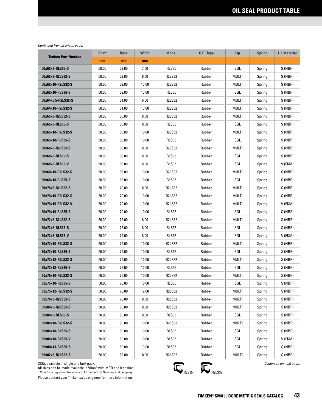| <b>Timken Part Number</b> | Shaft | <b>Bore</b> | Width | Model         | O.D. Type | Lip          | Spring | Lip Material |
|---------------------------|-------|-------------|-------|---------------|-----------|--------------|--------|--------------|
|                           | mm    | mm          | mm    |               |           |              |        |              |
| 50x62x7-RLS35-S           | 50.00 | 62.00       | 7.00  | <b>RLS35</b>  | Rubber    | SGL          | Spring | S (NBR)      |
| 50x62x8-R2LS32-S          | 50.00 | 62.00       | 8.00  | <b>R2LS32</b> | Rubber    | MULTI        | Spring | S (NBR)      |
| 50x62x10-R2LS32-S         | 50.00 | 62.00       | 10.00 | <b>R2LS32</b> | Rubber    | MULTI        | Spring | S (NBR)      |
| 50x62x10-RLS35-S          | 50.00 | 62.00       | 10.00 | RLS35         | Rubber    | SGL          | Spring | S (NBR)      |
| 50x64x6.5-R2LS32-S        | 50.00 | 64.00       | 6.50  | <b>R2LS32</b> | Rubber    | MULTI        | Spring | S (NBR)      |
| 50x64x10-R2LS32-S         | 50.00 | 64.00       | 10.00 | <b>R2LS32</b> | Rubber    | MULTI        | Spring | S (NBR)      |
| 50x65x8-R2LS32-S          | 50.00 | 65.00       | 8.00  | <b>R2LS32</b> | Rubber    | <b>MULTI</b> | Spring | S (NBR)      |
| 50x65x8-RLS35-S           | 50.00 | 65.00       | 8.00  | RLS35         | Rubber    | SGL          | Spring | S (NBR)      |
| 50x65x10-R2LS32-S         | 50.00 | 65.00       | 10.00 | <b>R2LS32</b> | Rubber    | MULTI        | Spring | S (NBR)      |
| 50x65x10-RLS35-S          | 50.00 | 65.00       | 10.00 | <b>RLS35</b>  | Rubber    | SGL          | Spring | S (NBR)      |
| 50x68x8-R2LS32-S          | 50.00 | 68.00       | 8.00  | <b>R2LS32</b> | Rubber    | MULTI        | Spring | S (NBR)      |
| 50x68x8-RLS35-S           | 50.00 | 68.00       | 8.00  | RLS35         | Rubber    | SGL          | Spring | S (NBR)      |
| 50x68x8-RLS35-V           | 50.00 | 68.00       | 8.00  | <b>RLS35</b>  | Rubber    | SGL          | Spring | V (FKM)      |
| 50x68x10-R2LS32-S         | 50.00 | 68.00       | 10.00 | <b>R2LS32</b> | Rubber    | <b>MULTI</b> | Spring | S (NBR)      |
| 50x68x10-RLS35-S          | 50.00 | 68.00       | 10.00 | <b>RLS35</b>  | Rubber    | SGL          | Spring | S(NBR)       |
| 50x70x8-R2LS32-S          | 50.00 | 70.00       | 8.00  | <b>R2LS32</b> | Rubber    | MULTI        | Spring | S (NBR)      |
| 50x70x10-R2LS32-S         | 50.00 | 70.00       | 10.00 | <b>R2LS32</b> | Rubber    | MULTI        | Spring | S(NBR)       |
| 50x70x10-R2LS32-V         | 50.00 | 70.00       | 10.00 | R2LS32        | Rubber    | MULTI        | Spring | V (FKM)      |
| 50x70x10-RLS35-S          | 50.00 | 70.00       | 10.00 | <b>RLS35</b>  | Rubber    | SGL          | Spring | S (NBR)      |
| 50x72x8-R2LS32-S          | 50.00 | 72.00       | 8.00  | <b>R2LS32</b> | Rubber    | MULTI        | Spring | S (NBR)      |
| 50x72x8-RLS35-S           | 50.00 | 72.00       | 8.00  | RLS35         | Rubber    | SGL          | Spring | S (NBR)      |
| 50x72x8-RLS35-V           | 50.00 | 72.00       | 8.00  | RLS35         | Rubber    | SGL          | Spring | V (FKM)      |
| 50x72x10-R2LS32-S         | 50.00 | 72.00       | 10.00 | <b>R2LS32</b> | Rubber    | MULTI        | Spring | S (NBR)      |
| 50x72x10-RLS35-S          | 50.00 | 72.00       | 10.00 | <b>RLS35</b>  | Rubber    | SGL          | Spring | S (NBR)      |
| 50x72x12-R2LS32-S         | 50.00 | 72.00       | 12.00 | <b>R2LS32</b> | Rubber    | MULTI        | Spring | S (NBR)      |
| 50x72x12-RLS35-S          | 50.00 | 72.00       | 12.00 | <b>RLS35</b>  | Rubber    | SGL          | Spring | S (NBR)      |
| 50x75x10-R2LS32-S         | 50.00 | 75.00       | 10.00 | <b>R2LS32</b> | Rubber    | MULTI        | Spring | S (NBR)      |
| 50x75x10-RLS35-S          | 50.00 | 75.00       | 10.00 | RLS35         | Rubber    | SGL          | Spring | S (NBR)      |
| 50x75x12-R2LS32-S         | 50.00 | 75.00       | 12.00 | <b>R2LS32</b> | Rubber    | MULTI        | Spring | S (NBR)      |
| 50x78x8-R2LS32-S          | 50.00 | 78.00       | 8.00  | <b>R2LS32</b> | Rubber    | MULTI        | Spring | S (NBR)      |
| 50x80x8-R2LS32-S          | 50.00 | 80.00       | 8.00  | R2LS32        | Rubber    | MULTI        | Spring | S (NBR)      |
| 50x80x8-RLS35-S           | 50.00 | 80.00       | 8.00  | RLS35         | Rubber    | SGL          | Spring | S (NBR)      |
| 50x80x10-R2LS32-S         | 50.00 | 80.00       | 10.00 | R2LS32        | Rubber    | MULTI        | Spring | S (NBR)      |
| 50x80x10-RLS35-S          | 50.00 | 80.00       | 10.00 | RLS35         | Rubber    | SGL          | Spring | S (NBR)      |
| 50x80x10-RLS35-V          | 50.00 | 80.00       | 10.00 | RLS35         | Rubber    | SGL          | Spring | V (FKM)      |
| 50x80x13-RLS35-S          | 50.00 | 80.00       | 13.00 | RLS35         | Rubber    | SGL          | Spring | S (NBR)      |
| 50x82x8-R2LS32-S          | 50.00 | 82.00       | 8.00  | R2LS32        | Rubber    | MULTI        | Spring | S (NBR)      |

SKUs available in single and bulk pack.

All sizes can be made available in Viton® with MOQ and lead time.<br>Viton®is a registered trademark of E.I. du Pont de Nemours and Company.



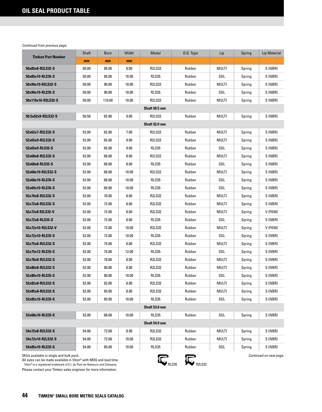|                                                                                                                                                                                          | Shaft | <b>Bore</b> | Width | Model         | O.D. Type     | Lip          | Spring | <b>Lip Material</b>     |
|------------------------------------------------------------------------------------------------------------------------------------------------------------------------------------------|-------|-------------|-------|---------------|---------------|--------------|--------|-------------------------|
| <b>Timken Part Number</b>                                                                                                                                                                | mm    | mm          | mm    |               |               |              |        |                         |
| 50x85x8-R2LS32-S                                                                                                                                                                         | 50.00 | 85.00       | 8.00  | <b>R2LS32</b> | Rubber        | <b>MULTI</b> | Spring | S (NBR)                 |
| 50x85x10-RLS35-S                                                                                                                                                                         | 50.00 | 85.00       | 10.00 | <b>RLS35</b>  | Rubber        | SGL          | Spring | S (NBR)                 |
| 50x90x10-R2LS32-S                                                                                                                                                                        | 50.00 | 90.00       | 10.00 | <b>R2LS32</b> | Rubber        | MULTI        | Spring | S (NBR)                 |
| 50x90x10-RLS35-S                                                                                                                                                                         | 50.00 | 90.00       | 10.00 | RLS35         | Rubber        | SGL          | Spring | S (NBR)                 |
| 50x110x10-R2LS32-S                                                                                                                                                                       | 50.00 | 110.00      | 10.00 | <b>R2LS32</b> | Rubber        | MULTI        | Spring | S (NBR)                 |
|                                                                                                                                                                                          |       |             |       | Shaft 50.5 mm |               |              |        |                         |
| 50.5x62x9-R2LS32-S                                                                                                                                                                       | 50.50 | 62.00       | 9.00  | <b>R2LS32</b> | Rubber        | <b>MULTI</b> | Spring | S (NBR)                 |
|                                                                                                                                                                                          |       |             |       | Shaft 52.0 mm |               |              |        |                         |
| 52x62x7-R2LS32-S                                                                                                                                                                         | 52.00 | 62.00       | 7.00  | <b>R2LS32</b> | Rubber        | <b>MULTI</b> | Spring | S (NBR)                 |
| 52x65x9-R2LS32-S                                                                                                                                                                         | 52.00 | 65.00       | 9.00  | <b>R2LS32</b> | Rubber        | MULTI        | Spring | S (NBR)                 |
| 52x65x9-RLS35-S                                                                                                                                                                          | 52.00 | 65.00       | 9.00  | <b>RLS35</b>  | Rubber        | SGL          | Spring | S (NBR)                 |
| 52x68x8-R2LS32-S                                                                                                                                                                         | 52.00 | 68.00       | 8.00  | <b>R2LS32</b> | Rubber        | MULTI        | Spring | S (NBR)                 |
| 52x68x8-RLS35-S                                                                                                                                                                          | 52.00 | 68.00       | 8.00  | <b>RLS35</b>  | Rubber        | SGL          | Spring | S (NBR)                 |
| 52x68x10-R2LS32-S                                                                                                                                                                        | 52.00 | 68.00       | 10.00 | <b>R2LS32</b> | Rubber        | MULTI        | Spring | S (NBR)                 |
| 52x68x10-RLS35-S                                                                                                                                                                         | 52.00 | 68.00       | 10.00 | <b>RLS35</b>  | Rubber        | SGL          | Spring | S (NBR)                 |
| 52x69x10-RLS35-S                                                                                                                                                                         | 52.00 | 69.00       | 10.00 | <b>RLS35</b>  | Rubber        | SGL          | Spring | S (NBR)                 |
| 52x70x8-R2LS32-S                                                                                                                                                                         | 52.00 | 70.00       | 8.00  | <b>R2LS32</b> | Rubber        | MULTI        | Spring | S (NBR)                 |
| 52x72x8-R2LS32-S                                                                                                                                                                         | 52.00 | 72.00       | 8.00  | <b>R2LS32</b> | Rubber        | MULTI        | Spring | S (NBR)                 |
| 52x72x8 R2LS32-V                                                                                                                                                                         | 52.00 | 72.00       | 8.00  | <b>R2LS32</b> | Rubber        | MULTI        | Spring | V (FKM)                 |
| 52x72x8-RLS35-S                                                                                                                                                                          | 52.00 | 72.00       | 8.00  | RLS35         | Rubber        | SGL          | Spring | S (NBR)                 |
| 52x72x10-R2LS32-V                                                                                                                                                                        | 52.00 | 72.00       | 10.00 | <b>R2LS32</b> | Rubber        | MULTI        | Spring | V (FKM)                 |
| 52x72x10-RLS35-S                                                                                                                                                                         | 52.00 | 72.00       | 10.00 | <b>RLS35</b>  | Rubber        | SGL          | Spring | S (NBR)                 |
| 52x75x8-R2LS32-S                                                                                                                                                                         | 52.00 | 75.00       | 8.00  | <b>R2LS32</b> | Rubber        | MULTI        | Spring | S (NBR)                 |
| 52x75x12-RLS35-S                                                                                                                                                                         | 52.00 | 75.00       | 12.00 | <b>RLS35</b>  | Rubber        | SGL          | Spring | S (NBR)                 |
| 52x78x8-R2LS32-S                                                                                                                                                                         | 52.00 | 78.00       | 8.00  | <b>R2LS32</b> | Rubber        | MULTI        | Spring | S (NBR)                 |
| 52x80x8-R2LS32-S                                                                                                                                                                         | 52.00 | 80.00       | 8.00  | <b>R2LS32</b> | Rubber        | MULTI        | Spring | S (NBR)                 |
| 52x80x10-RLS35-S                                                                                                                                                                         | 52.00 | 80.00       | 10.00 | RLS35         | Rubber        | SGL          | Spring | S (NBR)                 |
| 52x82x8-R2LS32-S                                                                                                                                                                         | 52.00 | 82.00       | 8.00  | <b>R2LS32</b> | Rubber        | <b>MULTI</b> | Spring | S (NBR)                 |
| 52x85x8-R2LS32-S                                                                                                                                                                         | 52.00 | 85.00       | 8.00  | <b>R2LS32</b> | Rubber        | MULTI        | Spring | S (NBR)                 |
| 52x85x10-RLS35-S                                                                                                                                                                         | 52.00 | 85.00       | 10.00 | <b>RLS35</b>  | Rubber        | SGL          | Spring | S (NBR)                 |
|                                                                                                                                                                                          |       |             |       | Shaft 53.0 mm |               |              |        |                         |
| 53x68x10-RLS35-S                                                                                                                                                                         | 53.00 | 68.00       | 10.00 | RLS35         | Rubber        | SGL          | Spring | S (NBR)                 |
|                                                                                                                                                                                          |       |             |       | Shaft 54.0 mm |               |              |        |                         |
| 54x72x8-R2LS32-S                                                                                                                                                                         | 54.00 | 72.00       | 8.00  | <b>R2LS32</b> | Rubber        | <b>MULTI</b> | Spring | S (NBR)                 |
| 54x72x10-R2LS32-S                                                                                                                                                                        | 54.00 | 72.00       | 10.00 | R2LS32        | Rubber        | multi        | Spring | S (NBR)                 |
| 54x85x10-RLS35-S                                                                                                                                                                         | 54.00 | 85.00       | 10.00 | RLS35         | Rubber        | SGL          | Spring | S (NBR)                 |
| SKUs available in single and bulk pack.<br>All sizes can be made available in Viton® with MOQ and lead time.<br>Viton® is a registered trademark of E.I. du Pont de Nemours and Company. |       |             |       |               | <b>R2LS32</b> |              |        | Continued on next page. |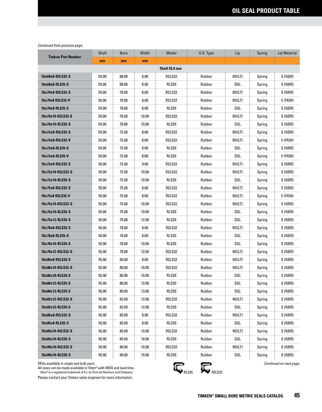| <b>Timken Part Number</b> | Shaft | <b>Bore</b> | Width | Model         | 0.D. Type | Lip          | Spring | Lip Material |
|---------------------------|-------|-------------|-------|---------------|-----------|--------------|--------|--------------|
|                           | mm    | mm          | mm    |               |           |              |        |              |
|                           |       |             |       | Shaft 55.0 mm |           |              |        |              |
| 55x68x8-R2LS32-S          | 55.00 | 68.00       | 8.00  | <b>R2LS32</b> | Rubber    | MULTI        | Spring | S (NBR)      |
| 55x68x8-RLS35-S           | 55.00 | 68.00       | 8.00  | <b>RLS35</b>  | Rubber    | SGL          | Spring | S (NBR)      |
| 55x70x8-R2LS32-S          | 55.00 | 70.00       | 8.00  | <b>R2LS32</b> | Rubber    | MULTI        | Spring | S (NBR)      |
| 55x70x8 R2LS32-V          | 55.00 | 70.00       | 8.00  | <b>R2LS32</b> | Rubber    | MULTI        | Spring | V (FKM)      |
| 55x70x8-RLS35-S           | 55.00 | 70.00       | 8.00  | <b>RLS35</b>  | Rubber    | SGL          | Spring | S (NBR)      |
| 55x70x10-R2LS32-S         | 55.00 | 70.00       | 10.00 | <b>R2LS32</b> | Rubber    | <b>MULTI</b> | Spring | S (NBR)      |
| 55x70x10-RLS35-S          | 55.00 | 70.00       | 10.00 | <b>RLS35</b>  | Rubber    | SGL          | Spring | S (NBR)      |
| 55x72x8-R2LS32-S          | 55.00 | 72.00       | 8.00  | <b>R2LS32</b> | Rubber    | MULTI        | Spring | S (NBR)      |
| 55x72x8-R2LS32-V          | 55.00 | 72.00       | 8.00  | <b>R2LS32</b> | Rubber    | MULTI        | Spring | V (FKM)      |
| 55x72x8-RLS35-S           | 55.00 | 72.00       | 8.00  | <b>RLS35</b>  | Rubber    | SGL          | Spring | S (NBR)      |
| 55x72x8-RLS35-V           | 55.00 | 72.00       | 8.00  | <b>RLS35</b>  | Rubber    | SGL          | Spring | V (FKM)      |
| 55x72x9-R2LS32-S          | 55.00 | 72.00       | 9.00  | <b>R2LS32</b> | Rubber    | MULTI        | Spring | S (NBR)      |
| 55x72x10-R2LS32-S         | 55.00 | 72.00       | 10.00 | <b>R2LS32</b> | Rubber    | MULTI        | Spring | S (NBR)      |
| 55x72x10-RLS35-S          | 55.00 | 72.00       | 10.00 | <b>RLS35</b>  | Rubber    | SGL          | Spring | S (NBR)      |
| 55x75x8-R2LS32-S          | 55.00 | 75.00       | 8.00  | <b>R2LS32</b> | Rubber    | MULTI        | Spring | S (NBR)      |
| 55x75x8 R2LS32-V          | 55.00 | 75.00       | 8.00  | <b>R2LS32</b> | Rubber    | MULTI        | Spring | V (FKM)      |
| 55x75x10-R2LS32-S         | 55.00 | 75.00       | 10.00 | <b>R2LS32</b> | Rubber    | MULTI        | Spring | S (NBR)      |
| 55x75x10-RLS35-S          | 55.00 | 75.00       | 10.00 | <b>RLS35</b>  | Rubber    | SGL          | Spring | S (NBR)      |
| 55x75x12-RLS35-S          | 55.00 | 75.00       | 12.00 | <b>RLS35</b>  | Rubber    | SGL          | Spring | S (NBR)      |
| 55x78x8-R2LS32-S          | 55.00 | 78.00       | 8.00  | <b>R2LS32</b> | Rubber    | MULTI        | Spring | S (NBR)      |
| 55x78x8-RLS35-S           | 55.00 | 78.00       | 8.00  | <b>RLS35</b>  | Rubber    | SGL          | Spring | S (NBR)      |
| 55x78x10-RLS35-S          | 55.00 | 78.00       | 10.00 | RLS35         | Rubber    | SGL          | Spring | S (NBR)      |
| 55x78x12-R2LS32-S         | 55.00 | 78.00       | 12.00 | <b>R2LS32</b> | Rubber    | MULTI        | Spring | S (NBR)      |
| 55x80x8-R2LS32-S          | 55.00 | 80.00       | 8.00  | <b>R2LS32</b> | Rubber    | MULTI        | Spring | S (NBR)      |
| 55x80x10-R2LS32-S         | 55.00 | 80.00       | 10.00 | <b>R2LS32</b> | Rubber    | MULTI        | Spring | S (NBR)      |
| 55x80x10-RLS35-S          | 55.00 | 80.00       | 10.00 | RLS35         | Rubber    | SGL          | Spring | S (NBR)      |
| 55x80x12-RLS35-S          | 55.00 | 80.00       | 12.00 | <b>RLS35</b>  | Rubber    | SGL          | Spring | S (NBR)      |
| 55x80x13-RLS35-S          | 55.00 | 80.00       | 13.00 | RLS35         | Rubber    | SGL          | Spring | S (NBR)      |
| 55x82x12-R2LS32-S         | 55.00 | 82.00       | 12.00 | <b>R2LS32</b> | Rubber    | MULTI        | Spring | S (NBR)      |
| 55x82x12-RLS35-S          | 55.00 | 82.00       | 12.00 | RLS35         | Rubber    | SGL          | Spring | S (NBR)      |
| 55x85x8-R2LS32-S          | 55.00 | 85.00       | 8.00  | <b>R2LS32</b> | Rubber    | MULTI        | Spring | S (NBR)      |
| 55x85x8-RLS35-S           | 55.00 | 85.00       | 8.00  | RLS35         | Rubber    | SGL          | Spring | S (NBR)      |
| 55x85x10-R2LS32-S         | 55.00 | 85.00       | 10.00 | <b>R2LS32</b> | Rubber    | MULTI        | Spring | S (NBR)      |
| 55x85x10-RLS35-S          | 55.00 | 85.00       | 10.00 | RLS35         | Rubber    | SGL          | Spring | S (NBR)      |
| 55x90x10-R2LS32-S         | 55.00 | 90.00       | 10.00 | R2LS32        | Rubber    | MULTI        | Spring | S (NBR)      |
| 55x90x10-RLS35-S          | 55.00 | 90.00       | 10.00 | RLS35         | Rubber    | SGL          | Spring | S (NBR)      |

SKUs available in single and bulk pack.

All sizes can be made available in Viton® with MOQ and lead time.<br>Viton®is a registered trademark of E.I. du Pont de Nemours and Company.



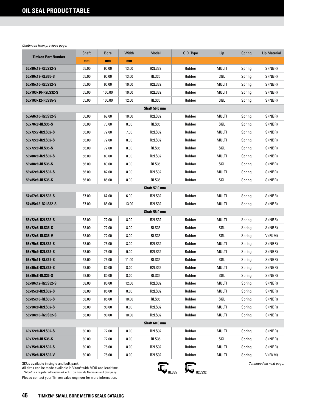|                                         | Shaft | <b>Bore</b> | Width | Model         | O.D. Type                | Lip          | Spring | <b>Lip Material</b>     |  |  |
|-----------------------------------------|-------|-------------|-------|---------------|--------------------------|--------------|--------|-------------------------|--|--|
| <b>Timken Part Number</b>               | mm    | mm          | mm    |               |                          |              |        |                         |  |  |
| 55x90x13-R2LS32-S                       | 55.00 | 90.00       | 13.00 | <b>R2LS32</b> | Rubber                   | <b>MULTI</b> | Spring | S (NBR)                 |  |  |
| 55x90x13-RLS35-S                        | 55.00 | 90.00       | 13.00 | <b>RLS35</b>  | Rubber                   | SGL          | Spring | S (NBR)                 |  |  |
| 55x95x10-R2LS32-S                       | 55.00 | 95.00       | 10.00 | <b>R2LS32</b> | Rubber                   | MULTI        | Spring | S (NBR)                 |  |  |
| 55x100x10-R2LS32-S                      | 55.00 | 100.00      | 10.00 | <b>R2LS32</b> | Rubber                   | MULTI        | Spring | S (NBR)                 |  |  |
| 55x100x12-RLS35-S                       | 55.00 | 100.00      | 12.00 | <b>RLS35</b>  | Rubber                   | SGL          | Spring | S (NBR)                 |  |  |
|                                         |       |             |       | Shaft 56.0 mm |                          |              |        |                         |  |  |
| 56x68x10-R2LS32-S                       | 56.00 | 68.00       | 10.00 | <b>R2LS32</b> | Rubber                   | MULTI        | Spring | S (NBR)                 |  |  |
| 56x70x8-RLS35-S                         | 56.00 | 70.00       | 8.00  | RLS35         | Rubber                   | SGL          | Spring | S (NBR)                 |  |  |
| 56x72x7-R2LS32-S                        | 56.00 | 72.00       | 7.00  | <b>R2LS32</b> | Rubber                   | MULTI        | Spring | S (NBR)                 |  |  |
| 56x72x8-R2LS32-S                        | 56.00 | 72.00       | 8.00  | <b>R2LS32</b> | Rubber                   | MULTI        | Spring | S (NBR)                 |  |  |
| 56x72x8-RLS35-S                         | 56.00 | 72.00       | 8.00  | <b>RLS35</b>  | Rubber                   | SGL          | Spring | S (NBR)                 |  |  |
| 56x80x8-R2LS32-S                        | 56.00 | 80.00       | 8.00  | <b>R2LS32</b> | Rubber                   | MULTI        | Spring | S (NBR)                 |  |  |
| 56x80x8-RLS35-S                         | 56.00 | 80.00       | 8.00  | <b>RLS35</b>  | Rubber                   | SGL          | Spring | S (NBR)                 |  |  |
| 56x82x8-R2LS32-S                        | 56.00 | 82.00       | 8.00  | <b>R2LS32</b> | Rubber                   | MULTI        | Spring | S (NBR)                 |  |  |
| 56x85x8-RLS35-S                         | 56.00 | 85.00       | 8.00  | <b>RLS35</b>  | Rubber                   | SGL          | Spring | S (NBR)                 |  |  |
| Shaft 57.0 mm                           |       |             |       |               |                          |              |        |                         |  |  |
| 57x67x6-R2LS32-S                        | 57.00 | 67.00       | 6.00  | <b>R2LS32</b> | Rubber                   | <b>MULTI</b> | Spring | S (NBR)                 |  |  |
| 57x85x13-R2LS32-S                       | 57.00 | 85.00       | 13.00 | <b>R2LS32</b> | Rubber                   | MULTI        | Spring | S (NBR)                 |  |  |
| Shaft 58.0 mm                           |       |             |       |               |                          |              |        |                         |  |  |
| 58x72x8-R2LS32-S                        | 58.00 | 72.00       | 8.00  | <b>R2LS32</b> | Rubber                   | MULTI        | Spring | S (NBR)                 |  |  |
| 58x72x8-RLS35-S                         | 58.00 | 72.00       | 8.00  | RLS35         | Rubber                   | SGL          | Spring | S (NBR)                 |  |  |
| 58x72x8-RLS35-V                         | 58.00 | 72.00       | 8.00  | <b>RLS35</b>  | Rubber                   | SGL          | Spring | V (FKM)                 |  |  |
| 58x75x8-R2LS32-S                        | 58.00 | 75.00       | 8.00  | <b>R2LS32</b> | Rubber                   | MULTI        | Spring | S (NBR)                 |  |  |
| 58x75x9-R2LS32-S                        | 58.00 | 75.00       | 9.00  | <b>R2LS32</b> | Rubber                   | MULTI        | Spring | S (NBR)                 |  |  |
| 58x75x11-RLS35-S                        | 58.00 | 75.00       | 11.00 | <b>RLS35</b>  | Rubber                   | SGL          | Spring | S (NBR)                 |  |  |
| 58x80x8-R2LS32-S                        | 58.00 | 80.00       | 8.00  | <b>R2LS32</b> | Rubber                   | MULTI        | Spring | S (NBR)                 |  |  |
| 58x80x8-RLS35-S                         | 58.00 | 80.00       | 8.00  | <b>RLS35</b>  | Rubber                   | SGL          | Spring | S (NBR)                 |  |  |
| 58x80x12-R2LS32-S                       | 58.00 | 80.00       | 12.00 | <b>R2LS32</b> | Rubber                   | <b>MULTI</b> | Spring | S (NBR)                 |  |  |
| 58x85x8-R2LS32-S                        | 58.00 | 85.00       | 8.00  | <b>R2LS32</b> | Rubber                   | MULTI        | Spring | S (NBR)                 |  |  |
| 58x85x10-RLS35-S                        | 58.00 | 85.00       | 10.00 | RLS35         | Rubber                   | SGL          | Spring | S (NBR)                 |  |  |
| 58x90x8-R2LS32-S                        | 58.00 | 90.00       | 8.00  | <b>R2LS32</b> | Rubber                   | MULTI        | Spring | S (NBR)                 |  |  |
| 58x90x10-R2LS32-S                       | 58.00 | 90.00       | 10.00 | <b>R2LS32</b> | Rubber                   | <b>MULTI</b> | Spring | S (NBR)                 |  |  |
|                                         |       |             |       | Shaft 60.0 mm |                          |              |        |                         |  |  |
| 60x72x8-R2LS32-S                        | 60.00 | 72.00       | 8.00  | <b>R2LS32</b> | Rubber                   | MULTI        | Spring | S (NBR)                 |  |  |
| 60x72x8-RLS35-S                         | 60.00 | 72.00       | 8.00  | RLS35         | Rubber                   | SGL          | Spring | S (NBR)                 |  |  |
| 60x75x8-R2LS32-S                        | 60.00 | 75.00       | 8.00  | <b>R2LS32</b> | Rubber                   | MULTI        | Spring | S (NBR)                 |  |  |
| 60x75x8-R2LS32-V                        | 60.00 | 75.00       | 8.00  | <b>R2LS32</b> | Rubber                   | MULTI        | Spring | V (FKM)                 |  |  |
| SKUs available in single and bulk pack. |       |             |       |               | $\overline{\phantom{m}}$ |              |        | Continued on next page. |  |  |

SKUs available in single and bulk pack.

All sizes can be made available in Viton® with MOQ and lead time. Viton® is a registered trademark of E.I. du Pont de Nemours and Company.

Please contact your Timken sales engineer for more information.

: pag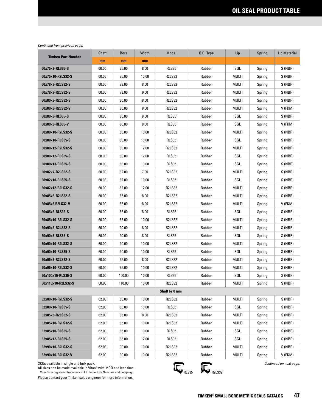| <b>Timken Part Number</b> | Shaft | <b>Bore</b> | Width | Model         | O.D. Type | Lip          | Spring | <b>Lip Material</b> |
|---------------------------|-------|-------------|-------|---------------|-----------|--------------|--------|---------------------|
|                           | mm    | mm          | mm    |               |           |              |        |                     |
| 60x75x8-RLS35-S           | 60.00 | 75.00       | 8.00  | <b>RLS35</b>  | Rubber    | SGL          | Spring | S (NBR)             |
| 60x75x10-R2LS32-S         | 60.00 | 75.00       | 10.00 | <b>R2LS32</b> | Rubber    | MULTI        | Spring | S (NBR)             |
| 60x78x8-R2LS32-S          | 60.00 | 78.00       | 8.00  | <b>R2LS32</b> | Rubber    | MULTI        | Spring | S (NBR)             |
| 60x78x9-R2LS32-S          | 60.00 | 78.00       | 9.00  | <b>R2LS32</b> | Rubber    | MULTI        | Spring | S (NBR)             |
| 60x80x8-R2LS32-S          | 60.00 | 80.00       | 8.00  | <b>R2LS32</b> | Rubber    | MULTI        | Spring | S (NBR)             |
| 60x80x8-R2LS32-V          | 60.00 | 80.00       | 8.00  | <b>R2LS32</b> | Rubber    | MULTI        | Spring | V (FKM)             |
| 60x80x8-RLS35-S           | 60.00 | 80.00       | 8.00  | <b>RLS35</b>  | Rubber    | SGL          | Spring | S (NBR)             |
| 60x80x8-RLS35-V           | 60.00 | 80.00       | 8.00  | <b>RLS35</b>  | Rubber    | SGL          | Spring | V (FKM)             |
| 60x80x10-R2LS32-S         | 60.00 | 80.00       | 10.00 | <b>R2LS32</b> | Rubber    | MULTI        | Spring | S (NBR)             |
| 60x80x10-RLS35-S          | 60.00 | 80.00       | 10.00 | <b>RLS35</b>  | Rubber    | SGL          | Spring | S (NBR)             |
| 60x80x12-R2LS32-S         | 60.00 | 80.00       | 12.00 | <b>R2LS32</b> | Rubber    | MULTI        | Spring | S (NBR)             |
| 60x80x12-RLS35-S          | 60.00 | 80.00       | 12.00 | <b>RLS35</b>  | Rubber    | SGL          | Spring | S (NBR)             |
| 60x80x13-RLS35-S          | 60.00 | 80.00       | 13.00 | <b>RLS35</b>  | Rubber    | SGL          | Spring | S (NBR)             |
| 60x82x7-R2LS32-S          | 60.00 | 82.00       | 7.00  | <b>R2LS32</b> | Rubber    | MULTI        | Spring | S (NBR)             |
| 60x82x10-RLS35-S          | 60.00 | 82.00       | 10.00 | <b>RLS35</b>  | Rubber    | SGL          | Spring | S (NBR)             |
| 60x82x12-R2LS32-S         | 60.00 | 82.00       | 12.00 | <b>R2LS32</b> | Rubber    | MULTI        | Spring | S (NBR)             |
| 60x85x8-R2LS32-S          | 60.00 | 85.00       | 8.00  | <b>R2LS32</b> | Rubber    | MULTI        | Spring | S (NBR)             |
| 60x85x8 R2LS32-V          | 60.00 | 85.00       | 8.00  | <b>R2LS32</b> | Rubber    | MULTI        | Spring | V (FKM)             |
| 60x85x8-RLS35-S           | 60.00 | 85.00       | 8.00  | <b>RLS35</b>  | Rubber    | SGL          | Spring | S (NBR)             |
| 60x85x10-R2LS32-S         | 60.00 | 85.00       | 10.00 | <b>R2LS32</b> | Rubber    | MULTI        | Spring | S (NBR)             |
| 60x90x8-R2LS32-S          | 60.00 | 90.00       | 8.00  | <b>R2LS32</b> | Rubber    | MULTI        | Spring | S (NBR)             |
| 60x90x8-RLS35-S           | 60.00 | 90.00       | 8.00  | <b>RLS35</b>  | Rubber    | SGL          | Spring | S (NBR)             |
| 60x90x10-R2LS32-S         | 60.00 | 90.00       | 10.00 | <b>R2LS32</b> | Rubber    | MULTI        | Spring | S (NBR)             |
| 60x90x10-RLS35-S          | 60.00 | 90.00       | 10.00 | <b>RLS35</b>  | Rubber    | SGL          | Spring | S (NBR)             |
| 60x95x8-R2LS32-S          | 60.00 | 95.00       | 8.00  | <b>R2LS32</b> | Rubber    | MULTI        | Spring | S (NBR)             |
| 60x95x10-R2LS32-S         | 60.00 | 95.00       | 10.00 | <b>R2LS32</b> | Rubber    | MULTI        | Spring | S (NBR)             |
| 60x100x10-RLS35-S         | 60.00 | 100.00      | 10.00 | <b>RLS35</b>  | Rubber    | SGL          | Spring | S (NBR)             |
| 60x110x10-R2LS32-S        | 60.00 | 110.00      | 10.00 | <b>R2LS32</b> | Rubber    | <b>MULTI</b> | Spring | S (NBR)             |
|                           |       |             |       | Shaft 62.0 mm |           |              |        |                     |
| 62x80x10-R2LS32-S         | 62.00 | 80.00       | 10.00 | <b>R2LS32</b> | Rubber    | MULTI        | Spring | S (NBR)             |
| 62x80x10-RLS35-S          | 62.00 | 80.00       | 10.00 | RLS35         | Rubber    | SGL          | Spring | S (NBR)             |
| 62x85x8-R2LS32-S          | 62.00 | 85.00       | 8.00  | <b>R2LS32</b> | Rubber    | MULTI        | Spring | S (NBR)             |
| 62x85x10-R2LS32-S         | 62.00 | 85.00       | 10.00 | <b>R2LS32</b> | Rubber    | MULTI        | Spring | S (NBR)             |
| 62x85x10-RLS35-S          | 62.00 | 85.00       | 10.00 | RLS35         | Rubber    | SGL          | Spring | S (NBR)             |
| 62x85x12-RLS35-S          | 62.00 | 85.00       | 12.00 | RLS35         | Rubber    | SGL          | Spring | S (NBR)             |
| 62x90x10-R2LS32-S         | 62.00 | 90.00       | 10.00 | R2LS32        | Rubber    | MULTI        | Spring | S (NBR)             |
| 62x90x10-R2LS32-V         | 62.00 | 90.00       | 10.00 | R2LS32        | Rubber    | MULTI        | Spring | V (FKM)             |

SKUs available in single and bulk pack.

All sizes can be made available in Viton® with MOQ and lead time.<br>Viton®is a registered trademark of E.I. du Pont de Nemours and Company.

Please contact your Timken sales engineer for more information.



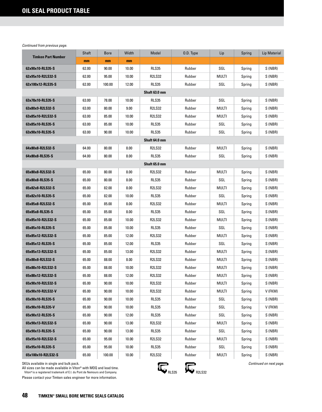| <b>Timken Part Number</b> | Shaft | <b>Bore</b> | Width | Model         | O.D. Type | Lip   | Spring | <b>Lip Material</b> |
|---------------------------|-------|-------------|-------|---------------|-----------|-------|--------|---------------------|
|                           | mm    | mm          | mm    |               |           |       |        |                     |
| 62x90x10-RLS35-S          | 62.00 | 90.00       | 10.00 | <b>RLS35</b>  | Rubber    | SGL   | Spring | S (NBR)             |
| 62x95x10-R2LS32-S         | 62.00 | 95.00       | 10.00 | <b>R2LS32</b> | Rubber    | MULTI | Spring | S (NBR)             |
| 62x100x12-RLS35-S         | 62.00 | 100.00      | 12.00 | <b>RLS35</b>  | Rubber    | SGL   | Spring | S (NBR)             |
|                           |       |             |       | Shaft 63.0 mm |           |       |        |                     |
| 63x78x10-RLS35-S          | 63.00 | 78.00       | 10.00 | <b>RLS35</b>  | Rubber    | SGL   | Spring | S (NBR)             |
| 63x80x9-R2LS32-S          | 63.00 | 80.00       | 9.00  | <b>R2LS32</b> | Rubber    | MULTI | Spring | S (NBR)             |
| 63x85x10-R2LS32-S         | 63.00 | 85.00       | 10.00 | <b>R2LS32</b> | Rubber    | MULTI | Spring | S (NBR)             |
| 63x85x10-RLS35-S          | 63.00 | 85.00       | 10.00 | RLS35         | Rubber    | SGL   | Spring | S (NBR)             |
| 63x90x10-RLS35-S          | 63.00 | 90.00       | 10.00 | <b>RLS35</b>  | Rubber    | SGL   | Spring | S (NBR)             |
|                           |       |             |       | Shaft 64.0 mm |           |       |        |                     |
| 64x80x8-R2LS32-S          | 64.00 | 80.00       | 8.00  | <b>R2LS32</b> | Rubber    | MULTI | Spring | S (NBR)             |
| 64x80x8-RLS35-S           | 64.00 | 80.00       | 8.00  | <b>RLS35</b>  | Rubber    | SGL   | Spring | S (NBR)             |
|                           |       |             |       | Shaft 65.0 mm |           |       |        |                     |
| 65x80x8-R2LS32-S          | 65.00 | 80.00       | 8.00  | <b>R2LS32</b> | Rubber    | MULTI | Spring | S (NBR)             |
| 65x80x8-RLS35-S           | 65.00 | 80.00       | 8.00  | <b>RLS35</b>  | Rubber    | SGL   | Spring | S (NBR)             |
| 65x82x8-R2LS32-S          | 65.00 | 82.00       | 8.00  | <b>R2LS32</b> | Rubber    | MULTI | Spring | S (NBR)             |
| 65x82x10-RLS35-S          | 65.00 | 82.00       | 10.00 | <b>RLS35</b>  | Rubber    | SGL   | Spring | S (NBR)             |
| 65x85x8-R2LS32-S          | 65.00 | 85.00       | 8.00  | <b>R2LS32</b> | Rubber    | MULTI | Spring | S (NBR)             |
| 65x85x8-RLS35-S           | 65.00 | 85.00       | 8.00  | <b>RLS35</b>  | Rubber    | SGL   | Spring | S (NBR)             |
| 65x85x10-R2LS32-S         | 65.00 | 85.00       | 10.00 | <b>R2LS32</b> | Rubber    | MULTI | Spring | S (NBR)             |
| 65x85x10-RLS35-S          | 65.00 | 85.00       | 10.00 | RLS35         | Rubber    | SGL   | Spring | S (NBR)             |
| 65x85x12-R2LS32-S         | 65.00 | 85.00       | 12.00 | <b>R2LS32</b> | Rubber    | MULTI | Spring | S (NBR)             |
| 65x85x12-RLS35-S          | 65.00 | 85.00       | 12.00 | <b>RLS35</b>  | Rubber    | SGL   | Spring | S (NBR)             |
| 65x85x13-R2LS32-S         | 65.00 | 85.00       | 13.00 | <b>R2LS32</b> | Rubber    | MULTI | Spring | S (NBR)             |
| 65x88x8-R2LS32-S          | 65.00 | 88.00       | 8.00  | <b>R2LS32</b> | Rubber    | MULTI | Spring | S (NBR)             |
| 65x88x10-R2LS32-S         | 65.00 | 88.00       | 10.00 | <b>R2LS32</b> | Rubber    | MULTI | Spring | S (NBR)             |
| 65x88x12-R2LS32-S         | 65.00 | 88.00       | 12.00 | <b>R2LS32</b> | Rubber    | MULTI | Spring | S (NBR)             |
| 65x90x10-R2LS32-S         | 65.00 | 90.00       | 10.00 | <b>R2LS32</b> | Rubber    | MULTI | Spring | S (NBR)             |
| 65x90x10-R2LS32-V         | 65.00 | 90.00       | 10.00 | <b>R2LS32</b> | Rubber    | MULTI | Spring | V (FKM)             |
| 65x90x10-RLS35-S          | 65.00 | 90.00       | 10.00 | RLS35         | Rubber    | SGL   | Spring | S (NBR)             |
| 65x90x10-RLS35-V          | 65.00 | 90.00       | 10.00 | RLS35         | Rubber    | SGL   | Spring | V (FKM)             |
| 65x90x12-RLS35-S          | 65.00 | 90.00       | 12.00 | RLS35         | Rubber    | SGL   | Spring | S (NBR)             |
| 65x90x13-R2LS32-S         | 65.00 | 90.00       | 13.00 | <b>R2LS32</b> | Rubber    | MULTI | Spring | S (NBR)             |
| 65x90x13-RLS35-S          | 65.00 | 90.00       | 13.00 | RLS35         | Rubber    | SGL   | Spring | S (NBR)             |
| 65x95x10-R2LS32-S         | 65.00 | 95.00       | 10.00 | <b>R2LS32</b> | Rubber    | MULTI | Spring | S (NBR)             |
| 65x95x10-RLS35-S          | 65.00 | 95.00       | 10.00 | RLS35         | Rubber    | SGL   | Spring | S (NBR)             |
| 65x100x10-R2LS32-S        | 65.00 | 100.00      | 10.00 | <b>R2LS32</b> | Rubber    | MULTI | Spring | S (NBR)             |

SKUs available in single and bulk pack.

All sizes can be made available in Viton® with MOQ and lead time.<br>Viton®is a registered trademark of E.I. du Pont de Nemours and Company.

Please contact your Timken sales engineer for more information.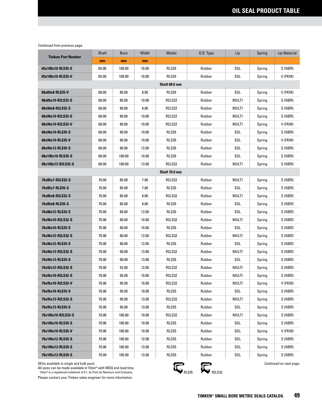|                           | Shaft | <b>Bore</b> | Width | Model         | 0.D. Type | Lip          | Spring | <b>Lip Material</b> |
|---------------------------|-------|-------------|-------|---------------|-----------|--------------|--------|---------------------|
| <b>Timken Part Number</b> | mm    | mm          | mm    |               |           |              |        |                     |
| 65x100x10-RLS35-S         | 65.00 | 100.00      | 10.00 | <b>RLS35</b>  | Rubber    | SGL          | Spring | S (NBR)             |
| 65x100x10-RLS35-V         | 65.00 | 100.00      | 10.00 | <b>RLS35</b>  | Rubber    | SGL          | Spring | V (FKM)             |
|                           |       |             |       | Shaft 68.0 mm |           |              |        |                     |
| 68x85x8-RLS35-V           | 68.00 | 85.00       | 8.00  | RLS35         | Rubber    | SGL          | Spring | V (FKM)             |
| 68x85x10-R2LS32-S         | 68.00 | 85.00       | 10.00 | <b>R2LS32</b> | Rubber    | <b>MULTI</b> | Spring | S (NBR)             |
| 68x90x8-R2LS32-S          | 68.00 | 90.00       | 8.00  | <b>R2LS32</b> | Rubber    | MULTI        | Spring | S (NBR)             |
| 68x90x10-R2LS32-S         | 68.00 | 90.00       | 10.00 | <b>R2LS32</b> | Rubber    | MULTI        | Spring | S (NBR)             |
| 68x90x10-R2LS32-V         | 68.00 | 90.00       | 10.00 | <b>R2LS32</b> | Rubber    | MULTI        | Spring | V (FKM)             |
| 68x90x10-RLS35-S          | 68.00 | 90.00       | 10.00 | <b>RLS35</b>  | Rubber    | SGL          | Spring | S (NBR)             |
| 68x90x10-RLS35-V          | 68.00 | 90.00       | 10.00 | <b>RLS35</b>  | Rubber    | SGL          | Spring | V (FKM)             |
| 68x90x12-RLS35-S          | 68.00 | 90.00       | 12.00 | <b>RLS35</b>  | Rubber    | SGL          | Spring | S (NBR)             |
| 68x100x10-RLS35-S         | 68.00 | 100.00      | 10.00 | <b>RLS35</b>  | Rubber    | SGL          | Spring | S (NBR)             |
| 68x100x13-R2LS32-S        | 68.00 | 100.00      | 13.00 | <b>R2LS32</b> | Rubber    | MULTI        | Spring | S (NBR)             |
|                           |       |             |       | Shaft 70.0 mm |           |              |        |                     |
| 70x85x7-R2LS32-S          | 70.00 | 85.00       | 7.00  | <b>R2LS32</b> | Rubber    | <b>MULTI</b> | Spring | S (NBR)             |
| 70x85x7-RLS35-S           | 70.00 | 85.00       | 7.00  | RLS35         | Rubber    | SGL          | Spring | S (NBR)             |
| 70x85x8-R2LS32-S          | 70.00 | 85.00       | 8.00  | <b>R2LS32</b> | Rubber    | MULTI        | Spring | S (NBR)             |
| 70x85x8-RLS35-S           | 70.00 | 85.00       | 8.00  | RLS35         | Rubber    | SGL          | Spring | S (NBR)             |
| 70x88x12-RLS35-S          | 70.00 | 88.00       | 12.00 | <b>RLS35</b>  | Rubber    | SGL          | Spring | S (NBR)             |
| 70x90x10-R2LS32-S         | 70.00 | 90.00       | 10.00 | <b>R2LS32</b> | Rubber    | MULTI        | Spring | S (NBR)             |
| 70x90x10-RLS35-S          | 70.00 | 90.00       | 10.00 | RLS35         | Rubber    | SGL          | Spring | S (NBR)             |
| 70x90x12-R2LS32-S         | 70.00 | 90.00       | 12.00 | <b>R2LS32</b> | Rubber    | MULTI        | Spring | S (NBR)             |
| 70x90x12-RLS35-S          | 70.00 | 90.00       | 12.00 | <b>RLS35</b>  | Rubber    | SGL          | Spring | S (NBR)             |
| 70x90x13-R2LS32-S         | 70.00 | 90.00       | 13.00 | <b>R2LS32</b> | Rubber    | MULTI        | Spring | S (NBR)             |
| 70x90x13-RLS35-S          | 70.00 | 90.00       | 13.00 | <b>RLS35</b>  | Rubber    | SGL          | Spring | S (NBR)             |
| 70x92x12-R2LS32-S         | 70.00 | 92.00       | 12.00 | <b>R2LS32</b> | Rubber    | MULTI        | Spring | S (NBR)             |
| 70x95x10-R2LS32-S         | 70.00 | 95.00       | 10.00 | <b>R2LS32</b> | Rubber    | MULTI        | Spring | S (NBR)             |
| 70x95x10-R2LS32-V         | 70.00 | 95.00       | 10.00 | <b>R2LS32</b> | Rubber    | multi        | Spring | V (FKM)             |
| 70x95x10-RLS35-S          | 70.00 | 95.00       | 10.00 | RLS35         | Rubber    | SGL          | Spring | S (NBR)             |
| 70x95x13-R2LS32-S         | 70.00 | 95.00       | 13.00 | <b>R2LS32</b> | Rubber    | MULTI        | Spring | S (NBR)             |
| 70x95x13-RLS35-S          | 70.00 | 95.00       | 13.00 | RLS35         | Rubber    | SGL          | Spring | S (NBR)             |
| 70x100x10-R2LS32-S        | 70.00 | 100.00      | 10.00 | <b>R2LS32</b> | Rubber    | MULTI        | Spring | S (NBR)             |
| 70x100x10-RLS35-S         | 70.00 | 100.00      | 10.00 | RLS35         | Rubber    | SGL          | Spring | S (NBR)             |
| 70x100x10-RLS35-V         | 70.00 | 100.00      | 10.00 | RLS35         | Rubber    | SGL          | Spring | V (FKM)             |
| 70x100x12-RLS35-S         | 70.00 | 100.00      | 12.00 | RLS35         | Rubber    | SGL          | Spring | S (NBR)             |
| 70x100x13-RLS35-S         | 70.00 | 100.00      | 13.00 | <b>RLS35</b>  | Rubber    | SGL          | Spring | S (NBR)             |
| 70x105x13-RLS35-S         | 70.00 | 105.00      | 13.00 | RLS35         | Rubber    | SGL          | Spring | S (NBR)             |

SKUs available in single and bulk pack.

All sizes can be made available in Viton® with MOQ and lead time.<br>Viton®is a registered trademark of E.I. du Pont de Nemours and Company.



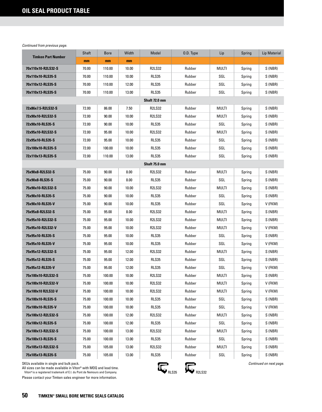| <b>Timken Part Number</b> | Shaft | <b>Bore</b> | Width | Model         | 0.D. Type | Lip          | Spring | Lip Material |
|---------------------------|-------|-------------|-------|---------------|-----------|--------------|--------|--------------|
|                           | mm    | mm          | mm    |               |           |              |        |              |
| 70x110x10-R2LS32-S        | 70.00 | 110.00      | 10.00 | <b>R2LS32</b> | Rubber    | MULTI        | Spring | S (NBR)      |
| 70x110x10-RLS35-S         | 70.00 | 110.00      | 10.00 | <b>RLS35</b>  | Rubber    | SGL          | Spring | S (NBR)      |
| 70x110x12-RLS35-S         | 70.00 | 110.00      | 12.00 | RLS35         | Rubber    | SGL          | Spring | S (NBR)      |
| 70x110x13-RLS35-S         | 70.00 | 110.00      | 13.00 | <b>RLS35</b>  | Rubber    | SGL          | Spring | S (NBR)      |
|                           |       |             |       | Shaft 72.0 mm |           |              |        |              |
| 72x86x7.5-R2LS32-S        | 72.00 | 86.00       | 7.50  | <b>R2LS32</b> | Rubber    | MULTI        | Spring | S (NBR)      |
| 72x90x10-R2LS32-S         | 72.00 | 90.00       | 10.00 | <b>R2LS32</b> | Rubber    | MULTI        | Spring | S (NBR)      |
| 72x90x10-RLS35-S          | 72.00 | 90.00       | 10.00 | <b>RLS35</b>  | Rubber    | SGL          | Spring | S (NBR)      |
| 72x95x10-R2LS32-S         | 72.00 | 95.00       | 10.00 | <b>R2LS32</b> | Rubber    | MULTI        | Spring | S (NBR)      |
| 72x95x10-RLS35-S          | 72.00 | 95.00       | 10.00 | <b>RLS35</b>  | Rubber    | SGL          | Spring | S (NBR)      |
| 72x100x10-RLS35-S         | 72.00 | 100.00      | 10.00 | <b>RLS35</b>  | Rubber    | SGL          | Spring | S (NBR)      |
| 72x110x13-RLS35-S         | 72.00 | 110.00      | 13.00 | <b>RLS35</b>  | Rubber    | SGL          | Spring | S (NBR)      |
|                           |       |             |       | Shaft 75.0 mm |           |              |        |              |
| 75x90x8-R2LS32-S          | 75.00 | 90.00       | 8.00  | <b>R2LS32</b> | Rubber    | MULTI        | Spring | S (NBR)      |
| 75x90x8-RLS35-S           | 75.00 | 90.00       | 8.00  | <b>RLS35</b>  | Rubber    | SGL          | Spring | S (NBR)      |
| 75x90x10-R2LS32-S         | 75.00 | 90.00       | 10.00 | <b>R2LS32</b> | Rubber    | MULTI        | Spring | S (NBR)      |
| 75x90x10-RLS35-S          | 75.00 | 90.00       | 10.00 | <b>RLS35</b>  | Rubber    | SGL          | Spring | S (NBR)      |
| 75x90x10-RLS35-V          | 75.00 | 90.00       | 10.00 | <b>RLS35</b>  | Rubber    | SGL          | Spring | V (FKM)      |
| 75x95x8-R2LS32-S          | 75.00 | 95.00       | 8.00  | <b>R2LS32</b> | Rubber    | MULTI        | Spring | S (NBR)      |
| 75x95x10-R2LS32-S         | 75.00 | 95.00       | 10.00 | <b>R2LS32</b> | Rubber    | MULTI        | Spring | S (NBR)      |
| 75x95x10-R2LS32-V         | 75.00 | 95.00       | 10.00 | <b>R2LS32</b> | Rubber    | MULTI        | Spring | V (FKM)      |
| 75x95x10-RLS35-S          | 75.00 | 95.00       | 10.00 | <b>RLS35</b>  | Rubber    | SGL          | Spring | S (NBR)      |
| 75x95x10-RLS35-V          | 75.00 | 95.00       | 10.00 | <b>RLS35</b>  | Rubber    | SGL          | Spring | V (FKM)      |
| 75x95x12-R2LS32-S         | 75.00 | 95.00       | 12.00 | <b>R2LS32</b> | Rubber    | <b>MULTI</b> | Spring | S (NBR)      |
| 75x95x12-RLS35-S          | 75.00 | 95.00       | 12.00 | <b>RLS35</b>  | Rubber    | SGL          | Spring | S (NBR)      |
| 75x95x12-RLS35-V          | 75.00 | 95.00       | 12.00 | RLS35         | Rubber    | SGL          | Spring | V (FKM)      |
| 75x100x10-R2LS32-S        | 75.00 | 100.00      | 10.00 | <b>R2LS32</b> | Rubber    | MULTI        | Spring | S (NBR)      |
| 75x100x10-R2LS32-V        | 75.00 | 100.00      | 10.00 | <b>R2LS32</b> | Rubber    | <b>MULTI</b> | Spring | V (FKM)      |
| 75x100x10 R2LS32-V        | 75.00 | 100.00      | 10.00 | <b>R2LS32</b> | Rubber    | MULTI        | Spring | V (FKM)      |
| 75x100x10-RLS35-S         | 75.00 | 100.00      | 10.00 | <b>RLS35</b>  | Rubber    | SGL          | Spring | S (NBR)      |
| 75x100x10-RLS35-V         | 75.00 | 100.00      | 10.00 | RLS35         | Rubber    | SGL          | Spring | V (FKM)      |
| 75x100x12-R2LS32-S        | 75.00 | 100.00      | 12.00 | R2LS32        | Rubber    | MULTI        | Spring | S (NBR)      |
| 75x100x12-RLS35-S         | 75.00 | 100.00      | 12.00 | RLS35         | Rubber    | SGL          | Spring | S (NBR)      |
| 75x100x13-R2LS32-S        | 75.00 | 100.00      | 13.00 | R2LS32        | Rubber    | MULTI        | Spring | S (NBR)      |
| 75x100x13-RLS35-S         | 75.00 | 100.00      | 13.00 | RLS35         | Rubber    | SGL          | Spring | S (NBR)      |
| 75x105x13-R2LS32-S        | 75.00 | 105.00      | 13.00 | <b>R2LS32</b> | Rubber    | MULTI        | Spring | S (NBR)      |
| 75x105x13-RLS35-S         | 75.00 | 105.00      | 13.00 | RLS35         | Rubber    | SGL          | Spring | S (NBR)      |

SKUs available in single and bulk pack.

All sizes can be made available in Viton® with MOQ and lead time.<br>Viton®is a registered trademark of E.I. du Pont de Nemours and Company.

Please contact your Timken sales engineer for more information.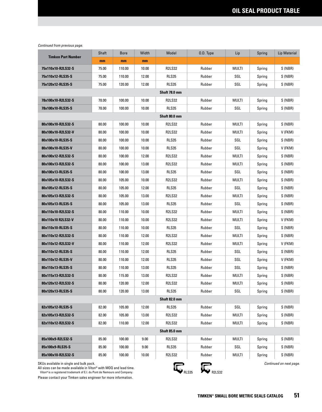|                           | Shaft | <b>Bore</b> | Width | Model         | 0.D. Type | Lip          | Spring | <b>Lip Material</b> |
|---------------------------|-------|-------------|-------|---------------|-----------|--------------|--------|---------------------|
| <b>Timken Part Number</b> | mm    | mm          | mm    |               |           |              |        |                     |
| 75x110x10-R2LS32-S        | 75.00 | 110.00      | 10.00 | <b>R2LS32</b> | Rubber    | <b>MULTI</b> | Spring | S (NBR)             |
| 75x110x12-RLS35-S         | 75.00 | 110.00      | 12.00 | RLS35         | Rubber    | SGL          | Spring | S (NBR)             |
| 75x120x12-RLS35-S         | 75.00 | 120.00      | 12.00 | <b>RLS35</b>  | Rubber    | SGL          | Spring | S (NBR)             |
|                           |       |             |       | Shaft 78.0 mm |           |              |        |                     |
| 78x100x10-R2LS32-S        | 78.00 | 100.00      | 10.00 | <b>R2LS32</b> | Rubber    | MULTI        | Spring | S (NBR)             |
| 78x100x10-RLS35-S         | 78.00 | 100.00      | 10.00 | <b>RLS35</b>  | Rubber    | SGL          | Spring | S (NBR)             |
|                           |       |             |       | Shaft 80.0 mm |           |              |        |                     |
| 80x100x10-R2LS32-S        | 80.00 | 100.00      | 10.00 | <b>R2LS32</b> | Rubber    | MULTI        | Spring | S (NBR)             |
| 80x100x10-R2LS32-V        | 80.00 | 100.00      | 10.00 | <b>R2LS32</b> | Rubber    | MULTI        | Spring | V (FKM)             |
| 80x100x10-RLS35-S         | 80.00 | 100.00      | 10.00 | <b>RLS35</b>  | Rubber    | SGL          | Spring | S (NBR)             |
| 80x100x10-RLS35-V         | 80.00 | 100.00      | 10.00 | <b>RLS35</b>  | Rubber    | SGL          | Spring | V (FKM)             |
| 80x100x12-R2LS32-S        | 80.00 | 100.00      | 12.00 | <b>R2LS32</b> | Rubber    | MULTI        | Spring | S (NBR)             |
| 80x100x13-R2LS32-S        | 80.00 | 100.00      | 13.00 | <b>R2LS32</b> | Rubber    | MULTI        | Spring | S (NBR)             |
| 80x100x13-RLS35-S         | 80.00 | 100.00      | 13.00 | <b>RLS35</b>  | Rubber    | SGL          | Spring | S (NBR)             |
| 80x105x10-R2LS32-S        | 80.00 | 105.00      | 10.00 | <b>R2LS32</b> | Rubber    | MULTI        | Spring | S (NBR)             |
| 80x105x12-RLS35-S         | 80.00 | 105.00      | 12.00 | <b>RLS35</b>  | Rubber    | SGL          | Spring | S (NBR)             |
| 80x105x13-R2LS32-S        | 80.00 | 105.00      | 13.00 | <b>R2LS32</b> | Rubber    | MULTI        | Spring | S (NBR)             |
| 80x105x13-RLS35-S         | 80.00 | 105.00      | 13.00 | <b>RLS35</b>  | Rubber    | SGL          | Spring | S (NBR)             |
| 80x110x10-R2LS32-S        | 80.00 | 110.00      | 10.00 | <b>R2LS32</b> | Rubber    | MULTI        | Spring | S (NBR)             |
| 80x110x10 R2LS32-V        | 80.00 | 110.00      | 10.00 | <b>R2LS32</b> | Rubber    | MULTI        | Spring | V (FKM)             |
| 80x110x10-RLS35-S         | 80.00 | 110.00      | 10.00 | <b>RLS35</b>  | Rubber    | SGL          | Spring | S (NBR)             |
| 80x110x12-R2LS32-S        | 80.00 | 110.00      | 12.00 | <b>R2LS32</b> | Rubber    | MULTI        | Spring | S (NBR)             |
| 80x110x12-R2LS32-V        | 80.00 | 110.00      | 12.00 | <b>R2LS32</b> | Rubber    | MULTI        | Spring | V (FKM)             |
| 80x110x12-RLS35-S         | 80.00 | 110.00      | 12.00 | RLS35         | Rubber    | SGL          | Spring | S (NBR)             |
| 80x110x12-RLS35-V         | 80.00 | 110.00      | 12.00 | RLS35         | Rubber    | SGL          | Spring | V (FKM)             |
| 80x110x13-RLS35-S         | 80.00 | 110.00      | 13.00 | <b>RLS35</b>  | Rubber    | SGL          | Spring | S (NBR)             |
| 80x115x13-R2LS32-S        | 80.00 | 115.00      | 13.00 | <b>R2LS32</b> | Rubber    | MULTI        | Spring | S (NBR)             |
| 80x120x12-R2LS32-S        | 80.00 | 120.00      | 12.00 | <b>R2LS32</b> | Rubber    | multi        | Spring | S (NBR)             |
| 80x120x13-RLS35-S         | 80.00 | 120.00      | 13.00 | RLS35         | Rubber    | SGL          | Spring | S (NBR)             |
|                           |       |             |       | Shaft 82.0 mm |           |              |        |                     |
| 82x105x12-RLS35-S         | 82.00 | 105.00      | 12.00 | RLS35         | Rubber    | SGL          | Spring | S (NBR)             |
| 82x105x13-R2LS32-S        | 82.00 | 105.00      | 13.00 | <b>R2LS32</b> | Rubber    | MULTI        | Spring | S (NBR)             |
| 82x110x12-R2LS32-S        | 82.00 | 110.00      | 12.00 | <b>R2LS32</b> | Rubber    | MULTI        | Spring | S (NBR)             |
|                           |       |             |       | Shaft 85.0 mm |           |              |        |                     |
| 85x100x9-R2LS32-S         | 85.00 | 100.00      | 9.00  | <b>R2LS32</b> | Rubber    | MULTI        | Spring | S (NBR)             |
| 85x100x9-RLS35-S          | 85.00 | 100.00      | 9.00  | RLS35         | Rubber    | SGL          | Spring | S (NBR)             |
| 85x100x10-R2LS32-S        | 85.00 | 100.00      | 10.00 | <b>R2LS32</b> | Rubber    | MULTI        | Spring | S (NBR)             |

SKUs available in single and bulk pack.

All sizes can be made available in Viton® with MOQ and lead time.<br>Viton®is a registered trademark of E.I. du Pont de Nemours and Company.

Please contact your Timken sales engineer for more information.



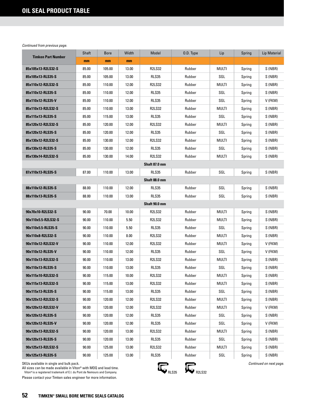| <b>Timken Part Number</b> | Shaft | <b>Bore</b> | Width | Model         | O.D. Type | Lip   | Spring | <b>Lip Material</b> |  |  |
|---------------------------|-------|-------------|-------|---------------|-----------|-------|--------|---------------------|--|--|
|                           | mm    | mm          | mm    |               |           |       |        |                     |  |  |
| 85x105x13-R2LS32-S        | 85.00 | 105.00      | 13.00 | <b>R2LS32</b> | Rubber    | MULTI | Spring | S (NBR)             |  |  |
| 85x105x13-RLS35-S         | 85.00 | 105.00      | 13.00 | <b>RLS35</b>  | Rubber    | SGL   | Spring | S (NBR)             |  |  |
| 85x110x12-R2LS32-S        | 85.00 | 110.00      | 12.00 | <b>R2LS32</b> | Rubber    | MULTI | Spring | S (NBR)             |  |  |
| 85x110x12-RLS35-S         | 85.00 | 110.00      | 12.00 | <b>RLS35</b>  | Rubber    | SGL   | Spring | S (NBR)             |  |  |
| 85x110x12-RLS35-V         | 85.00 | 110.00      | 12.00 | RLS35         | Rubber    | SGL   | Spring | V (FKM)             |  |  |
| 85x110x13-R2LS32-S        | 85.00 | 110.00      | 13.00 | <b>R2LS32</b> | Rubber    | MULTI | Spring | S (NBR)             |  |  |
| 85x115x13-RLS35-S         | 85.00 | 115.00      | 13.00 | <b>RLS35</b>  | Rubber    | SGL   | Spring | S (NBR)             |  |  |
| 85x120x12-R2LS32-S        | 85.00 | 120.00      | 12.00 | <b>R2LS32</b> | Rubber    | MULTI | Spring | S (NBR)             |  |  |
| 85x120x12-RLS35-S         | 85.00 | 120.00      | 12.00 | RLS35         | Rubber    | SGL   | Spring | S (NBR)             |  |  |
| 85x130x12-R2LS32-S        | 85.00 | 130.00      | 12.00 | <b>R2LS32</b> | Rubber    | MULTI | Spring | S (NBR)             |  |  |
| 85x130x12-RLS35-S         | 85.00 | 130.00      | 12.00 | <b>RLS35</b>  | Rubber    | SGL   | Spring | S (NBR)             |  |  |
| 85x130x14-R2LS32-S        | 85.00 | 130.00      | 14.00 | <b>R2LS32</b> | Rubber    | MULTI | Spring | S (NBR)             |  |  |
|                           |       |             |       | Shaft 87.0 mm |           |       |        |                     |  |  |
| 87x110x13-RLS35-S         | 87.00 | 110.00      | 13.00 | RLS35         | Rubber    | SGL   | Spring | S (NBR)             |  |  |
|                           |       |             |       | Shaft 88.0 mm |           |       |        |                     |  |  |
| 88x110x12-RLS35-S         | 88.00 | 110.00      | 12.00 | RLS35         | Rubber    | SGL   | Spring | S (NBR)             |  |  |
| 88x110x13-RLS35-S         | 88.00 | 110.00      | 13.00 | <b>RLS35</b>  | Rubber    | SGL   | Spring | S (NBR)             |  |  |
| Shaft 90.0 mm             |       |             |       |               |           |       |        |                     |  |  |
| 90x70x10-R2LS32-S         | 90.00 | 70.00       | 10.00 | <b>R2LS32</b> | Rubber    | MULTI | Spring | S (NBR)             |  |  |
| 90x110x5.5-R2LS32-S       | 90.00 | 110.00      | 5.50  | <b>R2LS32</b> | Rubber    | MULTI | Spring | S (NBR)             |  |  |
| 90x110x5.5-RLS35-S        | 90.00 | 110.00      | 5.50  | <b>RLS35</b>  | Rubber    | SGL   | Spring | S (NBR)             |  |  |
| 90x110x8-R2LS32-S         | 90.00 | 110.00      | 8.00  | <b>R2LS32</b> | Rubber    | MULTI | Spring | S (NBR)             |  |  |
| 90x110x12-R2LS32-V        | 90.00 | 110.00      | 12.00 | <b>R2LS32</b> | Rubber    | MULTI | Spring | V (FKM)             |  |  |
| 90x110x12-RLS35-V         | 90.00 | 110.00      | 12.00 | <b>RLS35</b>  | Rubber    | SGL   | Spring | V (FKM)             |  |  |
| 90x110x13-R2LS32-S        | 90.00 | 110.00      | 13.00 | <b>R2LS32</b> | Rubber    | MULTI | Spring | S (NBR)             |  |  |
| 90x110x13-RLS35-S         | 90.00 | 110.00      | 13.00 | RLS35         | Rubber    | SGL   | Spring | S (NBR)             |  |  |
| 90x115x10-R2LS32-S        | 90.00 | 115.00      | 10.00 | R2LS32        | Rubber    | MULTI | Spring | S (NBR)             |  |  |
| 90x115x13-R2LS32-S        | 90.00 | 115.00      | 13.00 | R2LS32        | Rubber    | MULTI | Spring | S (NBR)             |  |  |
| 90x115x13-RLS35-S         | 90.00 | 115.00      | 13.00 | RLS35         | Rubber    | SGL   | Spring | S (NBR)             |  |  |
| 90x120x12-R2LS32-S        | 90.00 | 120.00      | 12.00 | R2LS32        | Rubber    | MULTI | Spring | S (NBR)             |  |  |
| 90x120x12-R2LS32-V        | 90.00 | 120.00      | 12.00 | <b>R2LS32</b> | Rubber    | multi | Spring | V (FKM)             |  |  |
| 90x120x12-RLS35-S         | 90.00 | 120.00      | 12.00 | RLS35         | Rubber    | SGL   | Spring | S (NBR)             |  |  |
| 90x120x12-RLS35-V         | 90.00 | 120.00      | 12.00 | <b>RLS35</b>  | Rubber    | SGL   | Spring | V (FKM)             |  |  |
| 90x120x13-R2LS32-S        | 90.00 | 120.00      | 13.00 | R2LS32        | Rubber    | MULTI | Spring | S (NBR)             |  |  |
| 90x120x13-RLS35-S         | 90.00 | 120.00      | 13.00 | <b>RLS35</b>  | Rubber    | SGL   | Spring | S (NBR)             |  |  |
| 90x125x13-R2LS32-S        | 90.00 | 125.00      | 13.00 | R2LS32        | Rubber    | MULTI | Spring | S (NBR)             |  |  |
| 90x125x13-RLS35-S         | 90.00 | 125.00      | 13.00 | RLS35         | Rubber    | SGL   | Spring | S (NBR)             |  |  |

SKUs available in single and bulk pack.

All sizes can be made available in Viton® with MOQ and lead time.<br>Viton®is a registered trademark of E.I. du Pont de Nemours and Company.

Please contact your Timken sales engineer for more information.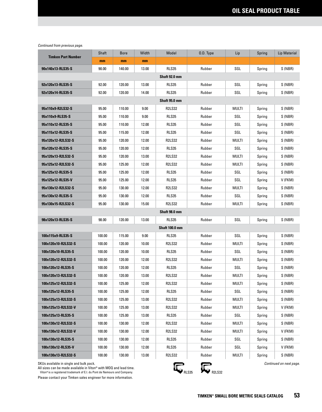|                           | Shaft  | <b>Bore</b> | Width | Model                 | 0.D. Type | Lip   | Spring | Lip Material |
|---------------------------|--------|-------------|-------|-----------------------|-----------|-------|--------|--------------|
| <b>Timken Part Number</b> | mm     | mm          | mm    |                       |           |       |        |              |
| 90x140x13-RLS35-S         | 90.00  | 140.00      | 13.00 | <b>RLS35</b>          | Rubber    | SGL   | Spring | S (NBR)      |
|                           |        |             |       | Shaft 92.0 mm         |           |       |        |              |
| 92x120x13-RLS35-S         | 92.00  | 120.00      | 13.00 | RLS35                 | Rubber    | SGL   | Spring | S (NBR)      |
| 92x120x14-RLS35-S         | 92.00  | 120.00      | 14.00 | <b>RLS35</b>          | Rubber    | SGL   | Spring | S (NBR)      |
|                           |        |             |       | Shaft 95.0 mm         |           |       |        |              |
| 95x110x9-R2LS32-S         | 95.00  | 110.00      | 9.00  | <b>R2LS32</b>         | Rubber    | MULTI | Spring | S (NBR)      |
| 95x110x9-RLS35-S          | 95.00  | 110.00      | 9.00  | <b>RLS35</b>          | Rubber    | SGL   | Spring | S (NBR)      |
| 95x110x12-RLS35-S         | 95.00  | 110.00      | 12.00 | <b>RLS35</b>          | Rubber    | SGL   | Spring | S (NBR)      |
| 95x115x12-RLS35-S         | 95.00  | 115.00      | 12.00 | <b>RLS35</b>          | Rubber    | SGL   | Spring | S (NBR)      |
| 95x120x12-R2LS32-S        | 95.00  | 120.00      | 12.00 | <b>R2LS32</b>         | Rubber    | MULTI | Spring | S (NBR)      |
| 95x120x12-RLS35-S         | 95.00  | 120.00      | 12.00 | <b>RLS35</b>          | Rubber    | SGL   | Spring | S(NBR)       |
| 95x120x13-R2LS32-S        | 95.00  | 120.00      | 13.00 | <b>R2LS32</b>         | Rubber    | MULTI | Spring | S(NBR)       |
| 95x125x12-R2LS32-S        | 95.00  | 125.00      | 12.00 | <b>R2LS32</b>         | Rubber    | MULTI | Spring | S(NBR)       |
| 95x125x12-RLS35-S         | 95.00  | 125.00      | 12.00 | <b>RLS35</b>          | Rubber    | SGL   | Spring | S (NBR)      |
| 95x125x12-RLS35-V         | 95.00  | 125.00      | 12.00 | RLS35                 | Rubber    | SGL   | Spring | V (FKM)      |
| 95x130x12-R2LS32-S        | 95.00  | 130.00      | 12.00 | R2LS32                | Rubber    | MULTI | Spring | S (NBR)      |
| 95x130x12-RLS35-S         | 95.00  | 130.00      | 12.00 | RLS35                 | Rubber    | SGL   | Spring | S (NBR)      |
| 95x130x15-R2LS32-S        | 95.00  | 130.00      | 15.00 | <b>R2LS32</b>         | Rubber    | MULTI | Spring | S (NBR)      |
|                           |        |             |       | Shaft 98.0 mm         |           |       |        |              |
| 98x120x13-RLS35-S         | 98.00  | 120.00      | 13.00 | <b>RLS35</b>          | Rubber    | SGL   | Spring | S (NBR)      |
|                           |        |             |       | <b>Shaft 100.0 mm</b> |           |       |        |              |
| 100x115x9-RLS35-S         | 100.00 | 115.00      | 9.00  | <b>RLS35</b>          | Rubber    | SGL   | Spring | S (NBR)      |
| 100x120x10-R2LS32-S       | 100.00 | 120.00      | 10.00 | <b>R2LS32</b>         | Rubber    | MULTI | Spring | S (NBR)      |
| 100x120x10-RLS35-S        | 100.00 | 120.00      | 10.00 | <b>RLS35</b>          | Rubber    | SGL   | Spring | S (NBR)      |
| 100x120x12-R2LS32-S       | 100.00 | 120.00      | 12.00 | <b>R2LS32</b>         | Rubber    | MULTI | Spring | S (NBR)      |
| 100x120x12-RLS35-S        | 100.00 | 120.00      | 12.00 | <b>RLS35</b>          | Rubber    | SGL   | Spring | S (NBR)      |
| 100x120x13-R2LS32-S       | 100.00 | 120.00      | 13.00 | R2LS32                | Rubber    | MULTI | Spring | S (NBR)      |
| 100x125x12-R2LS32-S       | 100.00 | 125.00      | 12.00 | <b>R2LS32</b>         | Rubber    | MULTI | Spring | S (NBR)      |
| 100x125x12-RLS35-S        | 100.00 | 125.00      | 12.00 | RLS35                 | Rubber    | SGL   | Spring | S (NBR)      |
| 100x125x13-R2LS32-S       | 100.00 | 125.00      | 13.00 | <b>R2LS32</b>         | Rubber    | MULTI | Spring | S (NBR)      |
| 100x125x13-R2LS32-V       | 100.00 | 125.00      | 13.00 | <b>R2LS32</b>         | Rubber    | MULTI | Spring | V (FKM)      |
| 100x125x13-RLS35-S        | 100.00 | 125.00      | 13.00 | RLS35                 | Rubber    | SGL   | Spring | S (NBR)      |
| 100x130x12-R2LS32-S       | 100.00 | 130.00      | 12.00 | <b>R2LS32</b>         | Rubber    | MULTI | Spring | S (NBR)      |
| 100x130x12-R2LS32-V       | 100.00 | 130.00      | 12.00 | <b>R2LS32</b>         | Rubber    | MULTI | Spring | V (FKM)      |
| 100x130x12-RLS35-S        | 100.00 | 130.00      | 12.00 | RLS35                 | Rubber    | SGL   | Spring | S (NBR)      |
| 100x130x12-RLS35-V        | 100.00 | 130.00      | 12.00 | <b>RLS35</b>          | Rubber    | SGL   | Spring | V (FKM)      |
| 100x130x13-R2LS32-S       | 100.00 | 130.00      | 13.00 | <b>R2LS32</b>         | Rubber    | MULTI | Spring | S (NBR)      |

SKUs available in single and bulk pack.

All sizes can be made available in Viton® with MOQ and lead time.<br>Viton®is a registered trademark of E.I. du Pont de Nemours and Company.

Please contact your Timken sales engineer for more information.



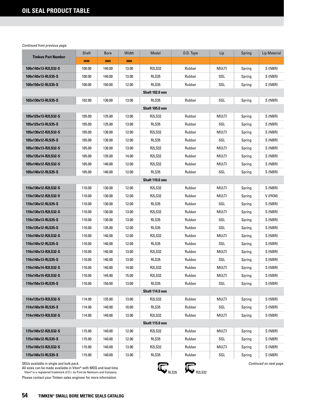| <b>Timken Part Number</b>                                                                                                                                                                | Shaft  | <b>Bore</b> | Width | Model                  | O.D. Type | Lip   | Spring                  | <b>Lip Material</b> |  |  |  |
|------------------------------------------------------------------------------------------------------------------------------------------------------------------------------------------|--------|-------------|-------|------------------------|-----------|-------|-------------------------|---------------------|--|--|--|
|                                                                                                                                                                                          | mm     | mm          | mm    |                        |           |       |                         |                     |  |  |  |
| 100x140x13-R2LS32-S                                                                                                                                                                      | 100.00 | 140.00      | 13.00 | <b>R2LS32</b>          | Rubber    | MULTI | Spring                  | S (NBR)             |  |  |  |
| 100x140x13-RLS35-S                                                                                                                                                                       | 100.00 | 140.00      | 13.00 | <b>RLS35</b>           | Rubber    | SGL   | Spring                  | S (NBR)             |  |  |  |
| 100x150x12-RLS35-S                                                                                                                                                                       | 100.00 | 150.00      | 12.00 | <b>RLS35</b>           | Rubber    | SGL   | Spring                  | S (NBR)             |  |  |  |
|                                                                                                                                                                                          |        |             |       | <b>Shaft 102.0 mm</b>  |           |       |                         |                     |  |  |  |
| 102x130x13-RLS35-S                                                                                                                                                                       | 102.00 | 130.00      | 13.00 | RLS35                  | Rubber    | SGL   | Spring                  | S (NBR)             |  |  |  |
|                                                                                                                                                                                          |        |             |       | <b>Shaft 105.0 mm</b>  |           |       |                         |                     |  |  |  |
| 105x125x13-R2LS32-S                                                                                                                                                                      | 105.00 | 125.00      | 13.00 | <b>R2LS32</b>          | Rubber    | MULTI | Spring                  | S (NBR)             |  |  |  |
| 105x125x13-RLS35-S                                                                                                                                                                       | 105.00 | 125.00      | 13.00 | RLS35                  | Rubber    | SGL   | Spring                  | S (NBR)             |  |  |  |
| 105x130x12-R2LS32-S                                                                                                                                                                      | 105.00 | 130.00      | 12.00 | R2LS32                 | Rubber    | MULTI | Spring                  | S (NBR)             |  |  |  |
| 105x130x12-RLS35-S                                                                                                                                                                       | 105.00 | 130.00      | 12.00 | RLS35                  | Rubber    | SGL   | Spring                  | S (NBR)             |  |  |  |
| 105x130x13-R2LS32-S                                                                                                                                                                      | 105.00 | 130.00      | 13.00 | <b>R2LS32</b>          | Rubber    | MULTI | Spring                  | S (NBR)             |  |  |  |
| 105x135x14-R2LS32-S                                                                                                                                                                      | 105.00 | 135.00      | 14.00 | <b>R2LS32</b>          | Rubber    | MULTI | Spring                  | S (NBR)             |  |  |  |
| 105x140x12-R2LS32-S                                                                                                                                                                      | 105.00 | 140.00      | 12.00 | <b>R2LS32</b>          | Rubber    | MULTI | Spring                  | S (NBR)             |  |  |  |
| 105x140x12-RLS35-S                                                                                                                                                                       | 105.00 | 140.00      | 12.00 | <b>RLS35</b>           | Rubber    | SGL   | Spring                  | S (NBR)             |  |  |  |
| Shaft 110.0 mm                                                                                                                                                                           |        |             |       |                        |           |       |                         |                     |  |  |  |
| 110x130x12-R2LS32-S                                                                                                                                                                      | 110.00 | 130.00      | 12.00 | <b>R2LS32</b>          | Rubber    | MULTI | Spring                  | S (NBR)             |  |  |  |
| 110x130x12-R2LS32-V                                                                                                                                                                      | 110.00 | 130.00      | 12.00 | <b>R2LS32</b>          | Rubber    | MULTI | Spring                  | V (FKM)             |  |  |  |
| 110x130x12-RLS35-S                                                                                                                                                                       | 110.00 | 130.00      | 12.00 | <b>RLS35</b>           | Rubber    | SGL   | Spring                  | S (NBR)             |  |  |  |
| 110x130x13-R2LS32-S                                                                                                                                                                      | 110.00 | 130.00      | 13.00 | <b>R2LS32</b>          | Rubber    | MULTI | Spring                  | S (NBR)             |  |  |  |
| 110x130x13-RLS35-S                                                                                                                                                                       | 110.00 | 130.00      | 13.00 | RLS35                  | Rubber    | SGL   | Spring                  | S (NBR)             |  |  |  |
| 110x135x12-RLS35-S                                                                                                                                                                       | 110.00 | 135.00      | 12.00 | <b>RLS35</b>           | Rubber    | SGL   | Spring                  | S (NBR)             |  |  |  |
| 110x140x12-R2LS32-S                                                                                                                                                                      | 110.00 | 140.00      | 12.00 | <b>R2LS32</b>          | Rubber    | MULTI | Spring                  | S (NBR)             |  |  |  |
| 110x140x12-RLS35-S                                                                                                                                                                       | 110.00 | 140.00      | 12.00 | <b>RLS35</b>           | Rubber    | SGL   | Spring                  | S (NBR)             |  |  |  |
| 110x140x13-R2LS32-S                                                                                                                                                                      | 110.00 | 140.00      | 13.00 | <b>R2LS32</b>          | Rubber    | MULTI | Spring                  | S (NBR)             |  |  |  |
| 110x140x13-RLS35-S                                                                                                                                                                       | 110.00 | 140.00      | 13.00 | RLS35                  | Rubber    | SGL   | Spring                  | S (NBR)             |  |  |  |
| 110x140x14-R2LS32-S                                                                                                                                                                      | 110.00 | 140.00      | 14.00 | <b>R2LS32</b>          | Rubber    | MULTI | Spring                  | S (NBR)             |  |  |  |
| 110x145x15-R2LS32-S                                                                                                                                                                      | 110.00 | 145.00      | 15.00 | R2LS32                 | Rubber    | MULTI | Spring                  | S (NBR)             |  |  |  |
| 110x150x13-RLS35-S                                                                                                                                                                       | 110.00 | 150.00      | 13.00 | RLS35                  | Rubber    | SGL   | Spring                  | S (NBR)             |  |  |  |
|                                                                                                                                                                                          |        |             |       | <b>Shaft 114.0 mm</b>  |           |       |                         |                     |  |  |  |
| 114x135x13-R2LS32-S                                                                                                                                                                      | 114.00 | 135.00      | 13.00 | <b>R2LS32</b>          | Rubber    | MULTI | Spring                  | S (NBR)             |  |  |  |
| 114x140x10-RLS35-S                                                                                                                                                                       | 114.00 | 140.00      | 10.00 | RLS35                  | Rubber    | SGL   | Spring                  | S (NBR)             |  |  |  |
| 114x140x13-R2LS32-S                                                                                                                                                                      | 114.00 | 140.00      | 13.00 | R2LS32                 | Rubber    | MULTI | Spring                  | S (NBR)             |  |  |  |
|                                                                                                                                                                                          |        |             |       | <b>Shaft 115.0 mm</b>  |           |       |                         |                     |  |  |  |
| 115x140x12-R2LS32-S                                                                                                                                                                      | 115.00 | 140.00      | 12.00 | R2LS32                 | Rubber    | MULTI | Spring                  | S (NBR)             |  |  |  |
| 115x140x12-RLS35-S                                                                                                                                                                       | 115.00 | 140.00      | 12.00 | RLS35                  | Rubber    | SGL   | Spring                  | S (NBR)             |  |  |  |
| 115x140x13-R2LS32-S                                                                                                                                                                      | 115.00 | 140.00      | 13.00 | R2LS32                 | Rubber    | MULTI | Spring                  | S (NBR)             |  |  |  |
| 115x140x13-RLS35-S                                                                                                                                                                       | 115.00 | 140.00      | 13.00 | <b>RLS35</b>           | Rubber    | SGL   | Spring                  | S (NBR)             |  |  |  |
| SKUs available in single and bulk pack.<br>All sizes can be made available in Viton® with MOQ and lead time.<br>Viton® is a registered trademark of E.I. du Pont de Nemours and Company. |        |             |       | <b>R2LS32</b><br>RLS35 |           |       | Continued on next page. |                     |  |  |  |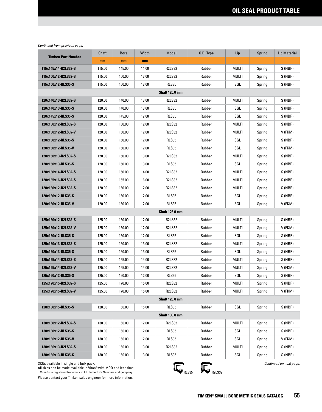|                           | Shaft  | <b>Bore</b> | Width | Model                 | 0.D. Type | Lip          | Spring | Lip Material |  |
|---------------------------|--------|-------------|-------|-----------------------|-----------|--------------|--------|--------------|--|
| <b>Timken Part Number</b> | mm     | mm          | mm    |                       |           |              |        |              |  |
| 115x145x14-R2LS32-S       | 115.00 | 145.00      | 14.00 | <b>R2LS32</b>         | Rubber    | <b>MULTI</b> | Spring | S (NBR)      |  |
| 115x150x12-R2LS32-S       | 115.00 | 150.00      | 12.00 | <b>R2LS32</b>         | Rubber    | MULTI        | Spring | S (NBR)      |  |
| 115x150x12-RLS35-S        | 115.00 | 150.00      | 12.00 | <b>RLS35</b>          | Rubber    | SGL          | Spring | S (NBR)      |  |
|                           |        |             |       | <b>Shaft 120.0 mm</b> |           |              |        |              |  |
| 120x140x13-R2LS32-S       | 120.00 | 140.00      | 13.00 | <b>R2LS32</b>         | Rubber    | MULTI        | Spring | S (NBR)      |  |
| 120x140x13-RLS35-S        | 120.00 | 140.00      | 13.00 | <b>RLS35</b>          | Rubber    | SGL          | Spring | S (NBR)      |  |
| 120x145x12-RLS35-S        | 120.00 | 145.00      | 12.00 | <b>RLS35</b>          | Rubber    | SGL          | Spring | S (NBR)      |  |
| 120x150x12-R2LS32-S       | 120.00 | 150.00      | 12.00 | <b>R2LS32</b>         | Rubber    | MULTI        | Spring | S (NBR)      |  |
| 120x150x12-R2LS32-V       | 120.00 | 150.00      | 12.00 | <b>R2LS32</b>         | Rubber    | MULTI        | Spring | V (FKM)      |  |
| 120x150x12-RLS35-S        | 120.00 | 150.00      | 12.00 | RLS35                 | Rubber    | SGL          | Spring | S (NBR)      |  |
| 120x150x12-RLS35-V        | 120.00 | 150.00      | 12.00 | <b>RLS35</b>          | Rubber    | SGL          | Spring | V (FKM)      |  |
| 120x150x13-R2LS32-S       | 120.00 | 150.00      | 13.00 | R2LS32                | Rubber    | MULTI        | Spring | S (NBR)      |  |
| 120x150x13-RLS35-S        | 120.00 | 150.00      | 13.00 | RLS35                 | Rubber    | SGL          | Spring | S (NBR)      |  |
| 120x150x14-R2LS32-S       | 120.00 | 150.00      | 14.00 | <b>R2LS32</b>         | Rubber    | MULTI        | Spring | S (NBR)      |  |
| 120x155x16-R2LS32-S       | 120.00 | 155.00      | 16.00 | <b>R2LS32</b>         | Rubber    | MULTI        | Spring | S (NBR)      |  |
| 120x160x12-R2LS32-S       | 120.00 | 160.00      | 12.00 | <b>R2LS32</b>         | Rubber    | MULTI        | Spring | S (NBR)      |  |
| 120x160x12-RLS35-S        | 120.00 | 160.00      | 12.00 | <b>RLS35</b>          | Rubber    | SGL          | Spring | S (NBR)      |  |
| 120x160x12-RLS35-V        | 120.00 | 160.00      | 12.00 | <b>RLS35</b>          | Rubber    | SGL          | Spring | V (FKM)      |  |
| <b>Shaft 125.0 mm</b>     |        |             |       |                       |           |              |        |              |  |
| 125x150x12-R2LS32-S       | 125.00 | 150.00      | 12.00 | <b>R2LS32</b>         | Rubber    | MULTI        | Spring | S (NBR)      |  |
| 125x150x12-R2LS32-V       | 125.00 | 150.00      | 12.00 | <b>R2LS32</b>         | Rubber    | MULTI        | Spring | V (FKM)      |  |
| 125x150x12-RLS35-S        | 125.00 | 150.00      | 12.00 | RLS35                 | Rubber    | SGL          | Spring | S (NBR)      |  |
| 125x150x13-R2LS32-S       | 125.00 | 150.00      | 13.00 | R2LS32                | Rubber    | MULTI        | Spring | S (NBR)      |  |
| 125x150x13-RLS35-S        | 125.00 | 150.00      | 13.00 | RLS35                 | Rubber    | SGL          | Spring | S (NBR)      |  |
| 125x155x14-R2LS32-S       | 125.00 | 155.00      | 14.00 | <b>R2LS32</b>         | Rubber    | MULTI        | Spring | S (NBR)      |  |
| 125x155x14-R2LS32-V       | 125.00 | 155.00      | 14.00 | <b>R2LS32</b>         | Rubber    | MULTI        | Spring | V (FKM)      |  |
| 125x160x12-RLS35-S        | 125.00 | 160.00      | 12.00 | <b>RLS35</b>          | Rubber    | SGL          | Spring | S (NBR)      |  |
| 125x170x15-R2LS32-S       | 125.00 | 170.00      | 15.00 | <b>R2LS32</b>         | Rubber    | multi        | Spring | S (NBR)      |  |
| 125x170x15-R2LS32-V       | 125.00 | 170.00      | 15.00 | <b>R2LS32</b>         | Rubber    | MULTI        | Spring | V (FKM)      |  |
|                           |        |             |       | <b>Shaft 128.0 mm</b> |           |              |        |              |  |
| 128x150x15-RLS35-S        | 128.00 | 150.00      | 15.00 | RLS35                 | Rubber    | SGL          | Spring | S (NBR)      |  |
|                           |        |             |       | <b>Shaft 130.0 mm</b> |           |              |        |              |  |
| 130x160x12-R2LS32-S       | 130.00 | 160.00      | 12.00 | <b>R2LS32</b>         | Rubber    | MULTI        | Spring | S (NBR)      |  |
| 130x160x12-RLS35-S        | 130.00 | 160.00      | 12.00 | RLS35                 | Rubber    | SGL          | Spring | S (NBR)      |  |
| 130x160x12-RLS35-V        | 130.00 | 160.00      | 12.00 | RLS35                 | Rubber    | SGL          | Spring | V (FKM)      |  |
| 130x160x13-R2LS32-S       | 130.00 | 160.00      | 13.00 | R2LS32                | Rubber    | MULTI        | Spring | S (NBR)      |  |
| 130x160x13-RLS35-S        | 130.00 | 160.00      | 13.00 | RLS35                 | Rubber    | SGL          | Spring | S (NBR)      |  |

SKUs available in single and bulk pack.

All sizes can be made available in Viton® with MOQ and lead time.<br>Viton®is a registered trademark of E.I. du Pont de Nemours and Company.

Please contact your Timken sales engineer for more information.



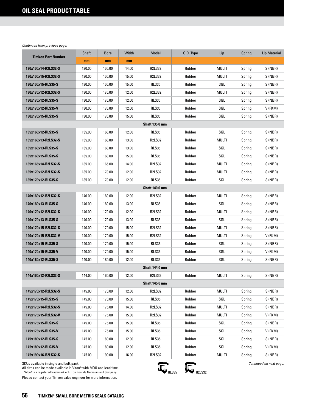|                                                                                                                                                                                          | Shaft  | <b>Bore</b> | Width | Model                 | 0.D. Type              | Lip          | Spring | Lip Material            |  |  |
|------------------------------------------------------------------------------------------------------------------------------------------------------------------------------------------|--------|-------------|-------|-----------------------|------------------------|--------------|--------|-------------------------|--|--|
| <b>Timken Part Number</b>                                                                                                                                                                | mm     | mm          | mm    |                       |                        |              |        |                         |  |  |
| 130x160x14-R2LS32-S                                                                                                                                                                      | 130.00 | 160.00      | 14.00 | <b>R2LS32</b>         | Rubber                 | <b>MULTI</b> | Spring | S (NBR)                 |  |  |
| 130x160x15-R2LS32-S                                                                                                                                                                      | 130.00 | 160.00      | 15.00 | <b>R2LS32</b>         | Rubber                 | MULTI        | Spring | S (NBR)                 |  |  |
| 130x160x15-RLS35-S                                                                                                                                                                       | 130.00 | 160.00      | 15.00 | <b>RLS35</b>          | Rubber                 | SGL          | Spring | S (NBR)                 |  |  |
| 130x170x12-R2LS32-S                                                                                                                                                                      | 130.00 | 170.00      | 12.00 | <b>R2LS32</b>         | Rubber                 | MULTI        | Spring | S (NBR)                 |  |  |
| 130x170x12-RLS35-S                                                                                                                                                                       | 130.00 | 170.00      | 12.00 | <b>RLS35</b>          | Rubber                 | SGL          | Spring | S (NBR)                 |  |  |
| 130x170x12-RLS35-V                                                                                                                                                                       | 130.00 | 170.00      | 12.00 | RLS35                 | Rubber                 | SGL          | Spring | V (FKM)                 |  |  |
| 130x170x15-RLS35-S                                                                                                                                                                       | 130.00 | 170.00      | 15.00 | <b>RLS35</b>          | Rubber                 | SGL          | Spring | S (NBR)                 |  |  |
| <b>Shaft 135.0 mm</b>                                                                                                                                                                    |        |             |       |                       |                        |              |        |                         |  |  |
| 135x160x12-RLS35-S                                                                                                                                                                       | 135.00 | 160.00      | 12.00 | RLS35                 | Rubber                 | SGL          | Spring | S (NBR)                 |  |  |
| 135x160x13-R2LS32-S                                                                                                                                                                      | 135.00 | 160.00      | 13.00 | <b>R2LS32</b>         | Rubber                 | MULTI        | Spring | S (NBR)                 |  |  |
| 135x160x13-RLS35-S                                                                                                                                                                       | 135.00 | 160.00      | 13.00 | <b>RLS35</b>          | Rubber                 | SGL          | Spring | S (NBR)                 |  |  |
| 135x160x15-RLS35-S                                                                                                                                                                       | 135.00 | 160.00      | 15.00 | RLS35                 | Rubber                 | SGL          | Spring | S (NBR)                 |  |  |
| 135x165x14-R2LS32-S                                                                                                                                                                      | 135.00 | 165.00      | 14.00 | <b>R2LS32</b>         | Rubber                 | MULTI        | Spring | S (NBR)                 |  |  |
| 135x170x12-R2LS32-S                                                                                                                                                                      | 135.00 | 170.00      | 12.00 | <b>R2LS32</b>         | Rubber                 | MULTI        | Spring | S(NBR)                  |  |  |
| 135x170x12-RLS35-S                                                                                                                                                                       | 135.00 | 170.00      | 12.00 | <b>RLS35</b>          | Rubber                 | SGL          | Spring | S(NBR)                  |  |  |
| <b>Shaft 140.0 mm</b>                                                                                                                                                                    |        |             |       |                       |                        |              |        |                         |  |  |
| 140x160x12-R2LS32-S                                                                                                                                                                      | 140.00 | 160.00      | 12.00 | <b>R2LS32</b>         | Rubber                 | <b>MULTI</b> | Spring | S (NBR)                 |  |  |
| 140x160x13-RLS35-S                                                                                                                                                                       | 140.00 | 160.00      | 13.00 | RLS35                 | Rubber                 | SGL          | Spring | S (NBR)                 |  |  |
| 140x170x12-R2LS32-S                                                                                                                                                                      | 140.00 | 170.00      | 12.00 | <b>R2LS32</b>         | Rubber                 | MULTI        | Spring | S (NBR)                 |  |  |
| 140x170x13-RLS35-S                                                                                                                                                                       | 140.00 | 170.00      | 13.00 | RLS35                 | Rubber                 | SGL          | Spring | S (NBR)                 |  |  |
| 140x170x15-R2LS32-S                                                                                                                                                                      | 140.00 | 170.00      | 15.00 | <b>R2LS32</b>         | Rubber                 | MULTI        | Spring | S (NBR)                 |  |  |
| 140x170x15-R2LS32-V                                                                                                                                                                      | 140.00 | 170.00      | 15.00 | <b>R2LS32</b>         | Rubber                 | MULTI        | Spring | V (FKM)                 |  |  |
| 140x170x15-RLS35-S                                                                                                                                                                       | 140.00 | 170.00      | 15.00 | <b>RLS35</b>          | Rubber                 | SGL          | Spring | S (NBR)                 |  |  |
| 140x170x15-RLS35-V                                                                                                                                                                       | 140.00 | 170.00      | 15.00 | <b>RLS35</b>          | Rubber                 | SGL          | Spring | V (FKM)                 |  |  |
| 140x180x12-RLS35-S                                                                                                                                                                       | 140.00 | 180.00      | 12.00 | <b>RLS35</b>          | Rubber                 | SGL          | Spring | S (NBR)                 |  |  |
|                                                                                                                                                                                          |        |             |       | <b>Shaft 144.0 mm</b> |                        |              |        |                         |  |  |
| 144x160x12-R2LS32-S                                                                                                                                                                      | 144.00 | 160.00      | 12.00 | <b>R2LS32</b>         | Rubber                 | MULTI        | Spring | S (NBR)                 |  |  |
|                                                                                                                                                                                          |        |             |       | <b>Shaft 145.0 mm</b> |                        |              |        |                         |  |  |
| 145x170x12-R2LS32-S                                                                                                                                                                      | 145.00 | 170.00      | 12.00 | <b>R2LS32</b>         | Rubber                 | MULTI        | Spring | S (NBR)                 |  |  |
| 145x170x15-RLS35-S                                                                                                                                                                       | 145.00 | 170.00      | 15.00 | RLS35                 | Rubber                 | SGL          | Spring | S (NBR)                 |  |  |
| 145x175x14-R2LS32-S                                                                                                                                                                      | 145.00 | 175.00      | 14.00 | <b>R2LS32</b>         | Rubber                 | multi        | Spring | S (NBR)                 |  |  |
| 145x175x15-R2LS32-V                                                                                                                                                                      | 145.00 | 175.00      | 15.00 | R2LS32                | Rubber                 | multi        | Spring | V (FKM)                 |  |  |
| 145x175x15-RLS35-S                                                                                                                                                                       | 145.00 | 175.00      | 15.00 | <b>RLS35</b>          | Rubber                 | SGL          | Spring | S (NBR)                 |  |  |
| 145x175x15-RLS35-V                                                                                                                                                                       | 145.00 | 175.00      | 15.00 | <b>RLS35</b>          | Rubber                 | SGL          | Spring | V (FKM)                 |  |  |
| 145x180x12-RLS35-S                                                                                                                                                                       | 145.00 | 180.00      | 12.00 | <b>RLS35</b>          | Rubber                 | SGL          | Spring | S (NBR)                 |  |  |
| 145x180x12-RLS35-V                                                                                                                                                                       | 145.00 | 180.00      | 12.00 | <b>RLS35</b>          | Rubber                 | SGL          | Spring | V (FKM)                 |  |  |
| 145x190x16-R2LS32-S                                                                                                                                                                      | 145.00 | 190.00      | 16.00 | R2LS32                | Rubber                 | MULTI        | Spring | S (NBR)                 |  |  |
| SKUs available in single and bulk pack.<br>All sizes can be made available in Viton® with MOQ and lead time.<br>Viton® is a registered trademark of E.I. du Pont de Nemours and Company. |        |             |       |                       | <b>R2LS32</b><br>RLS35 |              |        | Continued on next page. |  |  |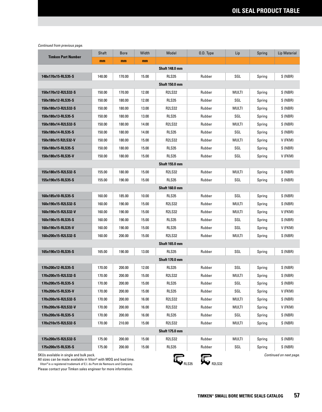| <b>Timken Part Number</b>                                                                              | Shaft                 | <b>Bore</b> | Width | Model                 | 0.D. Type | Lip          | Spring | Lip Material |  |  |
|--------------------------------------------------------------------------------------------------------|-----------------------|-------------|-------|-----------------------|-----------|--------------|--------|--------------|--|--|
|                                                                                                        | mm                    | mm          | mm    |                       |           |              |        |              |  |  |
| <b>Shaft 148.0 mm</b>                                                                                  |                       |             |       |                       |           |              |        |              |  |  |
| 148x170x15-RLS35-S                                                                                     | 148.00                | 170.00      | 15.00 | <b>RLS35</b>          | Rubber    | SGL          | Spring | S (NBR)      |  |  |
|                                                                                                        |                       |             |       | <b>Shaft 150.0 mm</b> |           |              |        |              |  |  |
| 150x170x12-R2LS32-S                                                                                    | 150.00                | 170.00      | 12.00 | <b>R2LS32</b>         | Rubber    | MULTI        | Spring | S (NBR)      |  |  |
| 150x180x12-RLS35-S                                                                                     | 150.00                | 180.00      | 12.00 | <b>RLS35</b>          | Rubber    | SGL          | Spring | S (NBR)      |  |  |
| 150x180x13-R2LS32-S                                                                                    | 150.00                | 180.00      | 13.00 | <b>R2LS32</b>         | Rubber    | MULTI        | Spring | S (NBR)      |  |  |
| 150x180x13-RLS35-S                                                                                     | 150.00                | 180.00      | 13.00 | <b>RLS35</b>          | Rubber    | SGL          | Spring | S (NBR)      |  |  |
| 150x180x14-R2LS32-S                                                                                    | 150.00                | 180.00      | 14.00 | <b>R2LS32</b>         | Rubber    | MULTI        | Spring | S (NBR)      |  |  |
| 150x180x14-RLS35-S                                                                                     | 150.00                | 180.00      | 14.00 | <b>RLS35</b>          | Rubber    | SGL          | Spring | S (NBR)      |  |  |
| 150x180x15 R2LS32-V                                                                                    | 150.00                | 180.00      | 15.00 | <b>R2LS32</b>         | Rubber    | MULTI        | Spring | V (FKM)      |  |  |
| 150x180x15-RLS35-S                                                                                     | 150.00                | 180.00      | 15.00 | <b>RLS35</b>          | Rubber    | SGL          | Spring | S (NBR)      |  |  |
| 150x180x15-RLS35-V                                                                                     | 150.00                | 180.00      | 15.00 | <b>RLS35</b>          | Rubber    | SGL          | Spring | V (FKM)      |  |  |
| <b>Shaft 155.0 mm</b>                                                                                  |                       |             |       |                       |           |              |        |              |  |  |
| 155x180x15-R2LS32-S                                                                                    | 155.00                | 180.00      | 15.00 | <b>R2LS32</b>         | Rubber    | MULTI        | Spring | S (NBR)      |  |  |
| 155x190x15-RLS35-S                                                                                     | 155.00                | 190.00      | 15.00 | <b>RLS35</b>          | Rubber    | SGL          | Spring | S (NBR)      |  |  |
| <b>Shaft 160.0 mm</b>                                                                                  |                       |             |       |                       |           |              |        |              |  |  |
| 160x185x10-RLS35-S                                                                                     | 160.00                | 185.00      | 10.00 | RLS35                 | Rubber    | SGL          | Spring | S (NBR)      |  |  |
| 160x190x15-R2LS32-S                                                                                    | 160.00                | 190.00      | 15.00 | <b>R2LS32</b>         | Rubber    | MULTI        | Spring | S (NBR)      |  |  |
| 160x190x15-R2LS32-V                                                                                    | 160.00                | 190.00      | 15.00 | <b>R2LS32</b>         | Rubber    | MULTI        | Spring | V (FKM)      |  |  |
| 160x190x15-RLS35-S                                                                                     | 160.00                | 190.00      | 15.00 | <b>RLS35</b>          | Rubber    | SGL          | Spring | S (NBR)      |  |  |
| 160x190x15-RLS35-V                                                                                     | 160.00                | 190.00      | 15.00 | RLS35                 | Rubber    | SGL          | Spring | V (FKM)      |  |  |
| 160x200x15-R2LS32-S                                                                                    | 160.00                | 200.00      | 15.00 | <b>R2LS32</b>         | Rubber    | MULTI        | Spring | S (NBR)      |  |  |
|                                                                                                        |                       |             |       | <b>Shaft 165.0 mm</b> |           |              |        |              |  |  |
| 165x190x13-RLS35-S                                                                                     | 165.00                | 190.00      | 13.00 | <b>RLS35</b>          | Rubber    | SGL          | Spring | S (NBR)      |  |  |
|                                                                                                        |                       |             |       | <b>Shaft 170.0 mm</b> |           |              |        |              |  |  |
| 170x200x12-RLS35-S                                                                                     | 170.00                | 200.00      | 12.00 | <b>RLS35</b>          | Rubber    | SGL          | Spring | S (NBR)      |  |  |
| 170x200x15-R2LS32-S                                                                                    | 170.00                | 200.00      | 15.00 | <b>R2LS32</b>         | Rubber    | MULTI        | Spring | S (NBR)      |  |  |
| 170x200x15-RLS35-S                                                                                     | 170.00                | 200.00      | 15.00 | <b>RLS35</b>          | Rubber    | SGL          | Spring | S (NBR)      |  |  |
| 170x200x15-RLS35-V                                                                                     | 170.00                | 200.00      | 15.00 | RLS35                 | Rubber    | SGL          | Spring | V (FKM)      |  |  |
| 170x200x16-R2LS32-S                                                                                    | 170.00                | 200.00      | 16.00 | <b>R2LS32</b>         | Rubber    | <b>MULTI</b> | Spring | S (NBR)      |  |  |
| 170x200x16-R2LS32-V                                                                                    | 170.00                | 200.00      | 16.00 | <b>R2LS32</b>         | Rubber    | MULTI        | Spring | V (FKM)      |  |  |
| 170x200x16-RLS35-S                                                                                     | 170.00                | 200.00      | 16.00 | <b>RLS35</b>          | Rubber    | SGL          | Spring | S (NBR)      |  |  |
| 170x210x15-R2LS32-S                                                                                    | 170.00                | 210.00      | 15.00 | <b>R2LS32</b>         | Rubber    | MULTI        | Spring | S (NBR)      |  |  |
|                                                                                                        | <b>Shaft 175.0 mm</b> |             |       |                       |           |              |        |              |  |  |
| 175x200x15-R2LS32-S                                                                                    | 175.00                | 200.00      | 15.00 | <b>R2LS32</b>         | Rubber    | MULTI        | Spring | S (NBR)      |  |  |
| 175x200x15-RLS35-S                                                                                     | 175.00                | 200.00      | 15.00 | <b>RLS35</b>          | Rubber    | SGL          | Spring | S (NBR)      |  |  |
| SKUs available in single and bulk pack.<br>Continued on next page.<br>$\blacksquare$<br>$\blacksquare$ |                       |             |       |                       |           |              |        |              |  |  |

All sizes can be made available in Viton® with MOQ and lead time. Viton® is a registered trademark of E.I. du Pont de Nemours and Company.

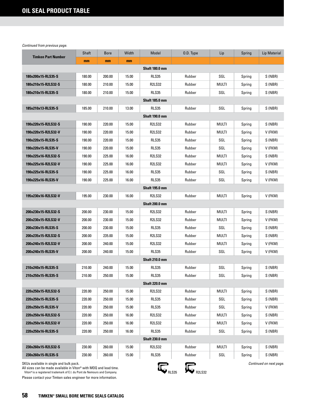| <b>Timken Part Number</b>                                                                                                                                                                | Shaft  | <b>Bore</b> | Width | Model                 | 0.D. Type | Lip          | Spring | Lip Material            |  |
|------------------------------------------------------------------------------------------------------------------------------------------------------------------------------------------|--------|-------------|-------|-----------------------|-----------|--------------|--------|-------------------------|--|
|                                                                                                                                                                                          | mm     | mm          | mm    |                       |           |              |        |                         |  |
| <b>Shaft 180.0 mm</b>                                                                                                                                                                    |        |             |       |                       |           |              |        |                         |  |
| 180x200x15-RLS35-S                                                                                                                                                                       | 180.00 | 200.00      | 15.00 | <b>RLS35</b>          | Rubber    | SGL          | Spring | S (NBR)                 |  |
| 180x210x15-R2LS32-S                                                                                                                                                                      | 180.00 | 210.00      | 15.00 | <b>R2LS32</b>         | Rubber    | MULTI        | Spring | S (NBR)                 |  |
| 180x210x15-RLS35-S                                                                                                                                                                       | 180.00 | 210.00      | 15.00 | <b>RLS35</b>          | Rubber    | SGL          | Spring | S (NBR)                 |  |
|                                                                                                                                                                                          |        |             |       | <b>Shaft 185.0 mm</b> |           |              |        |                         |  |
| 185x210x13-RLS35-S                                                                                                                                                                       | 185.00 | 210.00      | 13.00 | <b>RLS35</b>          | Rubber    | SGL          | Spring | S (NBR)                 |  |
| <b>Shaft 190.0 mm</b>                                                                                                                                                                    |        |             |       |                       |           |              |        |                         |  |
| 190x220x15-R2LS32-S                                                                                                                                                                      | 190.00 | 220.00      | 15.00 | <b>R2LS32</b>         | Rubber    | <b>MULTI</b> | Spring | S (NBR)                 |  |
| 190x220x15-R2LS32-V                                                                                                                                                                      | 190.00 | 220.00      | 15.00 | <b>R2LS32</b>         | Rubber    | MULTI        | Spring | V (FKM)                 |  |
| 190x220x15-RLS35-S                                                                                                                                                                       | 190.00 | 220.00      | 15.00 | <b>RLS35</b>          | Rubber    | SGL          | Spring | S (NBR)                 |  |
| 190x220x15-RLS35-V                                                                                                                                                                       | 190.00 | 220.00      | 15.00 | RLS35                 | Rubber    | SGL          | Spring | V (FKM)                 |  |
| 190x225x16-R2LS32-S                                                                                                                                                                      | 190.00 | 225.00      | 16.00 | <b>R2LS32</b>         | Rubber    | MULTI        | Spring | S (NBR)                 |  |
| 190x225x16-R2LS32-V                                                                                                                                                                      | 190.00 | 225.00      | 16.00 | <b>R2LS32</b>         | Rubber    | <b>MULTI</b> | Spring | V (FKM)                 |  |
| 190x225x16-RLS35-S                                                                                                                                                                       | 190.00 | 225.00      | 16.00 | <b>RLS35</b>          | Rubber    | SGL          | Spring | S (NBR)                 |  |
| 190x225x16-RLS35-V                                                                                                                                                                       | 190.00 | 225.00      | 16.00 | <b>RLS35</b>          | Rubber    | SGL          | Spring | V (FKM)                 |  |
|                                                                                                                                                                                          |        |             |       | <b>Shaft 195.0 mm</b> |           |              |        |                         |  |
| 195x230x16-R2LS32-V                                                                                                                                                                      | 195.00 | 230.00      | 16.00 | <b>R2LS32</b>         | Rubber    | <b>MULTI</b> | Spring | V (FKM)                 |  |
|                                                                                                                                                                                          |        |             |       | <b>Shaft 200.0 mm</b> |           |              |        |                         |  |
| 200x230x15-R2LS32-S                                                                                                                                                                      | 200.00 | 230.00      | 15.00 | <b>R2LS32</b>         | Rubber    | MULTI        | Spring | S (NBR)                 |  |
| 200x230x15-R2LS32-V                                                                                                                                                                      | 200.00 | 230.00      | 15.00 | <b>R2LS32</b>         | Rubber    | MULTI        | Spring | V (FKM)                 |  |
| 200x230x15-RLS35-S                                                                                                                                                                       | 200.00 | 230.00      | 15.00 | <b>RLS35</b>          | Rubber    | SGL          | Spring | S (NBR)                 |  |
| 200x235x15-R2LS32-S                                                                                                                                                                      | 200.00 | 235.00      | 15.00 | <b>R2LS32</b>         | Rubber    | MULTI        | Spring | S (NBR)                 |  |
| 200x240x15-R2LS32-V                                                                                                                                                                      | 200.00 | 240.00      | 15.00 | <b>R2LS32</b>         | Rubber    | MULTI        | Spring | V (FKM)                 |  |
| 200x240x15-RLS35-V                                                                                                                                                                       | 200.00 | 240.00      | 15.00 | <b>RLS35</b>          | Rubber    | SGL          | Spring | V (FKM)                 |  |
|                                                                                                                                                                                          |        |             |       | <b>Shaft 210.0 mm</b> |           |              |        |                         |  |
| 210x240x15-RLS35-S                                                                                                                                                                       | 210.00 | 240.00      | 15.00 | <b>RLS35</b>          | Rubber    | SGL          | Spring | S (NBR)                 |  |
| 210x250x15-RLS35-S                                                                                                                                                                       | 210.00 | 250.00      | 15.00 | <b>RLS35</b>          | Rubber    | SGL          | Spring | S (NBR)                 |  |
|                                                                                                                                                                                          |        |             |       | <b>Shaft 220.0 mm</b> |           |              |        |                         |  |
| 220x250x15-R2LS32-S                                                                                                                                                                      | 220.00 | 250.00      | 15.00 | R2LS32                | Rubber    | multi        | Spring | S (NBR)                 |  |
| 220x250x15-RLS35-S                                                                                                                                                                       | 220.00 | 250.00      | 15.00 | <b>RLS35</b>          | Rubber    | SGL          | Spring | S (NBR)                 |  |
| 220x250x15-RLS35-V                                                                                                                                                                       | 220.00 | 250.00      | 15.00 | <b>RLS35</b>          | Rubber    | SGL          | Spring | V (FKM)                 |  |
| 220x250x16-R2LS32-S                                                                                                                                                                      | 220.00 | 250.00      | 16.00 | <b>R2LS32</b>         | Rubber    | multi        | Spring | S (NBR)                 |  |
| 220x250x16-R2LS32-V                                                                                                                                                                      | 220.00 | 250.00      | 16.00 | <b>R2LS32</b>         | Rubber    | multi        | Spring | V (FKM)                 |  |
| 220x250x16-RLS35-S                                                                                                                                                                       | 220.00 | 250.00      | 16.00 | <b>RLS35</b>          | Rubber    | SGL          | Spring | S (NBR)                 |  |
| <b>Shaft 230.0 mm</b>                                                                                                                                                                    |        |             |       |                       |           |              |        |                         |  |
| 230x260x15-R2LS32-S                                                                                                                                                                      | 230.00 | 260.00      | 15.00 | <b>R2LS32</b>         | Rubber    | multi        | Spring | S (NBR)                 |  |
| 230x260x15-RLS35-S                                                                                                                                                                       | 230.00 | 260.00      | 15.00 | <b>RLS35</b>          | Rubber    | SGL          | Spring | S (NBR)                 |  |
| SKUs available in single and bulk pack.<br>All sizes can be made available in Viton® with MOQ and lead time.<br>Viton® is a registered trademark of E.I. du Pont de Nemours and Company. |        |             |       |                       | R2LS32    |              |        | Continued on next page. |  |

All sizes can be made available in Viton® with MOQ and lead time.<br>Viton®is a registered trademark of E.I. du Pont de Nemours and Company.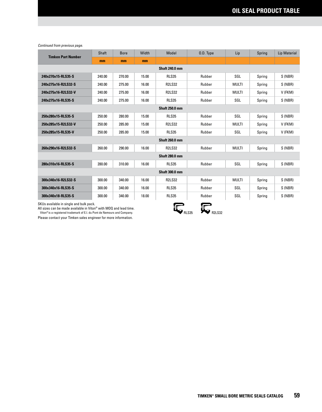| <b>Timken Part Number</b> | <b>Shaft</b> | <b>Bore</b> | Width | Model         | O.D. Type | Lip          | Spring | <b>Lip Material</b> |  |
|---------------------------|--------------|-------------|-------|---------------|-----------|--------------|--------|---------------------|--|
|                           | mm           | mm          | mm    |               |           |              |        |                     |  |
| <b>Shaft 240.0 mm</b>     |              |             |       |               |           |              |        |                     |  |
| 240x270x15-RLS35-S        | 240.00       | 270.00      | 15.00 | <b>RLS35</b>  | Rubber    | SGL          | Spring | S (NBR)             |  |
| 240x275x16-R2LS32-S       | 240.00       | 275.00      | 16.00 | <b>R2LS32</b> | Rubber    | <b>MULTI</b> | Spring | S (NBR)             |  |
| 240x275x16-R2LS32-V       | 240.00       | 275.00      | 16.00 | <b>R2LS32</b> | Rubber    | MULTI        | Spring | V (FKM)             |  |
| 240x275x16-RLS35-S        | 240.00       | 275.00      | 16.00 | <b>RLS35</b>  | Rubber    | SGL          | Spring | S (NBR)             |  |
| <b>Shaft 250.0 mm</b>     |              |             |       |               |           |              |        |                     |  |
| 250x280x15-RLS35-S        | 250.00       | 280.00      | 15.00 | <b>RLS35</b>  | Rubber    | SGL          | Spring | S (NBR)             |  |
| 250x285x15-R2LS32-V       | 250.00       | 285.00      | 15.00 | <b>R2LS32</b> | Rubber    | MULTI        | Spring | V (FKM)             |  |
| 250x285x15-RLS35-V        | 250.00       | 285.00      | 15.00 | <b>RLS35</b>  | Rubber    | SGL          | Spring | V (FKM)             |  |
| <b>Shaft 260.0 mm</b>     |              |             |       |               |           |              |        |                     |  |
| 260x290x16-R2LS32-S       | 260.00       | 290.00      | 16.00 | <b>R2LS32</b> | Rubber    | <b>MULTI</b> | Spring | S (NBR)             |  |
| <b>Shaft 280.0 mm</b>     |              |             |       |               |           |              |        |                     |  |
| 280x310x16-RLS35-S        | 280.00       | 310.00      | 16.00 | <b>RLS35</b>  | Rubber    | SGL          | Spring | S (NBR)             |  |
| <b>Shaft 300.0 mm</b>     |              |             |       |               |           |              |        |                     |  |
| 300x340x16-R2LS32-S       | 300.00       | 340.00      | 16.00 | <b>R2LS32</b> | Rubber    | <b>MULTI</b> | Spring | S (NBR)             |  |
| 300x340x16-RLS35-S        | 300.00       | 340.00      | 16.00 | <b>RLS35</b>  | Rubber    | SGL          | Spring | S (NBR)             |  |
| 300x340x18-RLS35-S        | 300.00       | 340.00      | 18.00 | <b>RLS35</b>  | Rubber    | SGL          | Spring | S (NBR)             |  |

SKUs available in single and bulk pack.

All sizes can be made available in Viton® with MOQ and lead time.

Viton® is a registered trademark of E.I. du Pont de Nemours and Company.